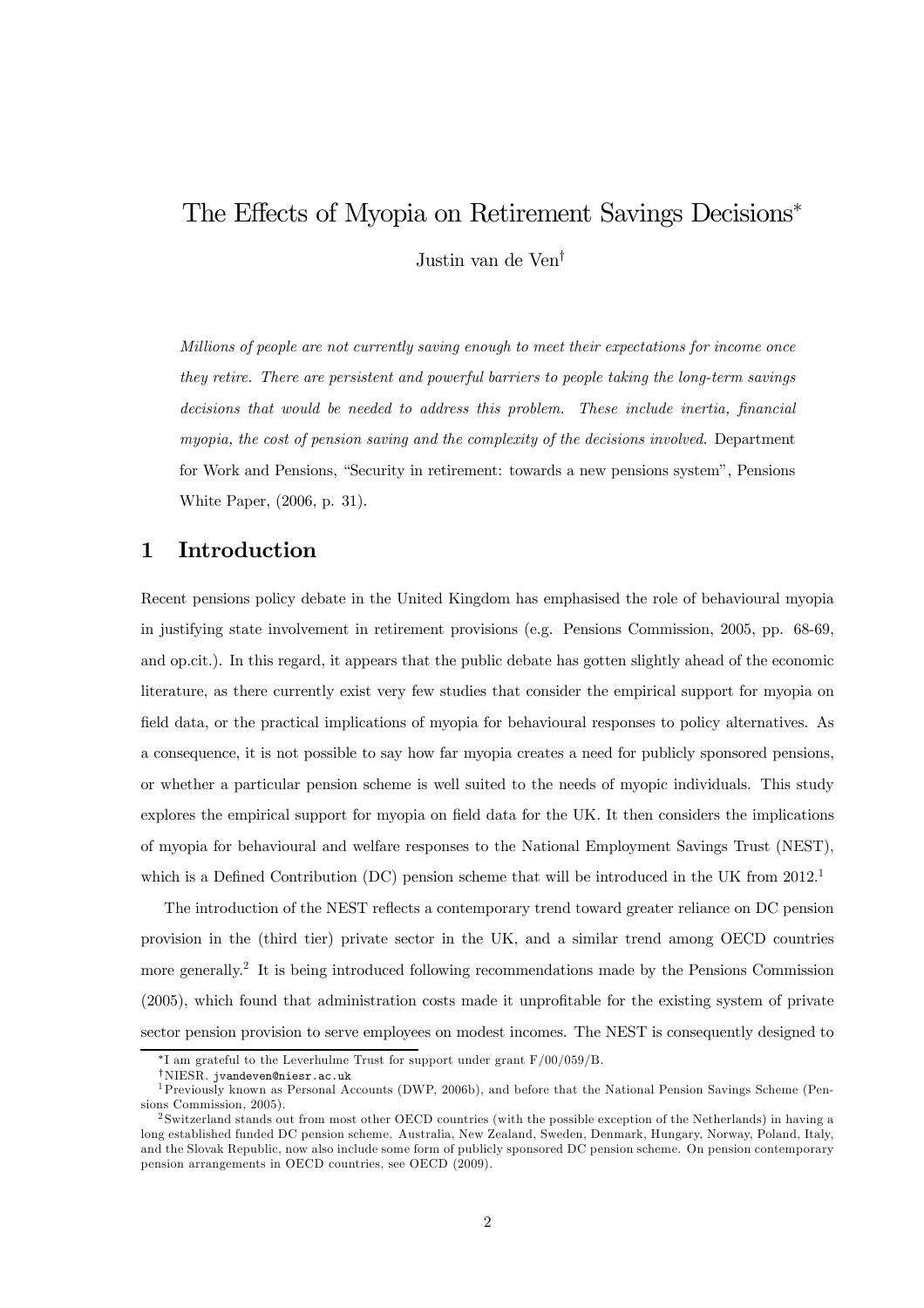# The Effects of Myopia on Retirement Savings Decisions<sup>∗</sup>

Justin van de Ven†

Millions of people are not currently saving enough to meet their expectations for income once they retire. There are persistent and powerful barriers to people taking the long-term savings decisions that would be needed to address this problem. These include inertia, financial myopia, the cost of pension saving and the complexity of the decisions involved. Department for Work and Pensions, "Security in retirement: towards a new pensions system", Pensions White Paper, (2006, p. 31).

# 1 Introduction

Recent pensions policy debate in the United Kingdom has emphasised the role of behavioural myopia in justifying state involvement in retirement provisions (e.g. Pensions Commission, 2005, pp. 68-69, and op.cit.). In this regard, it appears that the public debate has gotten slightly ahead of the economic literature, as there currently exist very few studies that consider the empirical support for myopia on field data, or the practical implications of myopia for behavioural responses to policy alternatives. As a consequence, it is not possible to say how far myopia creates a need for publicly sponsored pensions, or whether a particular pension scheme is well suited to the needs of myopic individuals. This study explores the empirical support for myopia on field data for the UK. It then considers the implications of myopia for behavioural and welfare responses to the National Employment Savings Trust (NEST), which is a Defined Contribution (DC) pension scheme that will be introduced in the UK from 2012.<sup>1</sup>

The introduction of the NEST reflects a contemporary trend toward greater reliance on DC pension provision in the (third tier) private sector in the UK, and a similar trend among OECD countries more generally.<sup>2</sup> It is being introduced following recommendations made by the Pensions Commission (2005), which found that administration costs made it unprofitable for the existing system of private sector pension provision to serve employees on modest incomes. The NEST is consequently designed to

<sup>∗</sup>I am grateful to the Leverhulme Trust for support under grant F/00/059/B.

<sup>&</sup>lt;sup>†</sup>NIESR. jvandeven@niesr.ac.uk<br><sup>1</sup>Previously known as Personal Accounts (DWP, 2006b), and before that the National Pension Savings Scheme (Pensions Commission, 2005).

<sup>2</sup> Switzerland stands out from most other OECD countries (with the possible exception of the Netherlands) in having a long established funded DC pension scheme. Australia, New Zealand, Sweden, Denmark, Hungary, Norway, Poland, Italy, and the Slovak Republic, now also include some form of publicly sponsored DC pension scheme. On pension contemporary pension arrangements in OECD countries, see OECD (2009).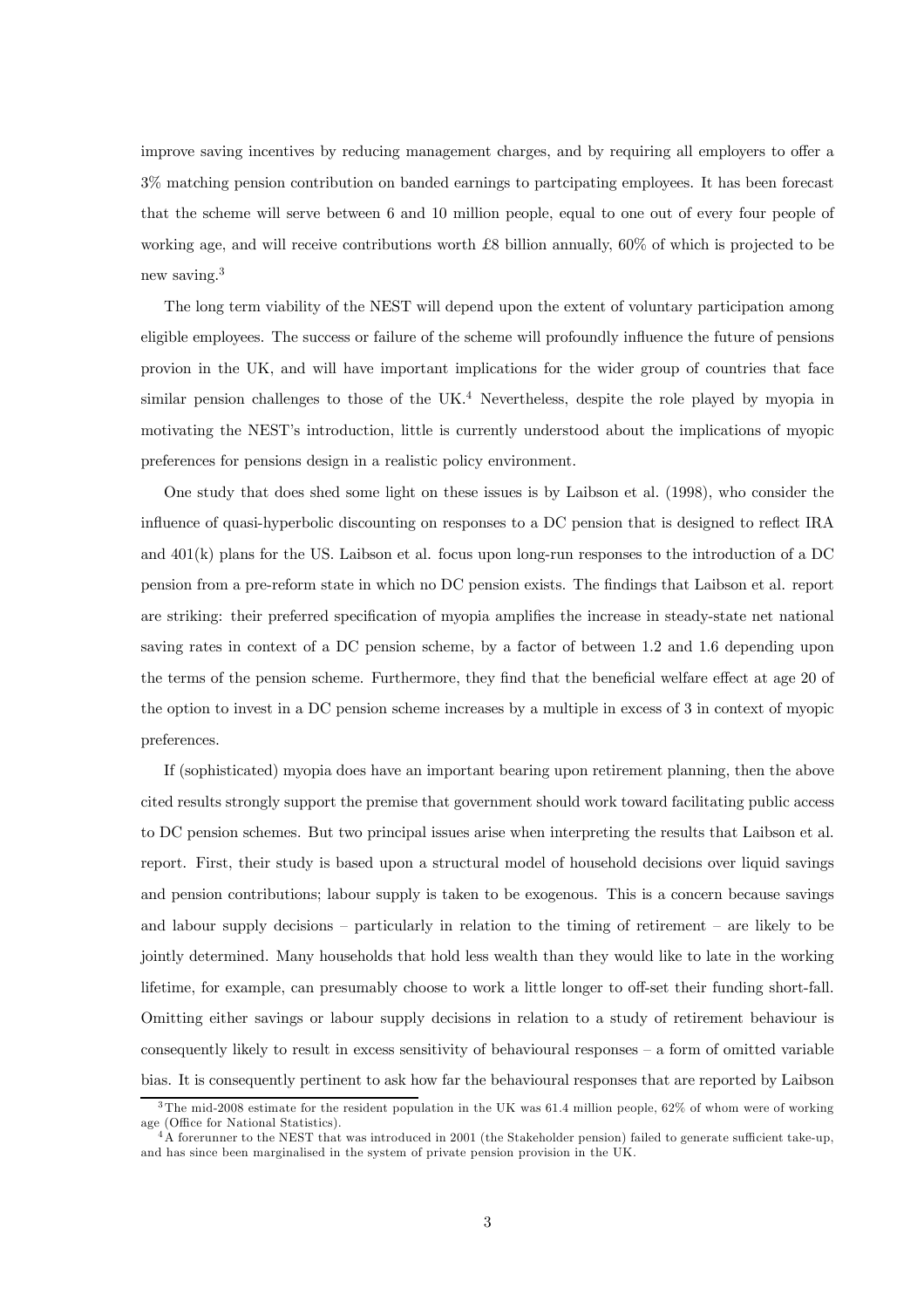improve saving incentives by reducing management charges, and by requiring all employers to offer a 3% matching pension contribution on banded earnings to partcipating employees. It has been forecast that the scheme will serve between 6 and 10 million people, equal to one out of every four people of working age, and will receive contributions worth £8 billion annually, 60% of which is projected to be new saving.<sup>3</sup>

The long term viability of the NEST will depend upon the extent of voluntary participation among eligible employees. The success or failure of the scheme will profoundly influence the future of pensions provion in the UK, and will have important implications for the wider group of countries that face similar pension challenges to those of the UK.<sup>4</sup> Nevertheless, despite the role played by myopia in motivating the NEST's introduction, little is currently understood about the implications of myopic preferences for pensions design in a realistic policy environment.

One study that does shed some light on these issues is by Laibson et al. (1998), who consider the influence of quasi-hyperbolic discounting on responses to a DC pension that is designed to reflect IRA and 401(k) plans for the US. Laibson et al. focus upon long-run responses to the introduction of a DC pension from a pre-reform state in which no DC pension exists. The findings that Laibson et al. report are striking: their preferred specification of myopia amplifies the increase in steady-state net national saving rates in context of a DC pension scheme, by a factor of between 1.2 and 1.6 depending upon the terms of the pension scheme. Furthermore, they find that the beneficial welfare effect at age 20 of the option to invest in a DC pension scheme increases by a multiple in excess of 3 in context of myopic preferences.

If (sophisticated) myopia does have an important bearing upon retirement planning, then the above cited results strongly support the premise that government should work toward facilitating public access to DC pension schemes. But two principal issues arise when interpreting the results that Laibson et al. report. First, their study is based upon a structural model of household decisions over liquid savings and pension contributions; labour supply is taken to be exogenous. This is a concern because savings and labour supply decisions — particularly in relation to the timing of retirement — are likely to be jointly determined. Many households that hold less wealth than they would like to late in the working lifetime, for example, can presumably choose to work a little longer to off-set their funding short-fall. Omitting either savings or labour supply decisions in relation to a study of retirement behaviour is consequently likely to result in excess sensitivity of behavioural responses  $-$  a form of omitted variable bias. It is consequently pertinent to ask how far the behavioural responses that are reported by Laibson

<sup>3</sup>The mid-2008 estimate for the resident population in the UK was 61.4 million people, 62% of whom were of working age (Office for National Statistics).

<sup>4</sup>A forerunner to the NEST that was introduced in 2001 (the Stakeholder pension) failed to generate sufficient take-up, and has since been marginalised in the system of private pension provision in the UK.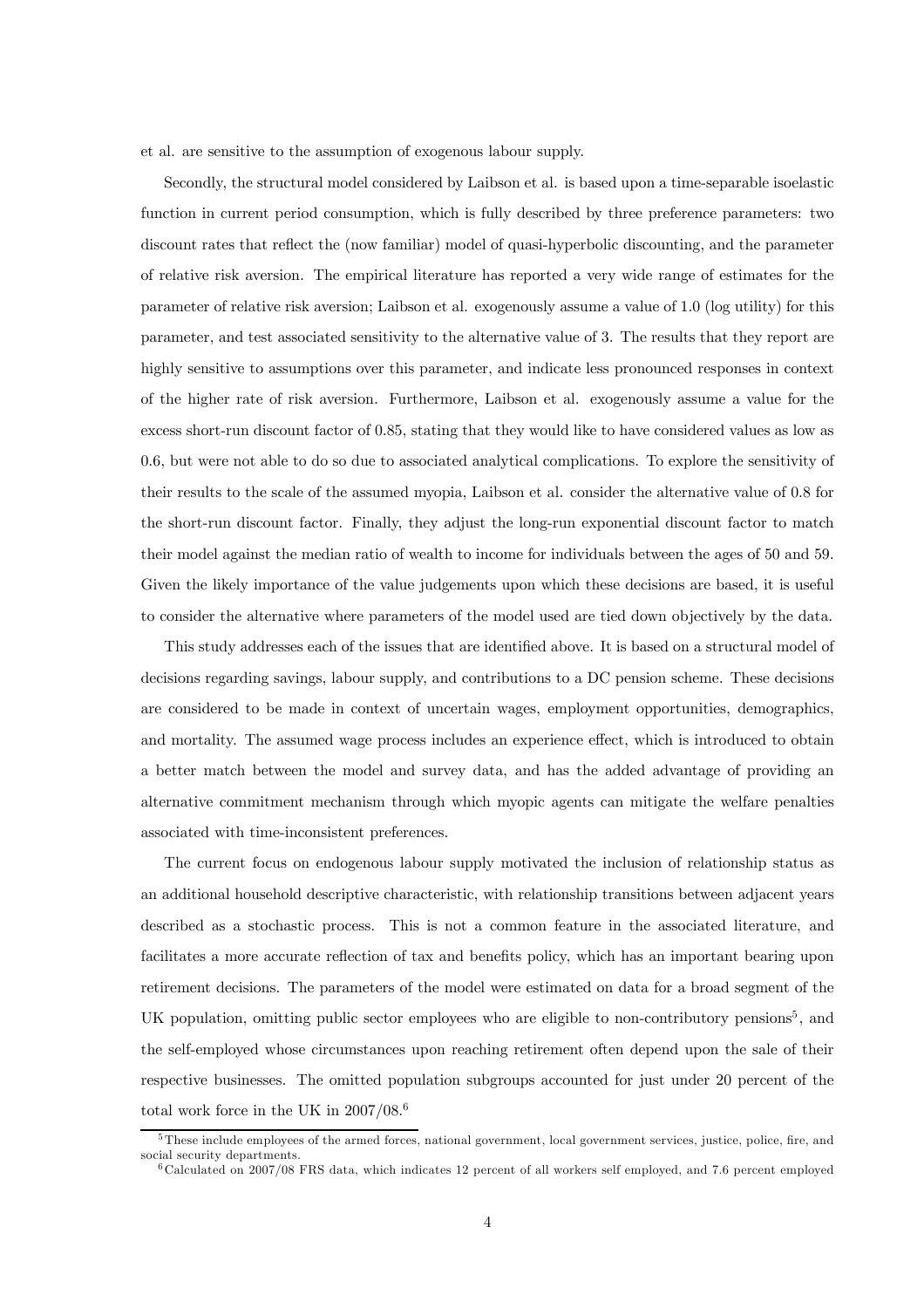et al. are sensitive to the assumption of exogenous labour supply.

Secondly, the structural model considered by Laibson et al. is based upon a time-separable isoelastic function in current period consumption, which is fully described by three preference parameters: two discount rates that reflect the (now familiar) model of quasi-hyperbolic discounting, and the parameter of relative risk aversion. The empirical literature has reported a very wide range of estimates for the parameter of relative risk aversion; Laibson et al. exogenously assume a value of 1.0 (log utility) for this parameter, and test associated sensitivity to the alternative value of 3. The results that they report are highly sensitive to assumptions over this parameter, and indicate less pronounced responses in context of the higher rate of risk aversion. Furthermore, Laibson et al. exogenously assume a value for the excess short-run discount factor of 0.85, stating that they would like to have considered values as low as 0.6, but were not able to do so due to associated analytical complications. To explore the sensitivity of their results to the scale of the assumed myopia, Laibson et al. consider the alternative value of 0.8 for the short-run discount factor. Finally, they adjust the long-run exponential discount factor to match their model against the median ratio of wealth to income for individuals between the ages of 50 and 59. Given the likely importance of the value judgements upon which these decisions are based, it is useful to consider the alternative where parameters of the model used are tied down objectively by the data.

This study addresses each of the issues that are identified above. It is based on a structural model of decisions regarding savings, labour supply, and contributions to a DC pension scheme. These decisions are considered to be made in context of uncertain wages, employment opportunities, demographics, and mortality. The assumed wage process includes an experience effect, which is introduced to obtain a better match between the model and survey data, and has the added advantage of providing an alternative commitment mechanism through which myopic agents can mitigate the welfare penalties associated with time-inconsistent preferences.

The current focus on endogenous labour supply motivated the inclusion of relationship status as an additional household descriptive characteristic, with relationship transitions between adjacent years described as a stochastic process. This is not a common feature in the associated literature, and facilitates a more accurate reflection of tax and benefits policy, which has an important bearing upon retirement decisions. The parameters of the model were estimated on data for a broad segment of the UK population, omitting public sector employees who are eligible to non-contributory pensions<sup>5</sup>, and the self-employed whose circumstances upon reaching retirement often depend upon the sale of their respective businesses. The omitted population subgroups accounted for just under 20 percent of the total work force in the UK in  $2007/08.^6$ 

<sup>5</sup>These include employees of the armed forces, national government, local government services, justice, police, fire, and social security departments.

<sup>6</sup>Calculated on 2007/08 FRS data, which indicates 12 percent of all workers self employed, and 7.6 percent employed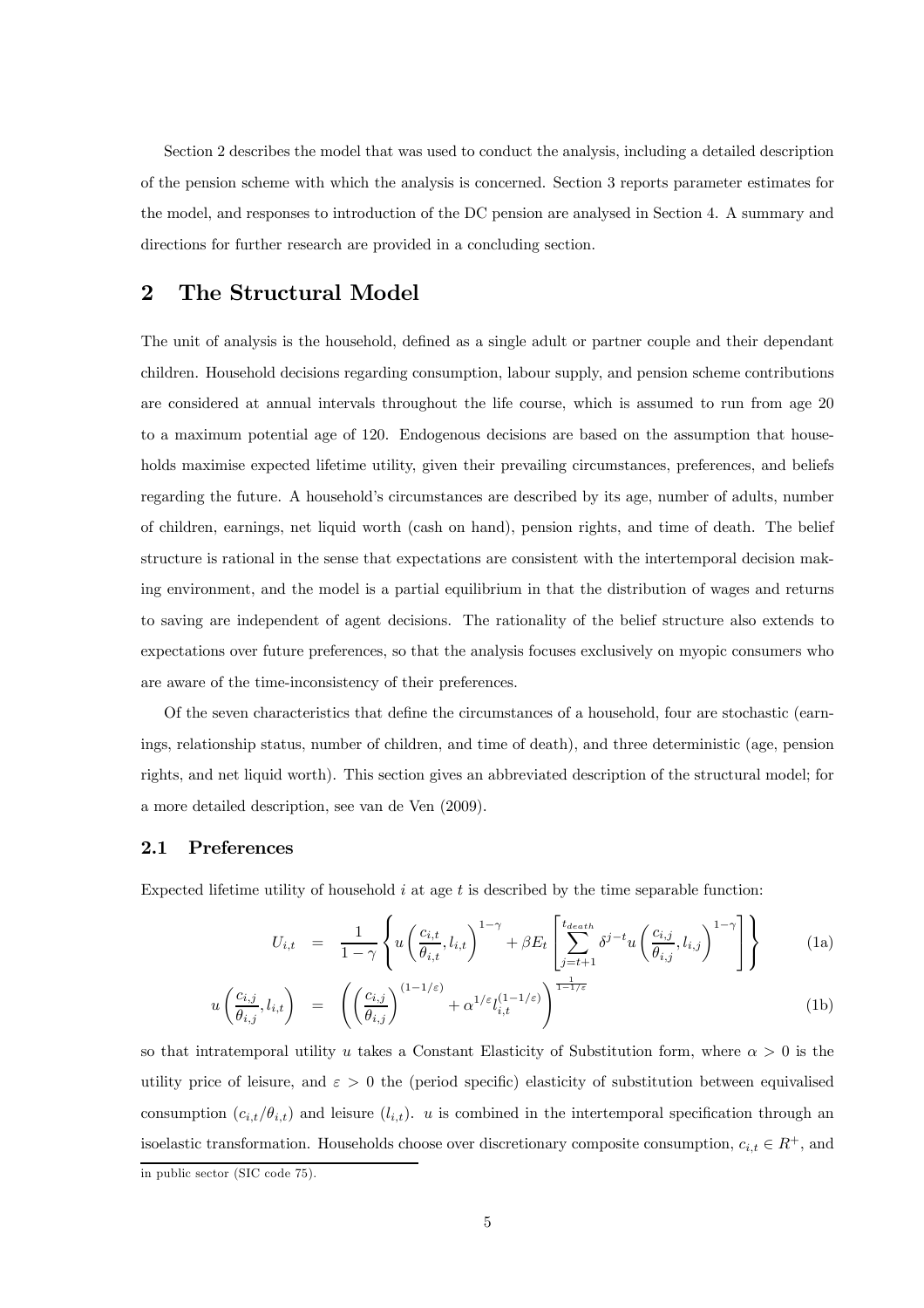Section 2 describes the model that was used to conduct the analysis, including a detailed description of the pension scheme with which the analysis is concerned. Section 3 reports parameter estimates for the model, and responses to introduction of the DC pension are analysed in Section 4. A summary and directions for further research are provided in a concluding section.

# 2 The Structural Model

The unit of analysis is the household, defined as a single adult or partner couple and their dependant children. Household decisions regarding consumption, labour supply, and pension scheme contributions are considered at annual intervals throughout the life course, which is assumed to run from age 20 to a maximum potential age of 120. Endogenous decisions are based on the assumption that households maximise expected lifetime utility, given their prevailing circumstances, preferences, and beliefs regarding the future. A household's circumstances are described by its age, number of adults, number of children, earnings, net liquid worth (cash on hand), pension rights, and time of death. The belief structure is rational in the sense that expectations are consistent with the intertemporal decision making environment, and the model is a partial equilibrium in that the distribution of wages and returns to saving are independent of agent decisions. The rationality of the belief structure also extends to expectations over future preferences, so that the analysis focuses exclusively on myopic consumers who are aware of the time-inconsistency of their preferences.

Of the seven characteristics that define the circumstances of a household, four are stochastic (earnings, relationship status, number of children, and time of death), and three deterministic (age, pension rights, and net liquid worth). This section gives an abbreviated description of the structural model; for a more detailed description, see van de Ven (2009).

## 2.1 Preferences

Expected lifetime utility of household  $i$  at age  $t$  is described by the time separable function:

$$
U_{i,t} = \frac{1}{1-\gamma} \left\{ u \left( \frac{c_{i,t}}{\theta_{i,t}}, l_{i,t} \right)^{1-\gamma} + \beta E_t \left[ \sum_{j=t+1}^{t_{death}} \delta^{j-t} u \left( \frac{c_{i,j}}{\theta_{i,j}}, l_{i,j} \right)^{1-\gamma} \right] \right\}
$$
(1a)

$$
u\left(\frac{c_{i,j}}{\theta_{i,j}}, l_{i,t}\right) = \left(\left(\frac{c_{i,j}}{\theta_{i,j}}\right)^{(1-1/\varepsilon)} + \alpha^{1/\varepsilon} l_{i,t}^{(1-1/\varepsilon)}\right)^{\frac{1}{1-1/\varepsilon}}
$$
(1b)

so that intratemporal utility u takes a Constant Elasticity of Substitution form, where  $\alpha > 0$  is the utility price of leisure, and  $\varepsilon > 0$  the (period specific) elasticity of substitution between equivalised consumption  $(c_{i,t}/\theta_{i,t})$  and leisure  $(l_{i,t})$ . u is combined in the intertemporal specification through an isoelastic transformation. Households choose over discretionary composite consumption,  $c_{i,t} \in R^+$ , and in public sector (SIC code 75).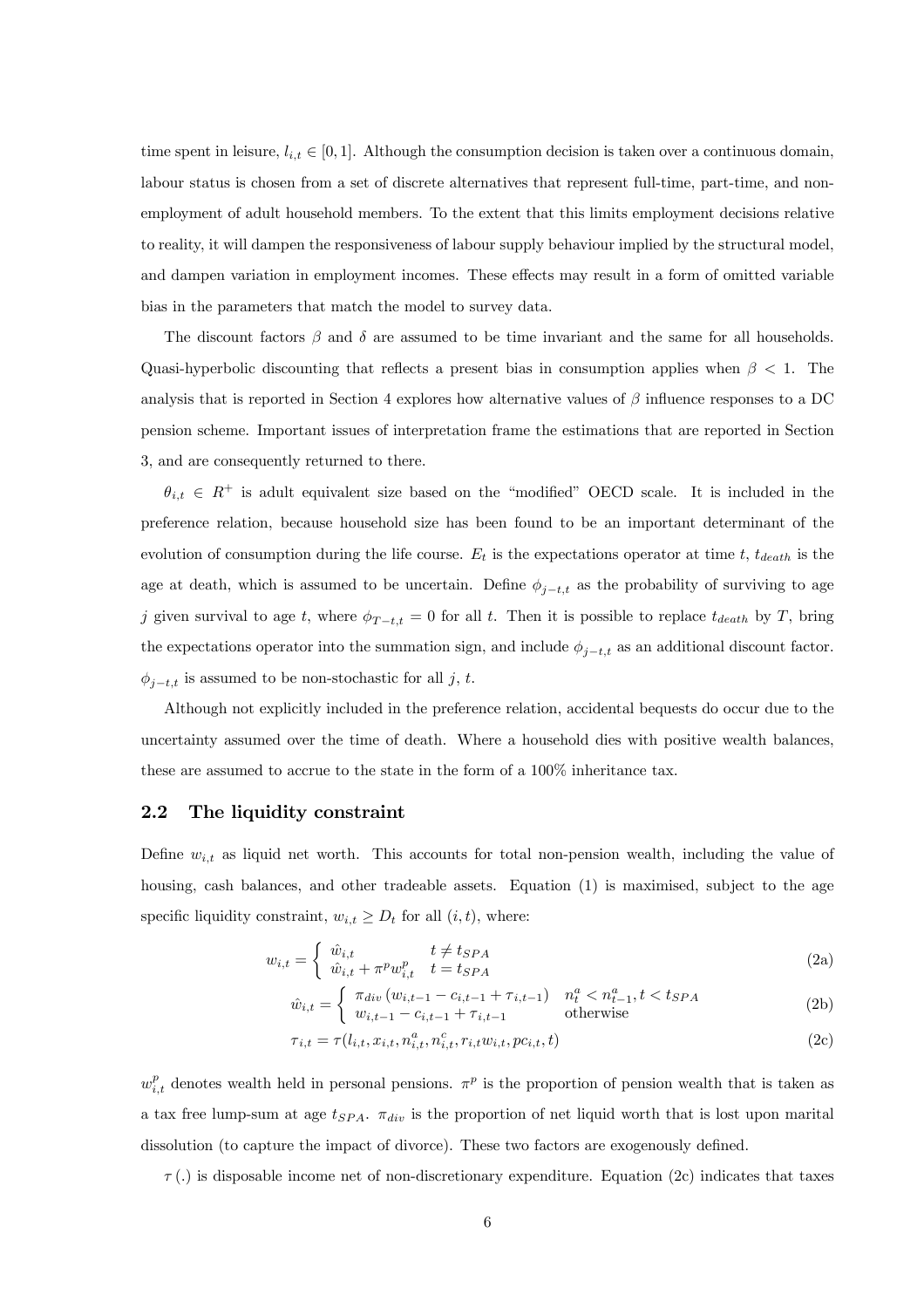time spent in leisure,  $l_{i,t} \in [0,1]$ . Although the consumption decision is taken over a continuous domain, labour status is chosen from a set of discrete alternatives that represent full-time, part-time, and nonemployment of adult household members. To the extent that this limits employment decisions relative to reality, it will dampen the responsiveness of labour supply behaviour implied by the structural model, and dampen variation in employment incomes. These effects may result in a form of omitted variable bias in the parameters that match the model to survey data.

The discount factors  $\beta$  and  $\delta$  are assumed to be time invariant and the same for all households. Quasi-hyperbolic discounting that reflects a present bias in consumption applies when  $\beta$  < 1. The analysis that is reported in Section 4 explores how alternative values of  $\beta$  influence responses to a DC pension scheme. Important issues of interpretation frame the estimations that are reported in Section 3, and are consequently returned to there.

 $\theta_{i,t} \in R^+$  is adult equivalent size based on the "modified" OECD scale. It is included in the preference relation, because household size has been found to be an important determinant of the evolution of consumption during the life course.  $E_t$  is the expectations operator at time t,  $t_{death}$  is the age at death, which is assumed to be uncertain. Define  $\phi_{j-t,t}$  as the probability of surviving to age j given survival to age t, where  $\phi_{T-t,t} = 0$  for all t. Then it is possible to replace  $t_{death}$  by T, bring the expectations operator into the summation sign, and include  $\phi_{j-t,t}$  as an additional discount factor.  $\phi_{j-t,t}$  is assumed to be non-stochastic for all j, t.

Although not explicitly included in the preference relation, accidental bequests do occur due to the uncertainty assumed over the time of death. Where a household dies with positive wealth balances, these are assumed to accrue to the state in the form of a 100% inheritance tax.

## 2.2 The liquidity constraint

Define  $w_{i,t}$  as liquid net worth. This accounts for total non-pension wealth, including the value of housing, cash balances, and other tradeable assets. Equation (1) is maximised, subject to the age specific liquidity constraint,  $w_{i,t} \geq D_t$  for all  $(i, t)$ , where:

$$
w_{i,t} = \begin{cases} \hat{w}_{i,t} & t \neq t_{SPA} \\ \hat{w}_{i,t} + \pi^p w_{i,t}^p & t = t_{SPA} \end{cases}
$$
 (2a)

$$
\hat{w}_{i,t} = \begin{cases} \pi_{div} \left( w_{i,t-1} - c_{i,t-1} + \tau_{i,t-1} \right) & n_t^a < n_{t-1}^a, t < t_{SPA} \\ w_{i,t-1} - c_{i,t-1} + \tau_{i,t-1} & \text{otherwise} \end{cases} \tag{2b}
$$

$$
\tau_{i,t} = \tau(l_{i,t}, x_{i,t}, n_{i,t}^a, n_{i,t}^c, r_{i,t} w_{i,t}, pc_{i,t}, t)
$$
\n(2c)

 $w_{i,t}^p$  denotes wealth held in personal pensions.  $\pi^p$  is the proportion of pension wealth that is taken as a tax free lump-sum at age  $t_{SPA}$ .  $\pi_{div}$  is the proportion of net liquid worth that is lost upon marital dissolution (to capture the impact of divorce). These two factors are exogenously defined.

 $\tau$ (.) is disposable income net of non-discretionary expenditure. Equation (2c) indicates that taxes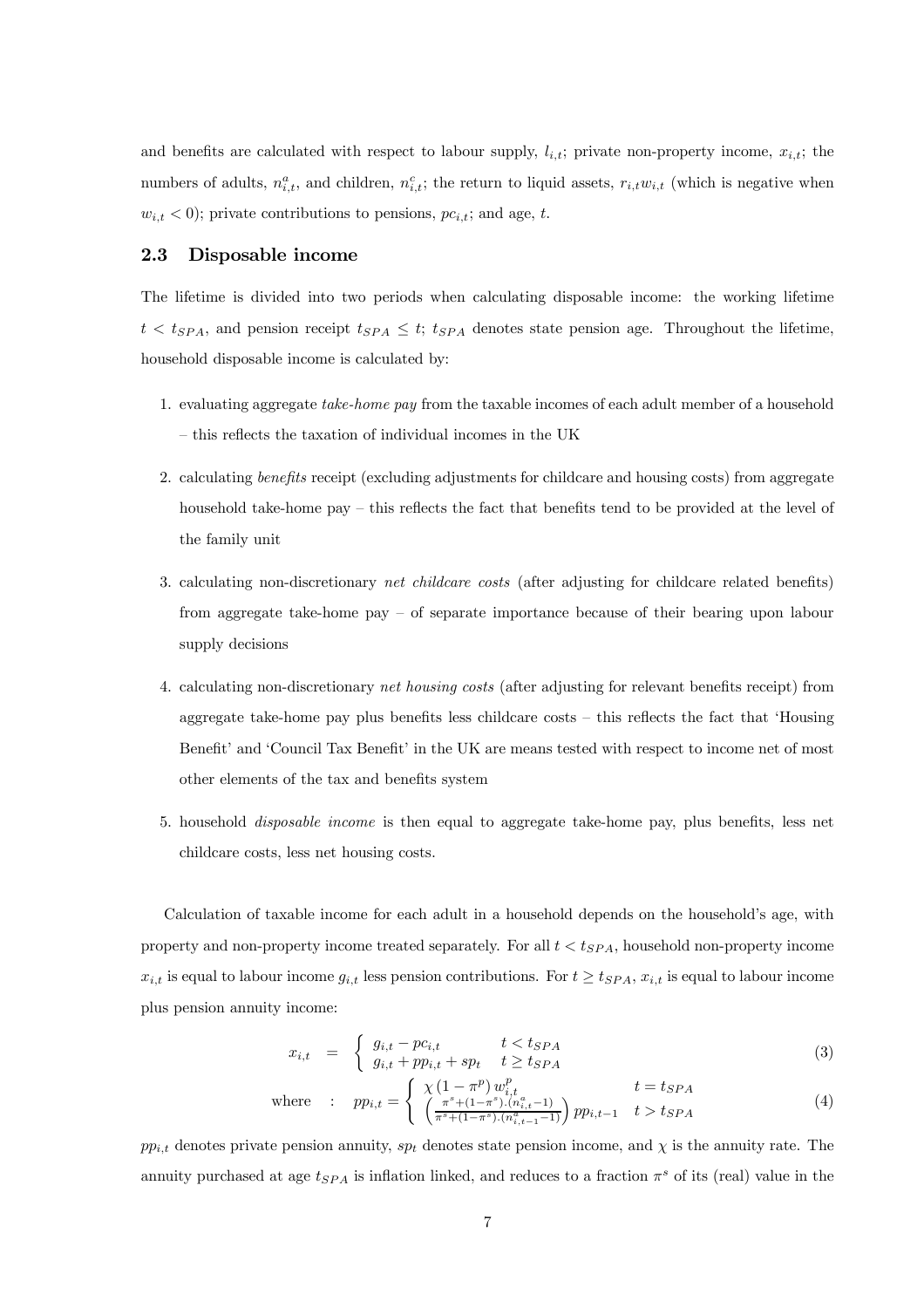and benefits are calculated with respect to labour supply,  $l_{i,t}$ ; private non-property income,  $x_{i,t}$ ; the numbers of adults,  $n_{i,t}^a$ , and children,  $n_{i,t}^c$ ; the return to liquid assets,  $r_{i,t}w_{i,t}$  (which is negative when  $w_{i,t} < 0$ ; private contributions to pensions,  $pc_{i,t}$ ; and age, t.

## 2.3 Disposable income

The lifetime is divided into two periods when calculating disposable income: the working lifetime  $t < t_{SPA}$ , and pension receipt  $t_{SPA} \leq t$ ;  $t_{SPA}$  denotes state pension age. Throughout the lifetime, household disposable income is calculated by:

- 1. evaluating aggregate take-home pay from the taxable incomes of each adult member of a household — this reflects the taxation of individual incomes in the UK
- 2. calculating benefits receipt (excluding adjustments for childcare and housing costs) from aggregate household take-home pay – this reflects the fact that benefits tend to be provided at the level of the family unit
- 3. calculating non-discretionary net childcare costs (after adjusting for childcare related benefits) from aggregate take-home pay — of separate importance because of their bearing upon labour supply decisions
- 4. calculating non-discretionary net housing costs (after adjusting for relevant benefits receipt) from aggregate take-home pay plus benefits less childcare costs — this reflects the fact that 'Housing Benefit' and 'Council Tax Benefit' in the UK are means tested with respect to income net of most other elements of the tax and benefits system
- 5. household disposable income is then equal to aggregate take-home pay, plus benefits, less net childcare costs, less net housing costs.

Calculation of taxable income for each adult in a household depends on the household's age, with property and non-property income treated separately. For all  $t < t_{SPA}$ , household non-property income  $x_{i,t}$  is equal to labour income  $g_{i,t}$  less pension contributions. For  $t \geq t_{SPA}, x_{i,t}$  is equal to labour income plus pension annuity income:

$$
x_{i,t} = \begin{cases} g_{i,t} - pc_{i,t} & t < t_{SPA} \\ g_{i,t} + pp_{i,t} + sp_t & t \ge t_{SPA} \end{cases} \tag{3}
$$

where : 
$$
pp_{i,t} = \begin{cases} \chi \left(1 - \pi^p\right) w_{i,t}^p & t = t_{SPA} \\ \left(\frac{\pi^s + (1 - \pi^s) \cdot (n_{i,t}^a - 1)}{\pi^s + (1 - \pi^s) \cdot (n_{i,t-1}^a - 1)}\right) pp_{i,t-1} & t > t_{SPA} \end{cases}
$$
 (4)

 $pp_{i,t}$  denotes private pension annuity,  $sp_t$  denotes state pension income, and  $\chi$  is the annuity rate. The annuity purchased at age  $t_{SPA}$  is inflation linked, and reduces to a fraction  $\pi^s$  of its (real) value in the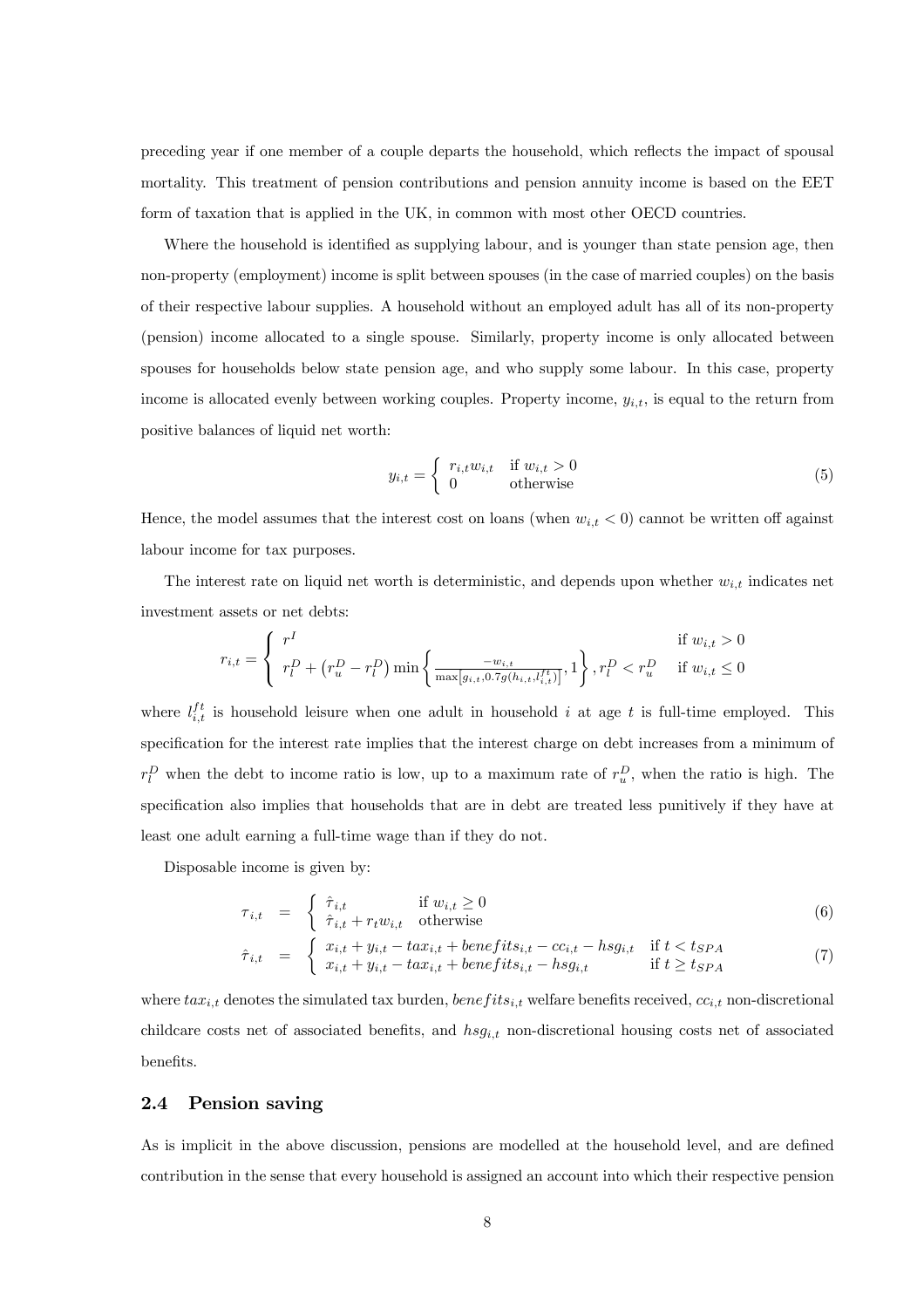preceding year if one member of a couple departs the household, which reflects the impact of spousal mortality. This treatment of pension contributions and pension annuity income is based on the EET form of taxation that is applied in the UK, in common with most other OECD countries.

Where the household is identified as supplying labour, and is younger than state pension age, then non-property (employment) income is split between spouses (in the case of married couples) on the basis of their respective labour supplies. A household without an employed adult has all of its non-property (pension) income allocated to a single spouse. Similarly, property income is only allocated between spouses for households below state pension age, and who supply some labour. In this case, property income is allocated evenly between working couples. Property income,  $y_{i,t}$ , is equal to the return from positive balances of liquid net worth:

$$
y_{i,t} = \begin{cases} r_{i,t}w_{i,t} & \text{if } w_{i,t} > 0\\ 0 & \text{otherwise} \end{cases}
$$
 (5)

Hence, the model assumes that the interest cost on loans (when  $w_{i,t} < 0$ ) cannot be written off against labour income for tax purposes.

The interest rate on liquid net worth is deterministic, and depends upon whether  $w_{i,t}$  indicates net investment assets or net debts:

$$
r_{i,t} = \begin{cases} r^I & \text{if } w_{i,t} > 0\\ r_l^D + (r_u^D - r_l^D) \min\left\{\frac{-w_{i,t}}{\max[g_{i,t}, 0.7g(h_{i,t}, l_{i,t}^{ft})]}, 1\right\}, r_l^D < r_u^D \quad \text{if } w_{i,t} \le 0 \end{cases}
$$

where  $l_{i,t}^{ft}$  is household leisure when one adult in household i at age t is full-time employed. This specification for the interest rate implies that the interest charge on debt increases from a minimum of  $r_l^D$  when the debt to income ratio is low, up to a maximum rate of  $r_u^D$ , when the ratio is high. The specification also implies that households that are in debt are treated less punitively if they have at least one adult earning a full-time wage than if they do not.

Disposable income is given by:

$$
\tau_{i,t} = \begin{cases} \hat{\tau}_{i,t} & \text{if } w_{i,t} \ge 0\\ \hat{\tau}_{i,t} + r_t w_{i,t} & \text{otherwise} \end{cases}
$$
\n(6)

$$
\hat{\tau}_{i,t} = \begin{cases}\n x_{i,t} + y_{i,t} - tax_{i,t} + benefits_{i,t} - cc_{i,t} - hsg_{i,t} & \text{if } t < t_{SPA} \\
x_{i,t} + y_{i,t} - tax_{i,t} + benefits_{i,t} - hsg_{i,t} & \text{if } t \geq t_{SPA}\n\end{cases} \tag{7}
$$

where  $tax_{i,t}$  denotes the simulated tax burden,  $benefits_{i,t}$  welfare benefits received,  $cc_{i,t}$  non-discretional childcare costs net of associated benefits, and  $hsg_{i,t}$  non-discretional housing costs net of associated benefits.

## 2.4 Pension saving

As is implicit in the above discussion, pensions are modelled at the household level, and are defined contribution in the sense that every household is assigned an account into which their respective pension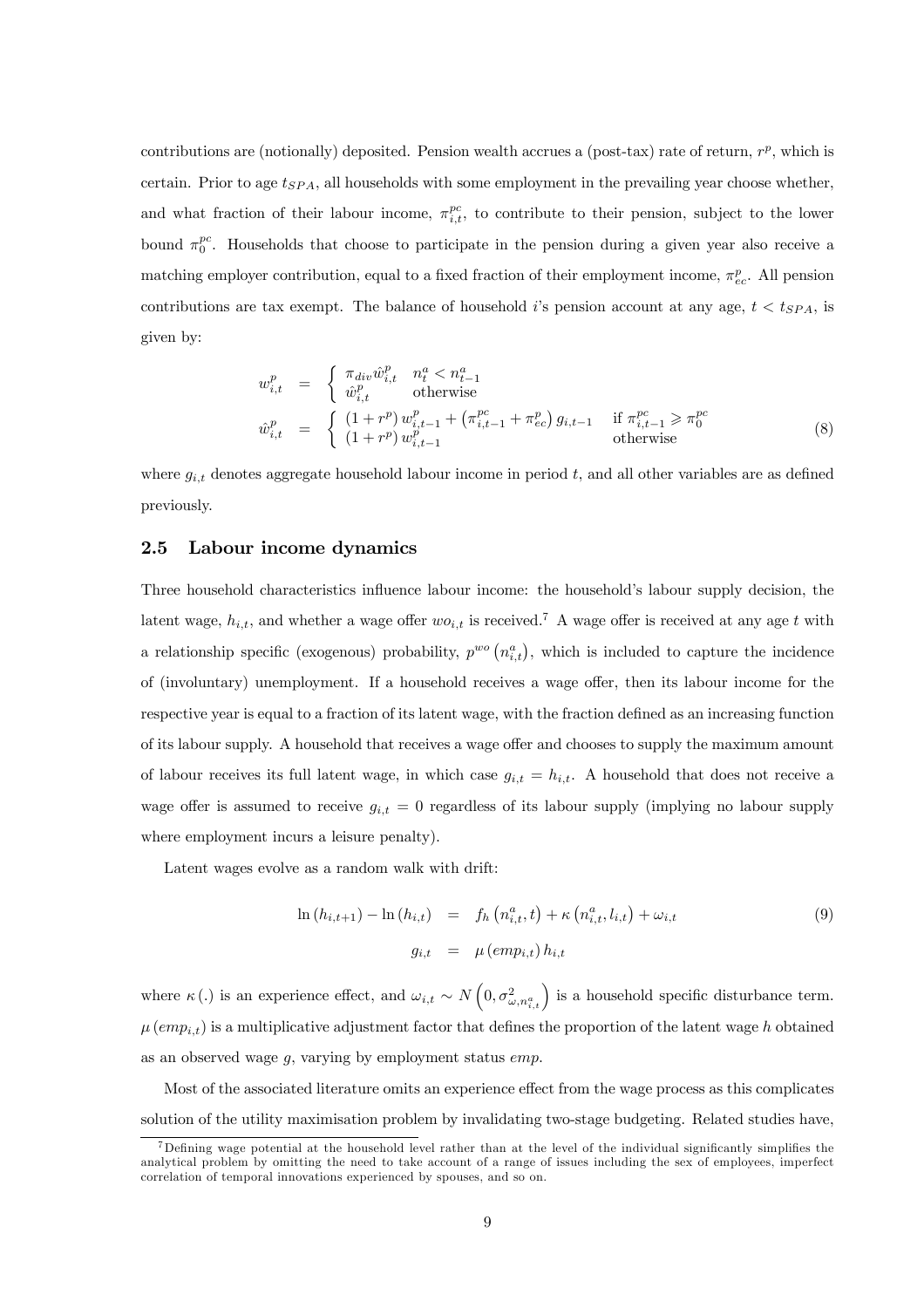contributions are (notionally) deposited. Pension wealth accrues a (post-tax) rate of return,  $r^p$ , which is certain. Prior to age  $t_{SPA}$ , all households with some employment in the prevailing year choose whether, and what fraction of their labour income,  $\pi_{i,t}^{pc}$ , to contribute to their pension, subject to the lower bound  $\pi_0^{pc}$ . Households that choose to participate in the pension during a given year also receive a matching employer contribution, equal to a fixed fraction of their employment income,  $\pi_{ec}^p$ . All pension contributions are tax exempt. The balance of household i's pension account at any age,  $t < t_{SPA}$ , is given by:

$$
w_{i,t}^{p} = \begin{cases} \pi_{div} \hat{w}_{i,t}^{p} & n_t^{a} < n_{t-1}^{a} \\ \hat{w}_{i,t}^{p} & \text{otherwise} \end{cases}
$$
  
\n
$$
\hat{w}_{i,t}^{p} = \begin{cases} (1+r^{p}) w_{i,t-1}^{p} + (\pi_{i,t-1}^{pc} + \pi_{ec}^{p}) g_{i,t-1} & \text{if } \pi_{i,t-1}^{pc} \geq \pi_{0}^{pc} \\ (1+r^{p}) w_{i,t-1}^{p} & \text{otherwise} \end{cases}
$$
\n(8)

where  $g_{i,t}$  denotes aggregate household labour income in period t, and all other variables are as defined previously.

## 2.5 Labour income dynamics

Three household characteristics influence labour income: the household's labour supply decision, the latent wage,  $h_{i,t}$ , and whether a wage offer  $wo_{i,t}$  is received.<sup>7</sup> A wage offer is received at any age t with a relationship specific (exogenous) probability,  $p^{wo} (n_{i,t}^a)$ , which is included to capture the incidence of (involuntary) unemployment. If a household receives a wage offer, then its labour income for the respective year is equal to a fraction of its latent wage, with the fraction defined as an increasing function of its labour supply. A household that receives a wage offer and chooses to supply the maximum amount of labour receives its full latent wage, in which case  $g_{i,t} = h_{i,t}$ . A household that does not receive a wage offer is assumed to receive  $g_{i,t} = 0$  regardless of its labour supply (implying no labour supply where employment incurs a leisure penalty).

Latent wages evolve as a random walk with drift:

$$
\ln(h_{i,t+1}) - \ln(h_{i,t}) = f_h(n_{i,t}^a, t) + \kappa(n_{i,t}^a, l_{i,t}) + \omega_{i,t}
$$
\n(9)\n  
\n
$$
g_{i,t} = \mu(\text{emp}_{i,t}) h_{i,t}
$$

where  $\kappa(.)$  is an experience effect, and  $\omega_{i,t} \sim N\left(0, \sigma_{\omega,n_{i,t}}^2\right)$  is a household specific disturbance term.  $\mu$  (emp<sub>i,t</sub>) is a multiplicative adjustment factor that defines the proportion of the latent wage h obtained as an observed wage  $g$ , varying by employment status  $emp$ .

Most of the associated literature omits an experience effect from the wage process as this complicates solution of the utility maximisation problem by invalidating two-stage budgeting. Related studies have,

<sup>7</sup>Defining wage potential at the household level rather than at the level of the individual significantly simplifies the analytical problem by omitting the need to take account of a range of issues including the sex of employees, imperfect correlation of temporal innovations experienced by spouses, and so on.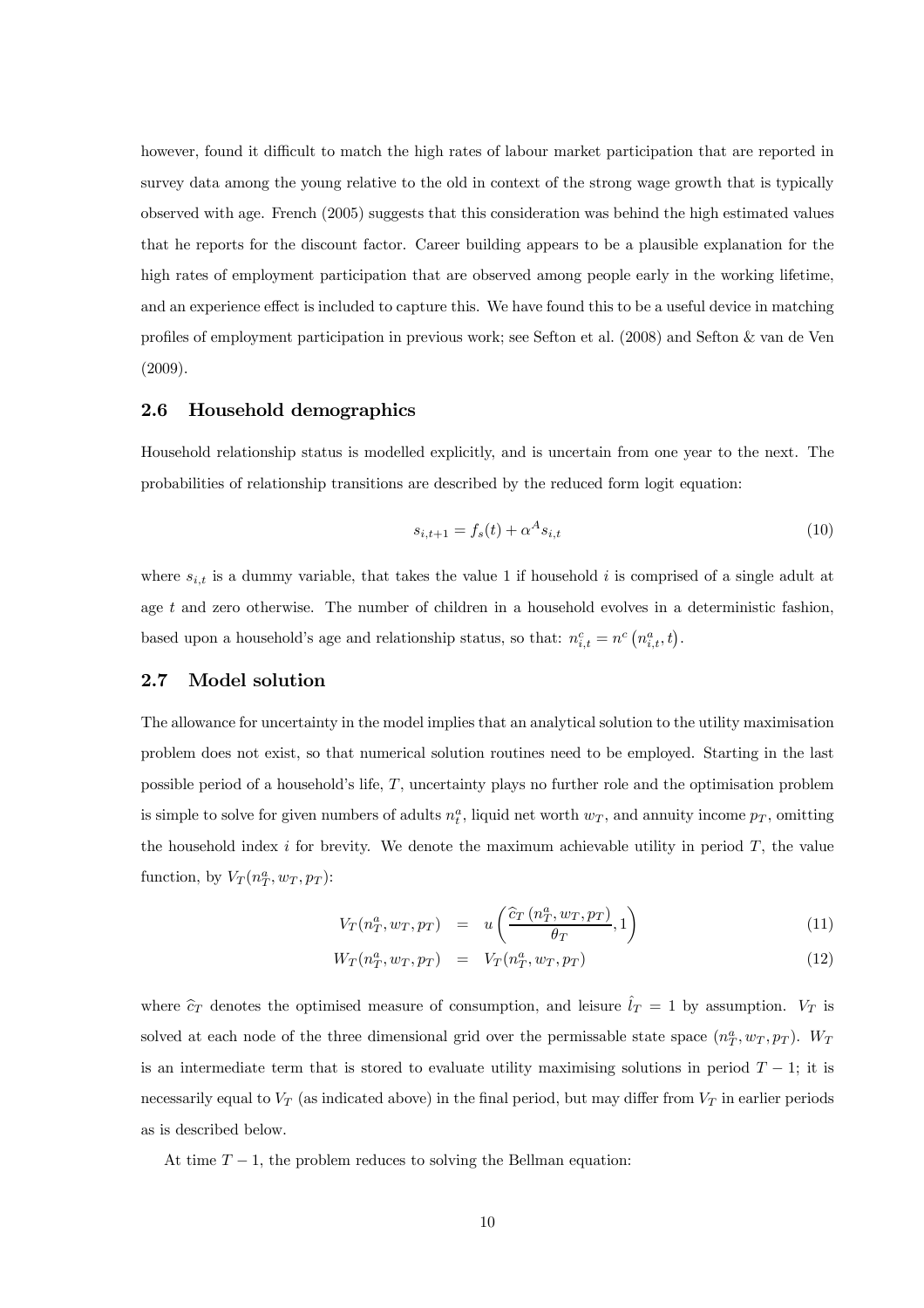however, found it difficult to match the high rates of labour market participation that are reported in survey data among the young relative to the old in context of the strong wage growth that is typically observed with age. French (2005) suggests that this consideration was behind the high estimated values that he reports for the discount factor. Career building appears to be a plausible explanation for the high rates of employment participation that are observed among people early in the working lifetime, and an experience effect is included to capture this. We have found this to be a useful device in matching profiles of employment participation in previous work; see Sefton et al. (2008) and Sefton & van de Ven (2009).

## 2.6 Household demographics

Household relationship status is modelled explicitly, and is uncertain from one year to the next. The probabilities of relationship transitions are described by the reduced form logit equation:

$$
s_{i,t+1} = f_s(t) + \alpha^A s_{i,t}
$$
\n(10)

where  $s_{i,t}$  is a dummy variable, that takes the value 1 if household i is comprised of a single adult at age t and zero otherwise. The number of children in a household evolves in a deterministic fashion, based upon a household's age and relationship status, so that:  $n_{i,t}^c = n^c (n_{i,t}^a, t)$ .

## 2.7 Model solution

The allowance for uncertainty in the model implies that an analytical solution to the utility maximisation problem does not exist, so that numerical solution routines need to be employed. Starting in the last possible period of a household's life, T, uncertainty plays no further role and the optimisation problem is simple to solve for given numbers of adults  $n_t^a$ , liquid net worth  $w_T$ , and annuity income  $p_T$ , omitting the household index i for brevity. We denote the maximum achievable utility in period  $T$ , the value function, by  $V_T(n_T^a, w_T, p_T)$ :

$$
V_T(n_T^a, w_T, p_T) = u\left(\frac{\hat{c}_T(n_T^a, w_T, p_T)}{\theta_T}, 1\right)
$$
\n(11)

$$
W_T(n_T^a, w_T, p_T) = V_T(n_T^a, w_T, p_T)
$$
\n
$$
(12)
$$

where  $\hat{c}_T$  denotes the optimised measure of consumption, and leisure  $\hat{l}_T = 1$  by assumption.  $V_T$  is solved at each node of the three dimensional grid over the permissable state space  $(n_T^a, w_T, p_T)$ .  $W_T$ is an intermediate term that is stored to evaluate utility maximising solutions in period  $T - 1$ ; it is necessarily equal to  $V_T$  (as indicated above) in the final period, but may differ from  $V_T$  in earlier periods as is described below.

At time  $T - 1$ , the problem reduces to solving the Bellman equation: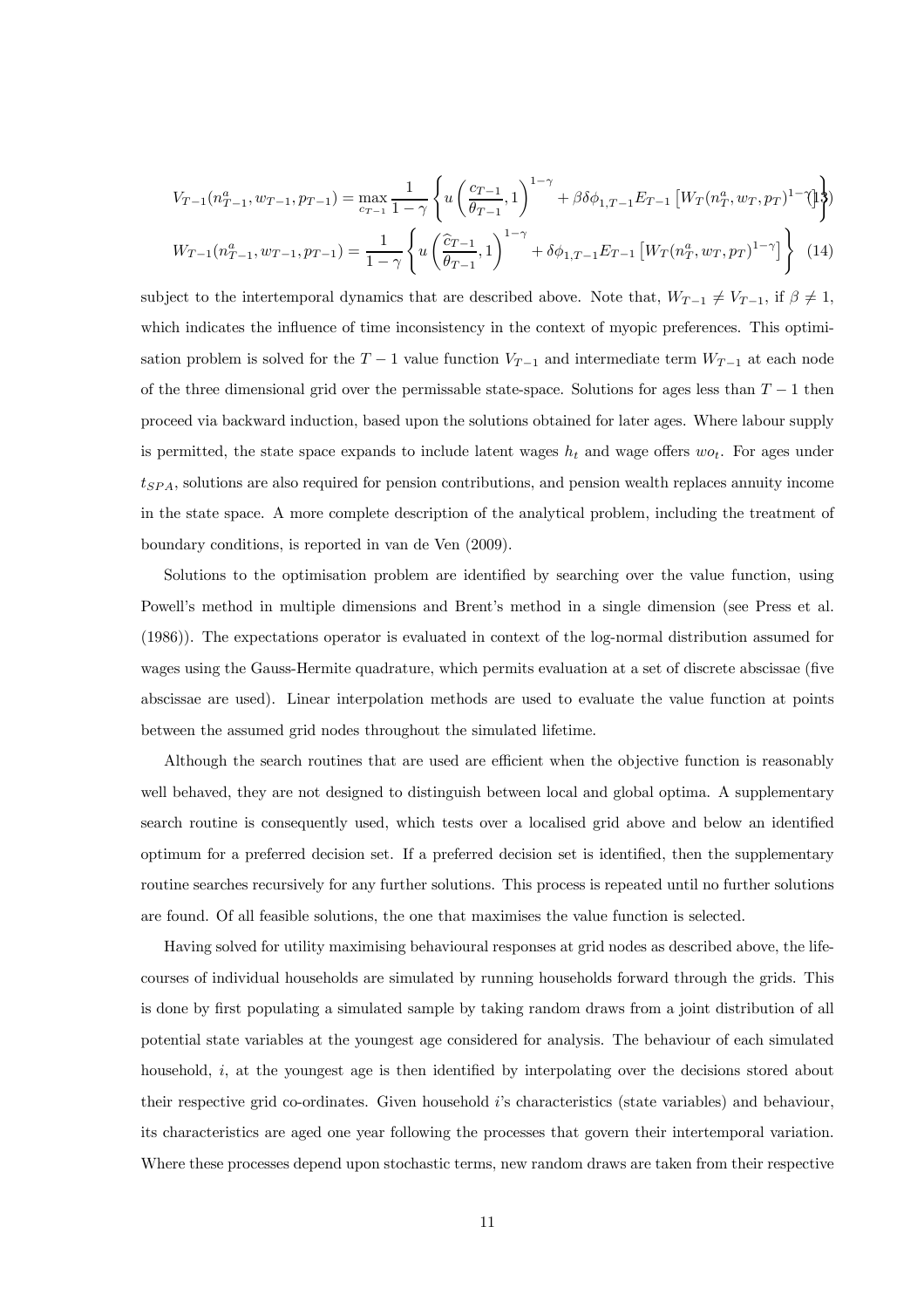$$
V_{T-1}(n_{T-1}^a, w_{T-1}, p_{T-1}) = \max_{c_{T-1}} \frac{1}{1-\gamma} \left\{ u \left( \frac{c_{T-1}}{\theta_{T-1}}, 1 \right)^{1-\gamma} + \beta \delta \phi_{1,T-1} E_{T-1} \left[ W_T(n_T^a, w_T, p_T)^{1-\gamma} \right] \right\}
$$

$$
W_{T-1}(n_{T-1}^a, w_{T-1}, p_{T-1}) = \frac{1}{1-\gamma} \left\{ u \left( \frac{\hat{c}_{T-1}}{\theta_{T-1}}, 1 \right)^{1-\gamma} + \delta \phi_{1,T-1} E_{T-1} \left[ W_T(n_T^a, w_T, p_T)^{1-\gamma} \right] \right\} \tag{14}
$$

subject to the intertemporal dynamics that are described above. Note that,  $W_{T-1} \neq V_{T-1}$ , if  $\beta \neq 1$ , which indicates the influence of time inconsistency in the context of myopic preferences. This optimisation problem is solved for the  $T-1$  value function  $V_{T-1}$  and intermediate term  $W_{T-1}$  at each node of the three dimensional grid over the permissable state-space. Solutions for ages less than  $T-1$  then proceed via backward induction, based upon the solutions obtained for later ages. Where labour supply is permitted, the state space expands to include latent wages  $h_t$  and wage offers  $wo_t$ . For ages under  $t_{SPA}$ , solutions are also required for pension contributions, and pension wealth replaces annuity income in the state space. A more complete description of the analytical problem, including the treatment of boundary conditions, is reported in van de Ven (2009).

Solutions to the optimisation problem are identified by searching over the value function, using Powell's method in multiple dimensions and Brent's method in a single dimension (see Press et al. (1986)). The expectations operator is evaluated in context of the log-normal distribution assumed for wages using the Gauss-Hermite quadrature, which permits evaluation at a set of discrete abscissae (five abscissae are used). Linear interpolation methods are used to evaluate the value function at points between the assumed grid nodes throughout the simulated lifetime.

Although the search routines that are used are efficient when the objective function is reasonably well behaved, they are not designed to distinguish between local and global optima. A supplementary search routine is consequently used, which tests over a localised grid above and below an identified optimum for a preferred decision set. If a preferred decision set is identified, then the supplementary routine searches recursively for any further solutions. This process is repeated until no further solutions are found. Of all feasible solutions, the one that maximises the value function is selected.

Having solved for utility maximising behavioural responses at grid nodes as described above, the lifecourses of individual households are simulated by running households forward through the grids. This is done by first populating a simulated sample by taking random draws from a joint distribution of all potential state variables at the youngest age considered for analysis. The behaviour of each simulated household, i, at the youngest age is then identified by interpolating over the decisions stored about their respective grid co-ordinates. Given household i's characteristics (state variables) and behaviour, its characteristics are aged one year following the processes that govern their intertemporal variation. Where these processes depend upon stochastic terms, new random draws are taken from their respective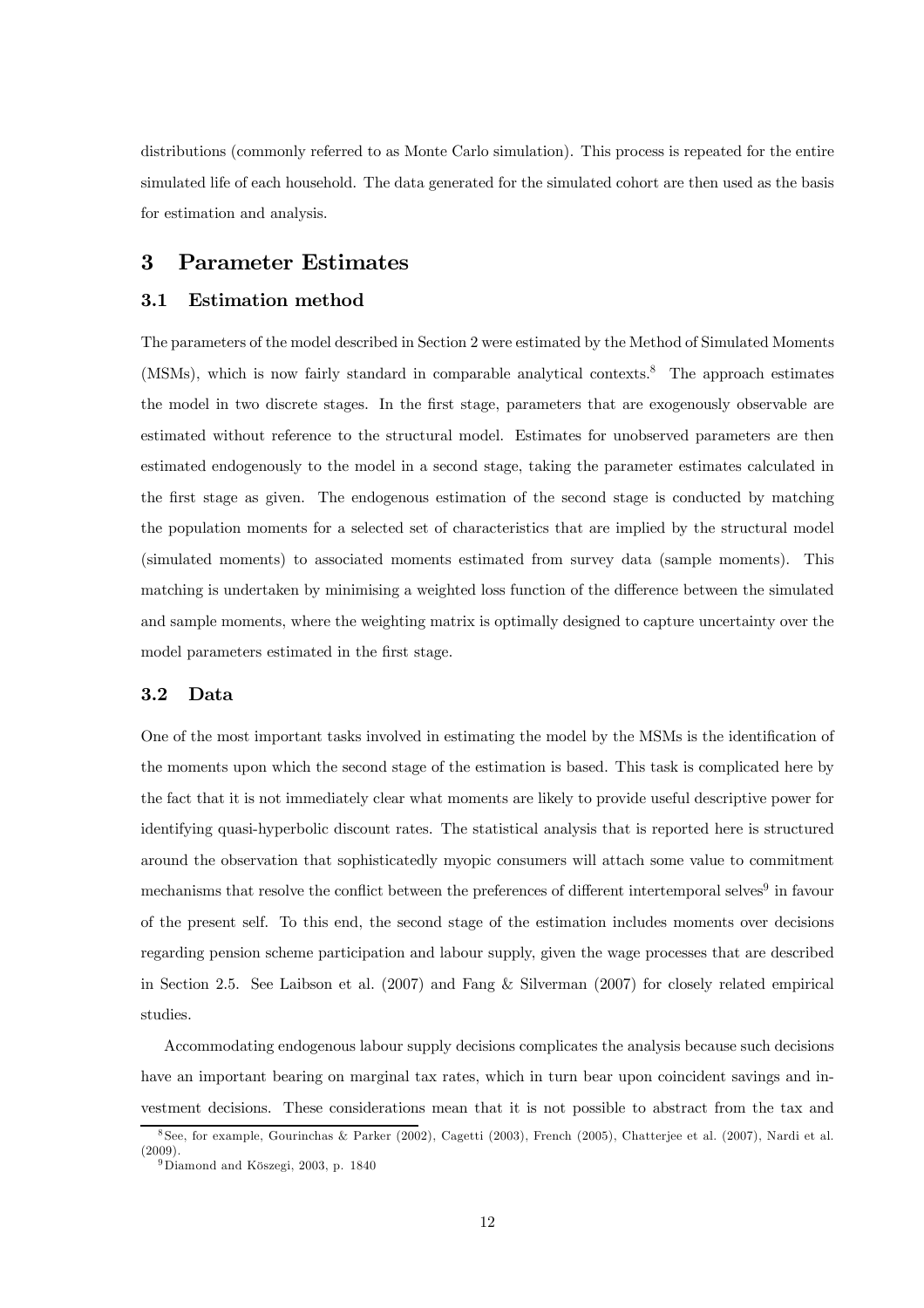distributions (commonly referred to as Monte Carlo simulation). This process is repeated for the entire simulated life of each household. The data generated for the simulated cohort are then used as the basis for estimation and analysis.

# 3 Parameter Estimates

## 3.1 Estimation method

The parameters of the model described in Section 2 were estimated by the Method of Simulated Moments (MSMs), which is now fairly standard in comparable analytical contexts.8 The approach estimates the model in two discrete stages. In the first stage, parameters that are exogenously observable are estimated without reference to the structural model. Estimates for unobserved parameters are then estimated endogenously to the model in a second stage, taking the parameter estimates calculated in the first stage as given. The endogenous estimation of the second stage is conducted by matching the population moments for a selected set of characteristics that are implied by the structural model (simulated moments) to associated moments estimated from survey data (sample moments). This matching is undertaken by minimising a weighted loss function of the difference between the simulated and sample moments, where the weighting matrix is optimally designed to capture uncertainty over the model parameters estimated in the first stage.

## 3.2 Data

One of the most important tasks involved in estimating the model by the MSMs is the identification of the moments upon which the second stage of the estimation is based. This task is complicated here by the fact that it is not immediately clear what moments are likely to provide useful descriptive power for identifying quasi-hyperbolic discount rates. The statistical analysis that is reported here is structured around the observation that sophisticatedly myopic consumers will attach some value to commitment mechanisms that resolve the conflict between the preferences of different intertemporal selves<sup>9</sup> in favour of the present self. To this end, the second stage of the estimation includes moments over decisions regarding pension scheme participation and labour supply, given the wage processes that are described in Section 2.5. See Laibson et al. (2007) and Fang & Silverman (2007) for closely related empirical studies.

Accommodating endogenous labour supply decisions complicates the analysis because such decisions have an important bearing on marginal tax rates, which in turn bear upon coincident savings and investment decisions. These considerations mean that it is not possible to abstract from the tax and

<sup>8</sup> See, for example, Gourinchas & Parker (2002), Cagetti (2003), French (2005), Chatterjee et al. (2007), Nardi et al. (2009).

<sup>&</sup>lt;sup>9</sup>Diamond and Köszegi, 2003, p. 1840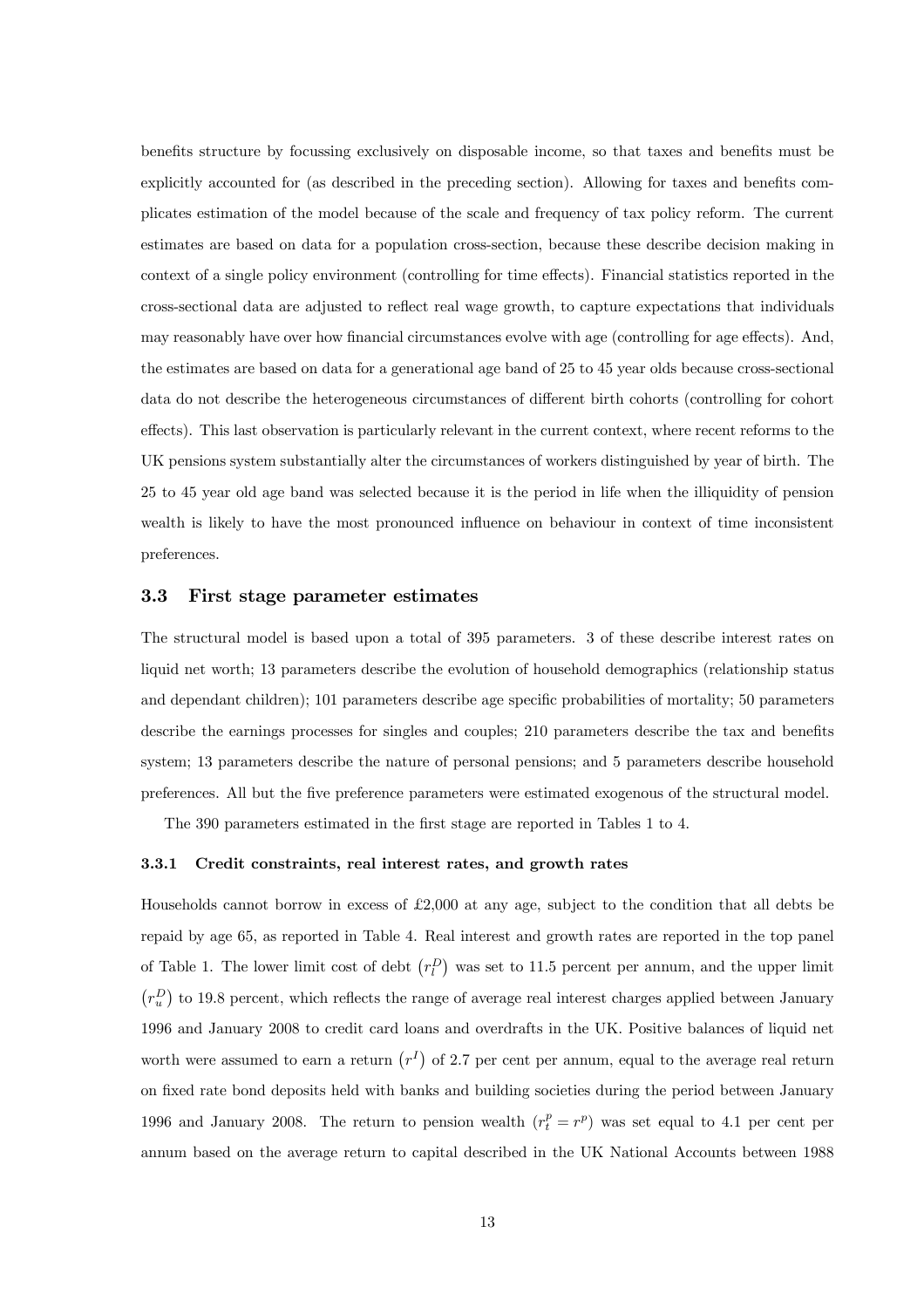benefits structure by focussing exclusively on disposable income, so that taxes and benefits must be explicitly accounted for (as described in the preceding section). Allowing for taxes and benefits complicates estimation of the model because of the scale and frequency of tax policy reform. The current estimates are based on data for a population cross-section, because these describe decision making in context of a single policy environment (controlling for time effects). Financial statistics reported in the cross-sectional data are adjusted to reflect real wage growth, to capture expectations that individuals may reasonably have over how financial circumstances evolve with age (controlling for age effects). And, the estimates are based on data for a generational age band of 25 to 45 year olds because cross-sectional data do not describe the heterogeneous circumstances of different birth cohorts (controlling for cohort effects). This last observation is particularly relevant in the current context, where recent reforms to the UK pensions system substantially alter the circumstances of workers distinguished by year of birth. The 25 to 45 year old age band was selected because it is the period in life when the illiquidity of pension wealth is likely to have the most pronounced influence on behaviour in context of time inconsistent preferences.

#### 3.3 First stage parameter estimates

The structural model is based upon a total of 395 parameters. 3 of these describe interest rates on liquid net worth; 13 parameters describe the evolution of household demographics (relationship status and dependant children); 101 parameters describe age specific probabilities of mortality; 50 parameters describe the earnings processes for singles and couples; 210 parameters describe the tax and benefits system; 13 parameters describe the nature of personal pensions; and 5 parameters describe household preferences. All but the five preference parameters were estimated exogenous of the structural model.

The 390 parameters estimated in the first stage are reported in Tables 1 to 4.

#### 3.3.1 Credit constraints, real interest rates, and growth rates

Households cannot borrow in excess of £2,000 at any age, subject to the condition that all debts be repaid by age 65, as reported in Table 4. Real interest and growth rates are reported in the top panel of Table 1. The lower limit cost of debt  $(r_l^D)$  was set to 11.5 percent per annum, and the upper limit  $(r_u^D)$  to 19.8 percent, which reflects the range of average real interest charges applied between January 1996 and January 2008 to credit card loans and overdrafts in the UK. Positive balances of liquid net worth were assumed to earn a return  $(r^I)$  of 2.7 per cent per annum, equal to the average real return on fixed rate bond deposits held with banks and building societies during the period between January 1996 and January 2008. The return to pension wealth  $(r_t^p = r^p)$  was set equal to 4.1 per cent per annum based on the average return to capital described in the UK National Accounts between 1988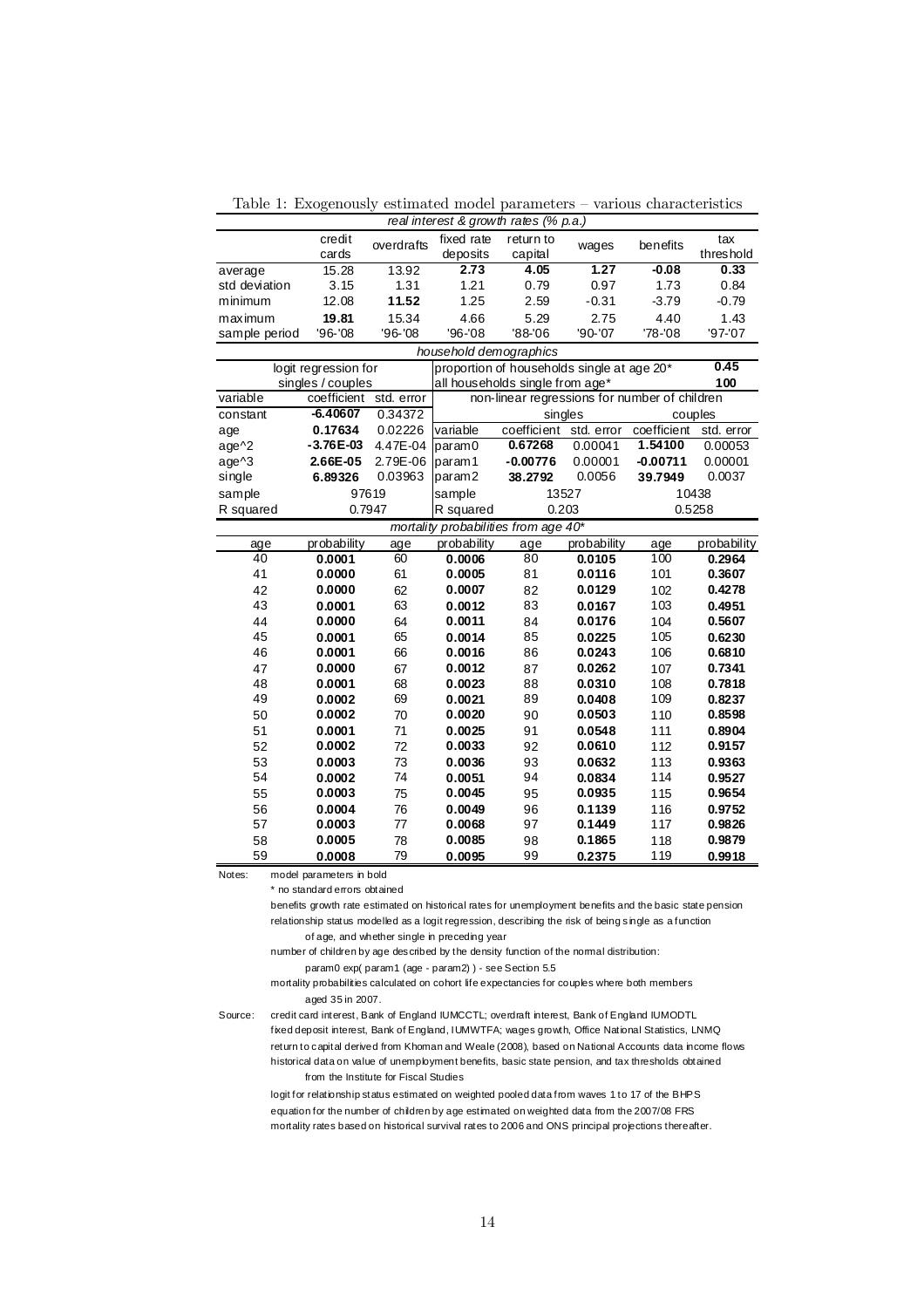Table 1: Exogenously estimated model parameters — various characteristics

| real interest & growth rates (% p.a.) |                          |            |                        |                                               |             |             |             |  |
|---------------------------------------|--------------------------|------------|------------------------|-----------------------------------------------|-------------|-------------|-------------|--|
|                                       | credit                   | overdrafts | fixed rate             | return to                                     | wages       | benefits    | tax         |  |
|                                       | cards                    |            | deposits               | capital                                       |             |             | threshold   |  |
| average                               | 15.28                    | 13.92      | 2.73                   | 4.05                                          | 1.27        | $-0.08$     | 0.33        |  |
| std deviation                         | 3.15                     | 1.31       | 1.21                   | 0.79                                          | 0.97        | 1.73        | 0.84        |  |
| minimum                               | 12.08                    | 11.52      | 1.25                   | 2.59                                          | $-0.31$     | $-3.79$     | $-0.79$     |  |
| maximum                               | 19.81                    | 15.34      | 4.66                   | 5.29                                          | 2.75        | 4.40        | 1.43        |  |
| sample period                         | '96-'08                  | '96-'08    | '96-'08                | '88-'06                                       | '90-'07     | '78-'08     | '97-'07     |  |
|                                       |                          |            | household demographics |                                               |             |             |             |  |
|                                       | logit regression for     |            |                        | proportion of households single at age 20*    |             |             | 0.45        |  |
|                                       | singles / couples        |            |                        | all households single from age*               |             |             | 100         |  |
| variable                              | coefficient std. error   |            |                        | non-linear regressions for number of children |             |             |             |  |
| constant                              | $-6.40607$               | 0.34372    |                        |                                               | singles     |             | couples     |  |
| age                                   | 0.17634                  | 0.02226    | variable               | coefficient                                   | std. error  | coefficient | std. error  |  |
| age^2                                 | $-3.76E-03$              | 4.47E-04   | param0                 | 0.67268                                       | 0.00041     | 1.54100     | 0.00053     |  |
| age^3                                 | 2.66E-05                 | 2.79E-06   | param1                 | $-0.00776$                                    | 0.00001     | $-0.00711$  | 0.00001     |  |
| single                                | 6.89326                  | 0.03963    | param2                 | 38.2792                                       | 0.0056      | 39.7949     | 0.0037      |  |
| sample                                | 97619                    |            | sample                 |                                               | 13527       | 10438       |             |  |
| R squared                             | 0.7947                   |            | R squared              | 0.203                                         |             |             | 0.5258      |  |
|                                       |                          |            |                        | mortality probabilities from age 40*          |             |             |             |  |
| age                                   | probability              | age        | probability            | age                                           | probability | age         | probability |  |
| $\overline{40}$                       | 0.0001                   | 60         | 0.0006                 | $\overline{80}$                               | 0.0105      | 100         | 0.2964      |  |
| 41                                    | 0.0000                   | 61         | 0.0005                 | 81                                            | 0.0116      | 101         | 0.3607      |  |
| 42                                    | 0.0000                   | 62         | 0.0007                 | 82                                            | 0.0129      | 102         | 0.4278      |  |
| 43                                    | 0.0001                   | 63         | 0.0012                 | 83                                            | 0.0167      | 103         | 0.4951      |  |
| 44                                    | 0.0000                   | 64         | 0.0011                 | 84                                            | 0.0176      | 104         | 0.5607      |  |
| 45                                    | 0.0001                   | 65         | 0.0014                 | 85                                            | 0.0225      | 105         | 0.6230      |  |
| 46                                    | 0.0001                   | 66         | 0.0016                 | 86                                            | 0.0243      | 106         | 0.6810      |  |
| 47                                    | 0.0000                   | 67         | 0.0012                 | 87                                            | 0.0262      | 107         | 0.7341      |  |
| 48                                    | 0.0001                   | 68         | 0.0023                 | 88                                            | 0.0310      | 108         | 0.7818      |  |
| 49                                    | 0.0002                   | 69         | 0.0021                 | 89                                            | 0.0408      | 109         | 0.8237      |  |
| 50                                    | 0.0002                   | 70         | 0.0020                 | 90                                            | 0.0503      | 110         | 0.8598      |  |
| 51                                    | 0.0001                   | 71         | 0.0025                 | 91                                            | 0.0548      | 111         | 0.8904      |  |
| 52                                    | 0.0002                   | 72         | 0.0033                 | 92                                            | 0.0610      | 112         | 0.9157      |  |
| 53                                    | 0.0003                   | 73         | 0.0036                 | 93                                            | 0.0632      | 113         | 0.9363      |  |
| 54                                    | 0.0002                   | 74         | 0.0051                 | 94                                            | 0.0834      | 114         | 0.9527      |  |
| 55                                    | 0.0003                   | 75         | 0.0045                 | 95                                            | 0.0935      | 115         | 0.9654      |  |
| 56                                    | 0.0004                   | 76         | 0.0049                 | 96                                            | 0.1139      | 116         | 0.9752      |  |
| 57                                    | 0.0003                   | 77         | 0.0068                 | 97                                            | 0.1449      | 117         | 0.9826      |  |
| 58                                    | 0.0005                   | 78         | 0.0085                 | 98                                            | 0.1865      | 118         | 0.9879      |  |
| 59                                    | 0.0008                   | 79         | 0.0095                 | 99                                            | 0.2375      | 119         | 0.9918      |  |
| Notes:                                | model parameters in bold |            |                        |                                               |             |             |             |  |

\* no standard errors obtained

benefits growth rate estimated on historical rates for unemployment benefits and the basic state pension relationship status modelled as a logit regression, describing the risk of being single as a function of age, and whether single in preceding year

number of children by age described by the density function of the normal distribution:

param0 exp( param1 (age - param2) ) - see Section 5.5

mortality probabilities calculated on cohort life expectancies for couples where both members aged 35 in 2007.

Source: credit card interest, Bank of England IUMCCTL; overdraft interest, Bank of England IUMODTL fixed deposit interest, Bank of England, IUMWTFA; wages growth, Office National Statistics, LNMQ return to capital derived from Khoman and Weale (2008), based on National Accounts data income flows historical data on value of unemployment benefits, basic state pension, and tax thresholds obtained from the Institute for Fiscal Studies

logit for relationship status estimated on weighted pooled data from waves 1 to 17 of the BHPS equation for the number of children by age estimated on weighted data from the 2007/08 FRS mortality rates based on historical survival rates to 2006 and ONS principal projections thereafter.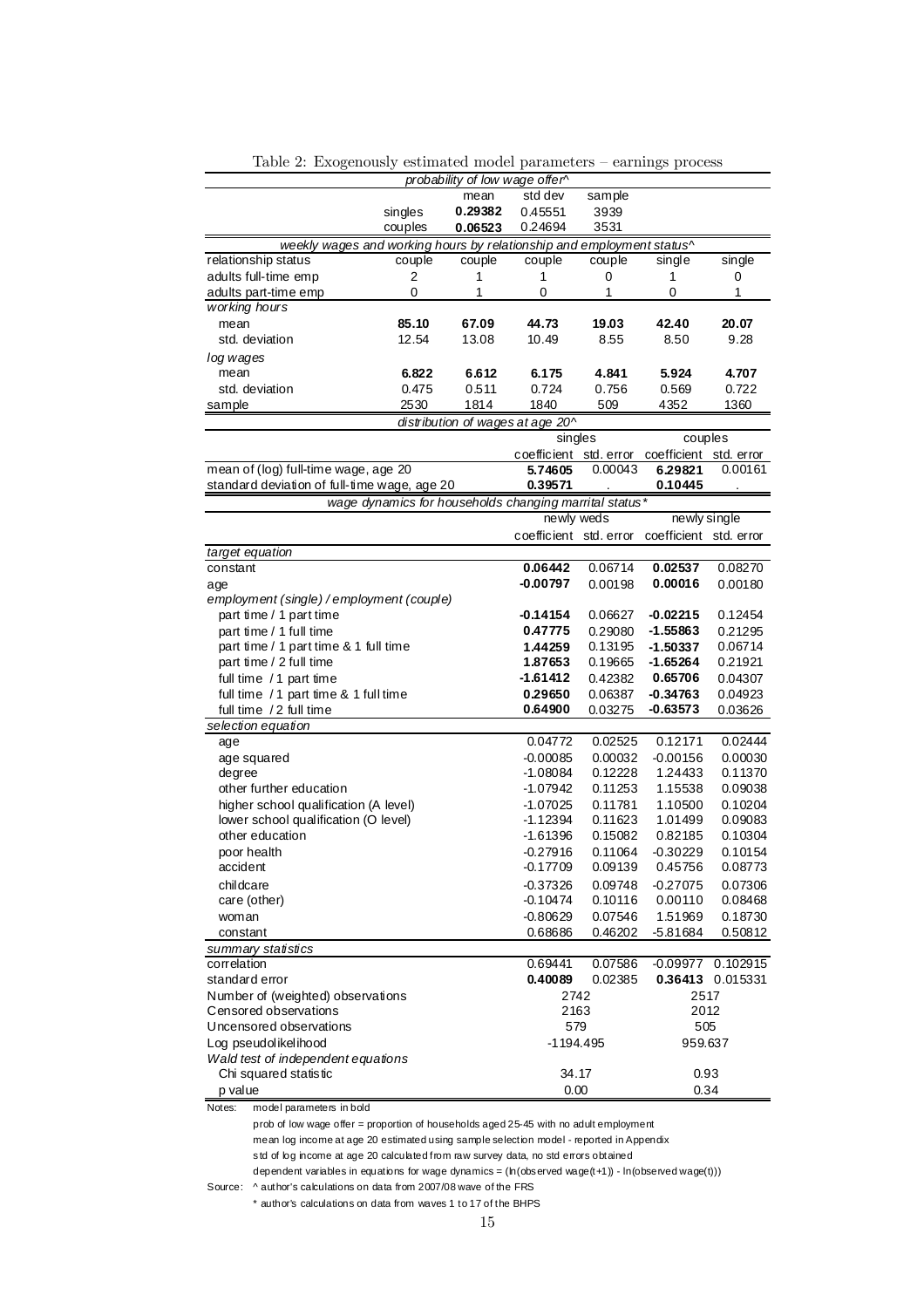|                                                                                       |         | probability of low wage offer^ |                                                        |                    |                        |                     |
|---------------------------------------------------------------------------------------|---------|--------------------------------|--------------------------------------------------------|--------------------|------------------------|---------------------|
|                                                                                       |         | mean                           | std dev                                                | sample             |                        |                     |
|                                                                                       | singles | 0.29382                        | 0.45551                                                | 3939               |                        |                     |
|                                                                                       | couples | 0.06523                        | 0.24694                                                | 3531               |                        |                     |
| weekly wages and working hours by relationship and employment status^                 |         |                                |                                                        |                    |                        |                     |
| relationship status                                                                   | couple  | couple                         | couple                                                 | couple             | single                 | single              |
| adults full-time emp                                                                  | 2       | 1                              | 1                                                      | 0                  | 1                      | 0                   |
| adults part-time emp                                                                  | 0       | 1                              | 0                                                      | 1                  | 0                      | 1                   |
| working hours                                                                         |         |                                |                                                        |                    |                        |                     |
| mean                                                                                  | 85.10   | 67.09                          | 44.73                                                  | 19.03              | 42.40                  | 20.07               |
| std. deviation                                                                        | 12.54   | 13.08                          | 10.49                                                  | 8.55               | 8.50                   | 9.28                |
| log wages                                                                             |         |                                |                                                        |                    |                        |                     |
| mean                                                                                  | 6.822   | 6.612                          | 6.175                                                  | 4.841              | 5.924                  | 4.707               |
| std. deviation                                                                        | 0.475   | 0.511                          | 0.724                                                  | 0.756              | 0.569                  | 0.722               |
| sample                                                                                | 2530    | 1814                           | 1840                                                   | 509                | 4352                   | 1360                |
|                                                                                       |         |                                | distribution of wages at age 20^                       |                    |                        |                     |
|                                                                                       |         |                                | singles                                                |                    | couples                |                     |
|                                                                                       |         |                                | coefficient std. error                                 |                    | coefficient std. error |                     |
| mean of (log) full-time wage, age 20                                                  |         |                                | 5.74605                                                | 0.00043            | 6.29821                | 0.00161             |
| standard deviation of full-time wage, age 20                                          |         |                                | 0.39571                                                |                    | 0.10445                |                     |
|                                                                                       |         |                                | wage dynamics for households changing marrital status* |                    |                        |                     |
|                                                                                       |         |                                | newly weds                                             |                    | newly single           |                     |
|                                                                                       |         |                                | coefficient std. error                                 |                    | coefficient std. error |                     |
| target equation                                                                       |         |                                |                                                        |                    |                        |                     |
| constant                                                                              |         |                                | 0.06442                                                | 0.06714            | 0.02537                | 0.08270             |
| age                                                                                   |         |                                | $-0.00797$                                             | 0.00198            | 0.00016                | 0.00180             |
| employment (single) / employment (couple)                                             |         |                                |                                                        |                    |                        |                     |
| part time / 1 part time                                                               |         |                                | -0.14154                                               | 0.06627            | $-0.02215$             | 0.12454             |
| part time / 1 full time                                                               |         |                                | 0.47775                                                | 0.29080            | $-1.55863$             | 0.21295             |
| part time / 1 part time & 1 full time                                                 |         |                                | 1.44259                                                | 0.13195            | $-1.50337$             | 0.06714             |
| part time / 2 full time                                                               |         |                                | 1.87653                                                | 0.19665            | $-1.65264$             | 0.21921             |
| full time / 1 part time                                                               |         |                                | -1.61412                                               | 0.42382            | 0.65706                | 0.04307             |
| full time / 1 part time & 1 full time                                                 |         |                                | 0.29650                                                | 0.06387            | $-0.34763$             | 0.04923             |
| full time /2 full time                                                                |         |                                | 0.64900                                                | 0.03275            | $-0.63573$             | 0.03626             |
| selection equation                                                                    |         |                                |                                                        |                    |                        |                     |
| age                                                                                   |         |                                | 0.04772                                                | 0.02525            | 0.12171                | 0.02444             |
| age squared                                                                           |         |                                | $-0.00085$                                             | 0.00032            | $-0.00156$             | 0.00030             |
| degree<br>other further education                                                     |         |                                | $-1.08084$<br>-1.07942                                 | 0.12228<br>0.11253 | 1.24433<br>1.15538     | 0.11370<br>0.09038  |
| higher school qualification (A level)                                                 |         |                                | $-1.07025$                                             | 0.11781            | 1.10500                | 0.10204             |
| lower school qualification (O level)                                                  |         |                                | $-1.12394$                                             | 0.11623            | 1.01499                | 0.09083             |
| other education                                                                       |         |                                | $-1.61396$                                             | 0.15082            | 0.82185                | 0.10304             |
| poor health                                                                           |         |                                | $-0.27916$                                             | 0.11064            | $-0.30229$             | 0.10154             |
| accident                                                                              |         |                                | $-0.17709$                                             | 0.09139            | 0.45756                | 0.08773             |
| childcare                                                                             |         |                                | $-0.37326$                                             | 0.09748            | $-0.27075$             | 0.07306             |
| care (other)                                                                          |         |                                | $-0.10474$                                             | 0.10116            | 0.00110                | 0.08468             |
| woman                                                                                 |         |                                | $-0.80629$                                             | 0.07546            | 1.51969                | 0.18730             |
| constant                                                                              |         |                                | 0.68686                                                | 0.46202            | -5.81684               | 0.50812             |
| summary statistics                                                                    |         |                                |                                                        |                    |                        |                     |
| correlation                                                                           |         |                                | 0.69441                                                | 0.07586            |                        | $-0.09977$ 0.102915 |
| standard error                                                                        |         |                                | 0.40089                                                | 0.02385            |                        | 0.36413 0.015331    |
| Number of (weighted) observations                                                     |         |                                | 2742                                                   |                    | 2517                   |                     |
| Censored observations                                                                 |         |                                | 2163                                                   |                    | 2012                   |                     |
| Uncensored observations                                                               |         |                                | 579                                                    |                    | 505                    |                     |
| Log pseudolikelihood                                                                  |         |                                | -1194.495                                              |                    | 959.637                |                     |
| Wald test of independent equations                                                    |         |                                |                                                        |                    |                        |                     |
| Chi squared statistic                                                                 |         |                                | 34.17                                                  |                    | 0.93                   |                     |
| p value                                                                               |         |                                | 0.00                                                   |                    | 0.34                   |                     |
| model parameters in bold<br>Notes:                                                    |         |                                |                                                        |                    |                        |                     |
| prob of low wage offer = proportion of households aged 25-45 with no adult employment |         |                                |                                                        |                    |                        |                     |

Table 2: Exogenously estimated model parameters — earnings process

mean log income at age 20 estimated using sample selection model - reported in Appendix std of log income at age 20 calculated from raw survey data, no std errors obtained

dependent variables in equations for wage dynamics = ( $h$ (observed wage(t+1)) - ln(observed wage(t)))

Source: ^ author's calculations on data from 2007/08 wave of the FRS

\* author's calculations on data from waves 1 to 17 of the BHPS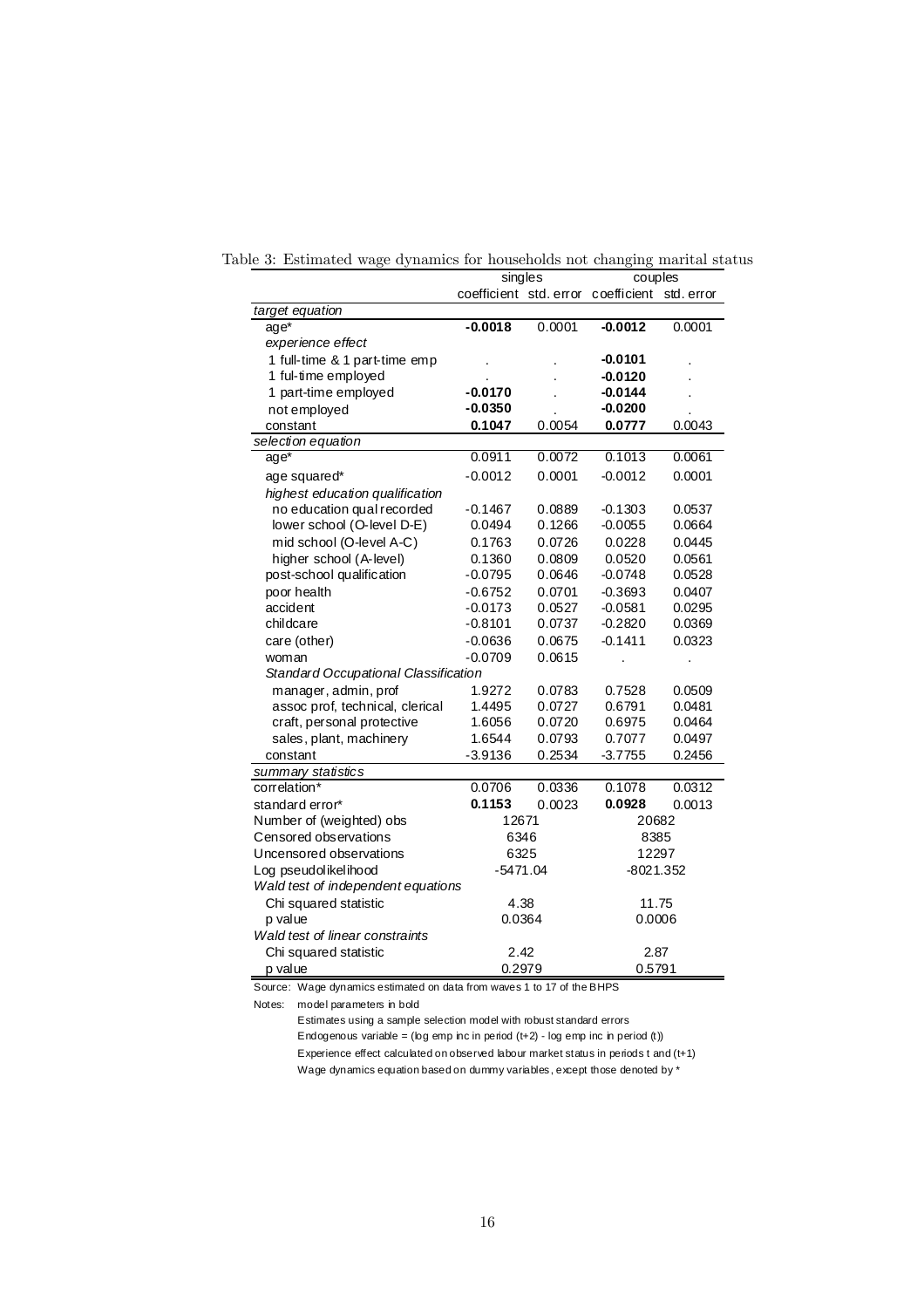|                                      | singles                |        | couples     |            |
|--------------------------------------|------------------------|--------|-------------|------------|
|                                      | coefficient std. error |        | coefficient | std. error |
| target equation                      |                        |        |             |            |
| $age*$                               | $-0.0018$              | 0.0001 | $-0.0012$   | 0.0001     |
| experience effect                    |                        |        |             |            |
| 1 full-time & 1 part-time emp        |                        |        | $-0.0101$   |            |
| 1 ful-time employed                  |                        |        | $-0.0120$   |            |
| 1 part-time employed                 | $-0.0170$              |        | $-0.0144$   |            |
| not employed                         | $-0.0350$              |        | $-0.0200$   |            |
| constant                             | 0.1047                 | 0.0054 | 0.0777      | 0.0043     |
| selection equation                   |                        |        |             |            |
| $age*$                               | 0.0911                 | 0.0072 | 0.1013      | 0.0061     |
| age squared*                         | $-0.0012$              | 0.0001 | $-0.0012$   | 0.0001     |
| highest education qualification      |                        |        |             |            |
| no education qual recorded           | $-0.1467$              | 0.0889 | $-0.1303$   | 0.0537     |
| lower school (O-level D-E)           | 0.0494                 | 0.1266 | $-0.0055$   | 0.0664     |
| mid school (O-level A-C)             | 0.1763                 | 0.0726 | 0.0228      | 0.0445     |
| higher school (A-level)              | 0.1360                 | 0.0809 | 0.0520      | 0.0561     |
| post-school qualification            | $-0.0795$              | 0.0646 | $-0.0748$   | 0.0528     |
| poor health                          | $-0.6752$              | 0.0701 | $-0.3693$   | 0.0407     |
| accident                             | $-0.0173$              | 0.0527 | $-0.0581$   | 0.0295     |
| childcare                            | $-0.8101$              | 0.0737 | $-0.2820$   | 0.0369     |
| care (other)                         | $-0.0636$              | 0.0675 | $-0.1411$   | 0.0323     |
| woman                                | $-0.0709$              | 0.0615 |             |            |
| Standard Occupational Classification |                        |        |             |            |
| manager, admin, prof                 | 1.9272                 | 0.0783 | 0.7528      | 0.0509     |
| assoc prof, technical, clerical      | 1.4495                 | 0.0727 | 0.6791      | 0.0481     |
| craft, personal protective           | 1.6056                 | 0.0720 | 0.6975      | 0.0464     |
| sales, plant, machinery              | 1.6544                 | 0.0793 | 0.7077      | 0.0497     |
| constant                             | $-3.9136$              | 0.2534 | $-3.7755$   | 0.2456     |
| summary statistics                   |                        |        |             |            |
| correlation*                         | 0.0706                 | 0.0336 | 0.1078      | 0.0312     |
| standard error*                      | 0.1153                 | 0.0023 | 0.0928      | 0.0013     |
| Number of (weighted) obs             | 12671                  |        | 20682       |            |
| Censored observations                | 6346                   |        | 8385        |            |
| Uncensored observations              | 6325                   |        | 12297       |            |
| Log pseudolikelihood                 | $-5471.04$             |        | $-8021.352$ |            |
| Wald test of independent equations   |                        |        |             |            |
| Chi squared statistic                | 4.38                   |        | 11.75       |            |
| p value                              | 0.0364                 |        | 0.0006      |            |
| Wald test of linear constraints      |                        |        |             |            |
| Chi squared statistic                | 2.42                   |        | 2.87        |            |
| p value                              | 0.2979                 |        | 0.5791      |            |

Table 3: Estimated wage dynamics for households not changing marital status

Source: Wage dynamics estimated on data from waves 1 to 17 of the BHPS

Notes: model parameters in bold

Estimates using a sample selection model with robust standard errors Endogenous variable = ( $log$  emp inc in period  $(t+2)$  - log emp inc in period  $(t)$ ) Experience effect calculated on observed labour market status in periods t and (t+1) Wage dynamics equation based on dummy variables, except those denoted by  $^{\star}$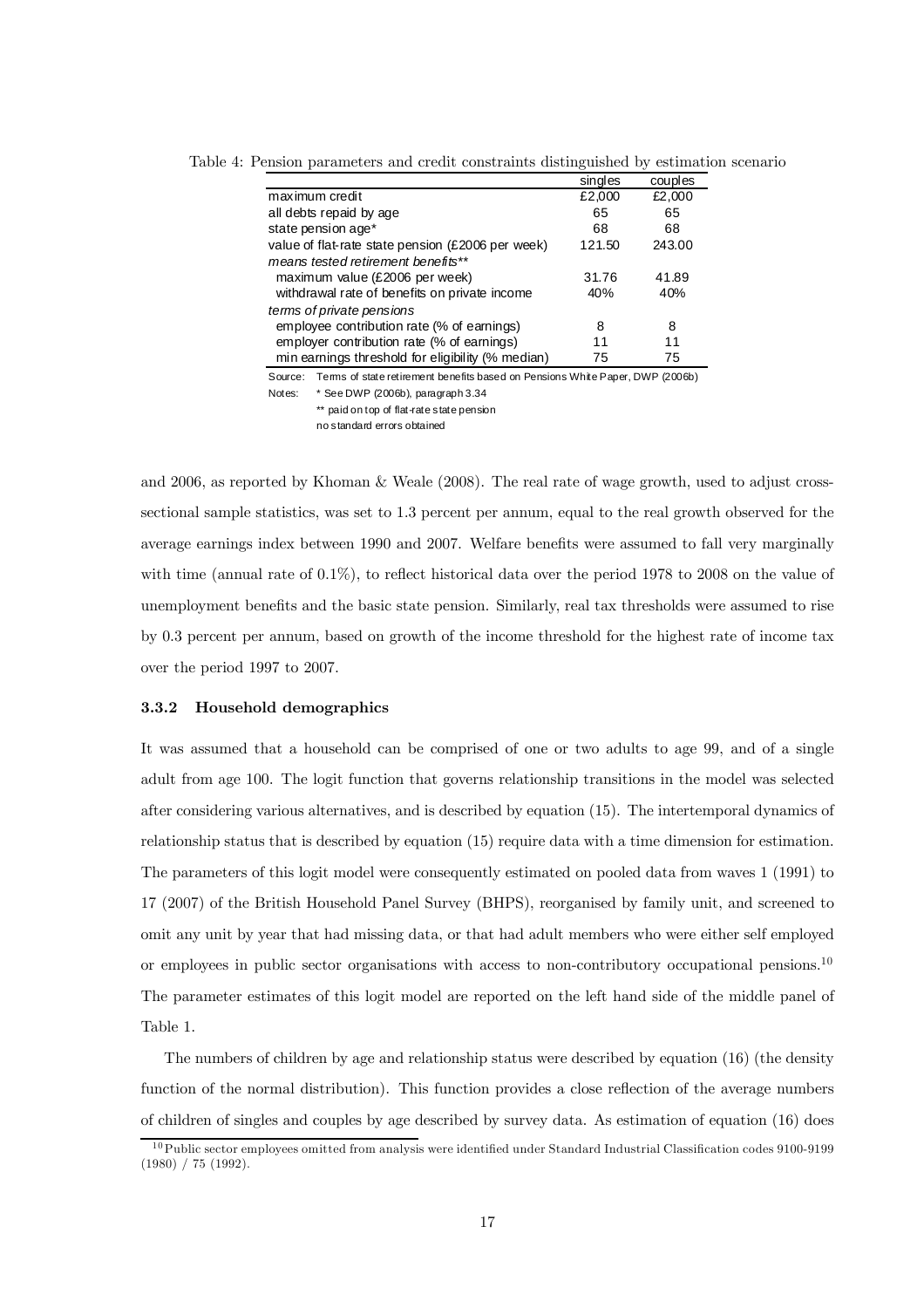|                                                                                          | singles | couples |
|------------------------------------------------------------------------------------------|---------|---------|
| maximum credit                                                                           | £2,000  | £2,000  |
| all debts repaid by age                                                                  | 65      | 65      |
| state pension age*                                                                       | 68      | 68      |
| value of flat-rate state pension (£2006 per week)                                        | 121.50  | 243.00  |
| means tested retirement benefits**                                                       |         |         |
| maximum value (£2006 per week)                                                           | 31.76   | 41.89   |
| withdrawal rate of benefits on private income                                            | 40%     | 40%     |
| terms of private pensions                                                                |         |         |
| employee contribution rate (% of earnings)                                               | 8       | 8       |
| employer contribution rate (% of earnings)                                               | 11      | 11      |
| min earnings threshold for eligibility (% median)                                        | 75      | 75      |
| Terms of state retirement benefits based on Pensions White Paper, DWP (2006b)<br>Source: |         |         |
| $*$ Cae DIMD (3000k) note quanti 3.34<br><b>N</b> Leather and the U.S.                   |         |         |

Table 4: Pension parameters and credit constraints distinguished by estimation scenario

Notes: \* See DWP (2006b), paragraph 3.34 \*\* paid on top of flat-rate state pension no standard errors obtained

and 2006, as reported by Khoman & Weale (2008). The real rate of wage growth, used to adjust crosssectional sample statistics, was set to 1.3 percent per annum, equal to the real growth observed for the average earnings index between 1990 and 2007. Welfare benefits were assumed to fall very marginally with time (annual rate of 0.1%), to reflect historical data over the period 1978 to 2008 on the value of unemployment benefits and the basic state pension. Similarly, real tax thresholds were assumed to rise by 0.3 percent per annum, based on growth of the income threshold for the highest rate of income tax over the period 1997 to 2007.

## 3.3.2 Household demographics

It was assumed that a household can be comprised of one or two adults to age 99, and of a single adult from age 100. The logit function that governs relationship transitions in the model was selected after considering various alternatives, and is described by equation (15). The intertemporal dynamics of relationship status that is described by equation (15) require data with a time dimension for estimation. The parameters of this logit model were consequently estimated on pooled data from waves 1 (1991) to 17 (2007) of the British Household Panel Survey (BHPS), reorganised by family unit, and screened to omit any unit by year that had missing data, or that had adult members who were either self employed or employees in public sector organisations with access to non-contributory occupational pensions.10 The parameter estimates of this logit model are reported on the left hand side of the middle panel of Table 1.

The numbers of children by age and relationship status were described by equation (16) (the density function of the normal distribution). This function provides a close reflection of the average numbers of children of singles and couples by age described by survey data. As estimation of equation (16) does

<sup>&</sup>lt;sup>10</sup>Public sector employees omitted from analysis were identified under Standard Industrial Classification codes 9100-9199 (1980) / 75 (1992).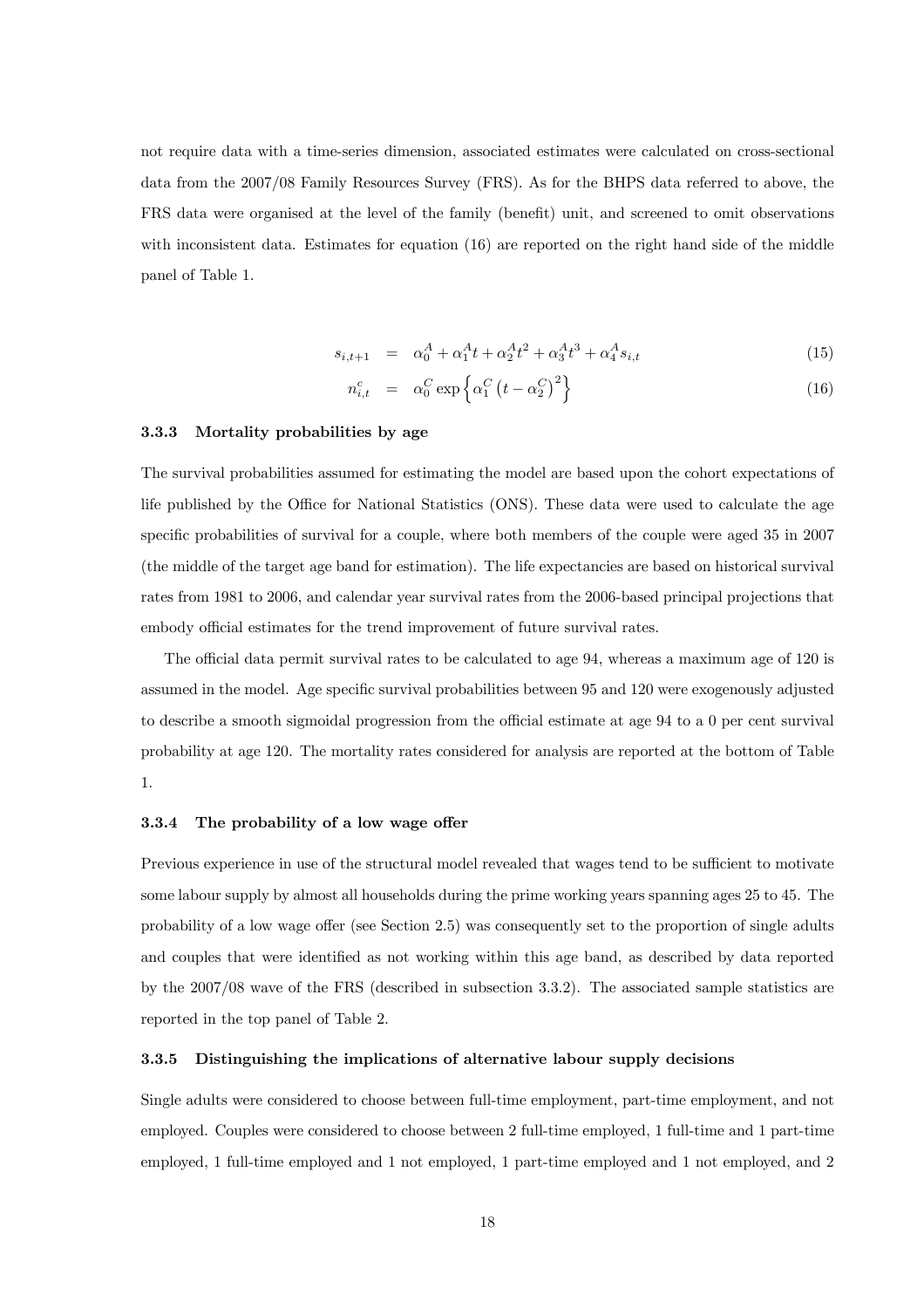not require data with a time-series dimension, associated estimates were calculated on cross-sectional data from the 2007/08 Family Resources Survey (FRS). As for the BHPS data referred to above, the FRS data were organised at the level of the family (benefit) unit, and screened to omit observations with inconsistent data. Estimates for equation (16) are reported on the right hand side of the middle panel of Table 1.

$$
s_{i,t+1} = \alpha_0^A + \alpha_1^A t + \alpha_2^A t^2 + \alpha_3^A t^3 + \alpha_4^A s_{i,t}
$$
 (15)

$$
n_{i,t}^c = \alpha_0^C \exp\left\{\alpha_1^C \left(t - \alpha_2^C\right)^2\right\} \tag{16}
$$

## 3.3.3 Mortality probabilities by age

The survival probabilities assumed for estimating the model are based upon the cohort expectations of life published by the Office for National Statistics (ONS). These data were used to calculate the age specific probabilities of survival for a couple, where both members of the couple were aged 35 in 2007 (the middle of the target age band for estimation). The life expectancies are based on historical survival rates from 1981 to 2006, and calendar year survival rates from the 2006-based principal projections that embody official estimates for the trend improvement of future survival rates.

The official data permit survival rates to be calculated to age 94, whereas a maximum age of 120 is assumed in the model. Age specific survival probabilities between 95 and 120 were exogenously adjusted to describe a smooth sigmoidal progression from the official estimate at age 94 to a 0 per cent survival probability at age 120. The mortality rates considered for analysis are reported at the bottom of Table 1.

#### 3.3.4 The probability of a low wage offer

Previous experience in use of the structural model revealed that wages tend to be sufficient to motivate some labour supply by almost all households during the prime working years spanning ages 25 to 45. The probability of a low wage offer (see Section 2.5) was consequently set to the proportion of single adults and couples that were identified as not working within this age band, as described by data reported by the 2007/08 wave of the FRS (described in subsection 3.3.2). The associated sample statistics are reported in the top panel of Table 2.

#### 3.3.5 Distinguishing the implications of alternative labour supply decisions

Single adults were considered to choose between full-time employment, part-time employment, and not employed. Couples were considered to choose between 2 full-time employed, 1 full-time and 1 part-time employed, 1 full-time employed and 1 not employed, 1 part-time employed and 1 not employed, and 2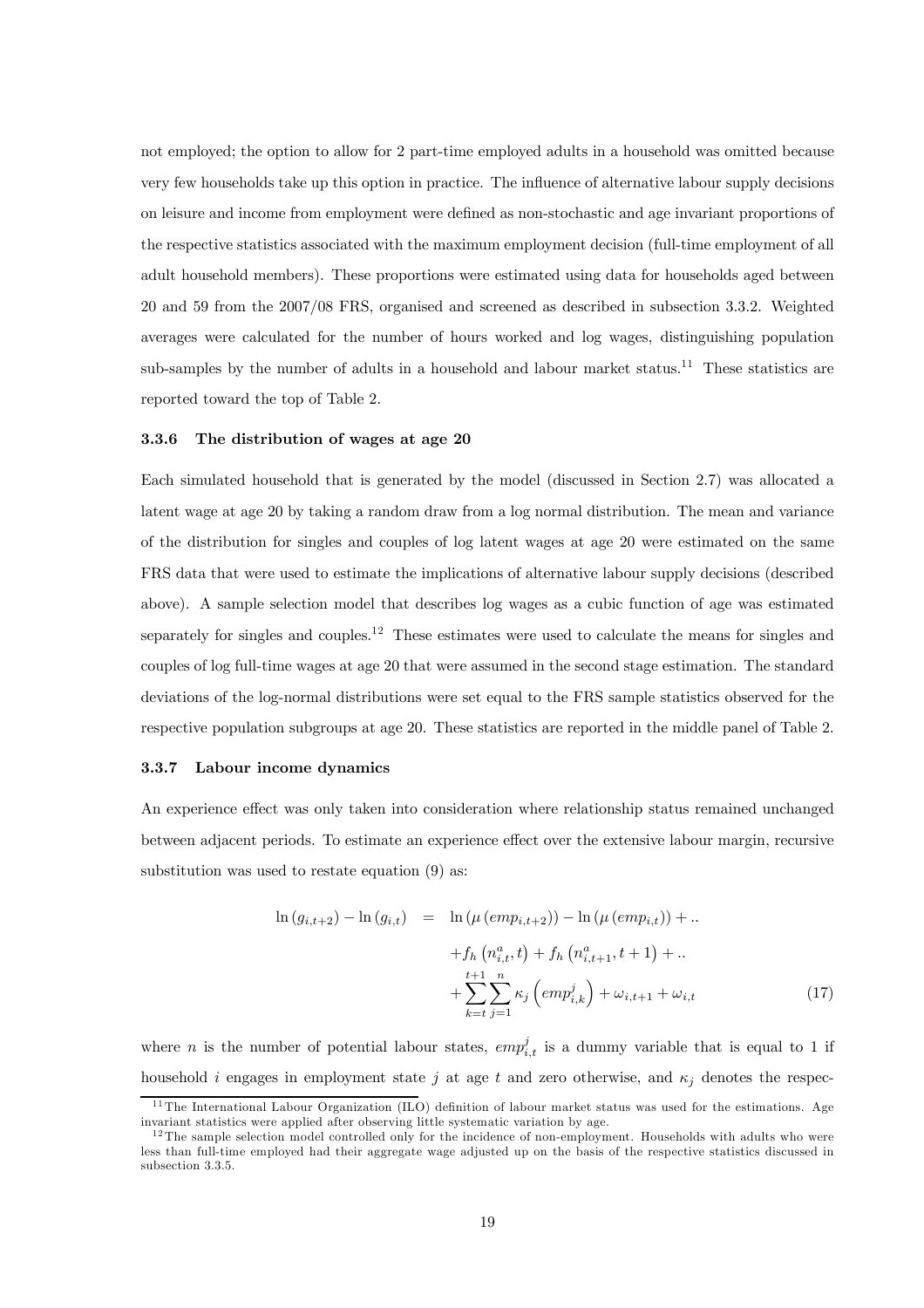not employed; the option to allow for 2 part-time employed adults in a household was omitted because very few households take up this option in practice. The influence of alternative labour supply decisions on leisure and income from employment were defined as non-stochastic and age invariant proportions of the respective statistics associated with the maximum employment decision (full-time employment of all adult household members). These proportions were estimated using data for households aged between 20 and 59 from the 2007/08 FRS, organised and screened as described in subsection 3.3.2. Weighted averages were calculated for the number of hours worked and log wages, distinguishing population sub-samples by the number of adults in a household and labour market status.<sup>11</sup> These statistics are reported toward the top of Table 2.

#### 3.3.6 The distribution of wages at age 20

Each simulated household that is generated by the model (discussed in Section 2.7) was allocated a latent wage at age 20 by taking a random draw from a log normal distribution. The mean and variance of the distribution for singles and couples of log latent wages at age 20 were estimated on the same FRS data that were used to estimate the implications of alternative labour supply decisions (described above). A sample selection model that describes log wages as a cubic function of age was estimated separately for singles and couples.<sup>12</sup> These estimates were used to calculate the means for singles and couples of log full-time wages at age 20 that were assumed in the second stage estimation. The standard deviations of the log-normal distributions were set equal to the FRS sample statistics observed for the respective population subgroups at age 20. These statistics are reported in the middle panel of Table 2.

#### 3.3.7 Labour income dynamics

An experience effect was only taken into consideration where relationship status remained unchanged between adjacent periods. To estimate an experience effect over the extensive labour margin, recursive substitution was used to restate equation (9) as:

$$
\ln (g_{i,t+2}) - \ln (g_{i,t}) = \ln (\mu (emp_{i,t+2})) - \ln (\mu (emp_{i,t})) + ..
$$
  
+  $f_h (n_{i,t}^a, t) + f_h (n_{i,t+1}^a, t+1) + ..$   
+  $\sum_{k=t}^{t+1} \sum_{j=1}^n \kappa_j (emp_{i,k}^j) + \omega_{i,t+1} + \omega_{i,t}$  (17)

where *n* is the number of potential labour states,  $empi_{i,t}^j$  is a dummy variable that is equal to 1 if household i engages in employment state j at age t and zero otherwise, and  $\kappa_i$  denotes the respec-

<sup>&</sup>lt;sup>11</sup>The International Labour Organization (ILO) definition of labour market status was used for the estimations. Age invariant statistics were applied after observing little systematic variation by age.

 $12$ The sample selection model controlled only for the incidence of non-employment. Households with adults who were less than full-time employed had their aggregate wage adjusted up on the basis of the respective statistics discussed in subsection 3.3.5.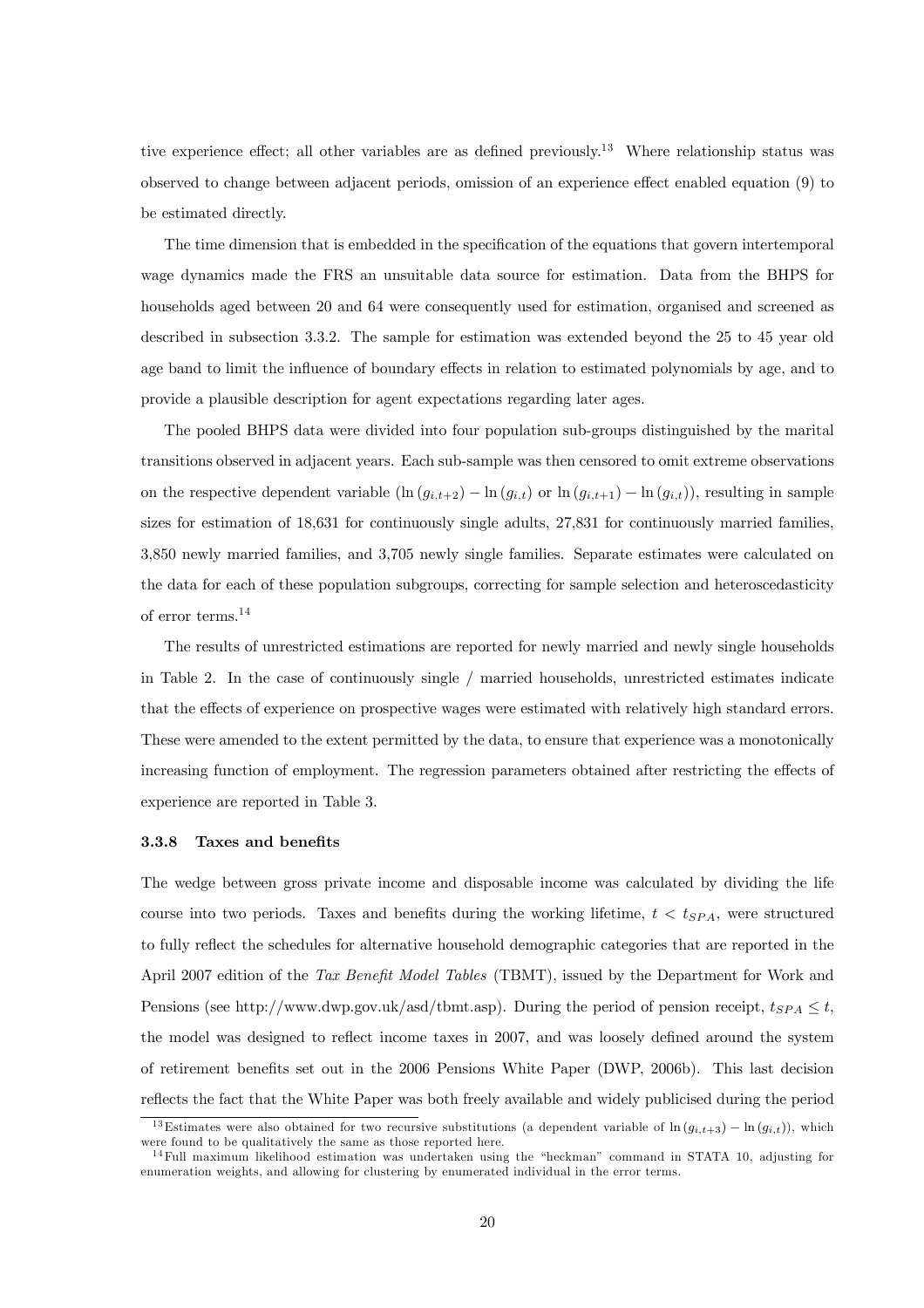tive experience effect; all other variables are as defined previously.<sup>13</sup> Where relationship status was observed to change between adjacent periods, omission of an experience effect enabled equation (9) to be estimated directly.

The time dimension that is embedded in the specification of the equations that govern intertemporal wage dynamics made the FRS an unsuitable data source for estimation. Data from the BHPS for households aged between 20 and 64 were consequently used for estimation, organised and screened as described in subsection 3.3.2. The sample for estimation was extended beyond the 25 to 45 year old age band to limit the influence of boundary effects in relation to estimated polynomials by age, and to provide a plausible description for agent expectations regarding later ages.

The pooled BHPS data were divided into four population sub-groups distinguished by the marital transitions observed in adjacent years. Each sub-sample was then censored to omit extreme observations on the respective dependent variable  $(\ln (g_{i,t+2}) - \ln (g_{i,t}))$  or  $\ln (g_{i,t+1}) - \ln (g_{i,t})$ , resulting in sample sizes for estimation of 18,631 for continuously single adults, 27,831 for continuously married families, 3,850 newly married families, and 3,705 newly single families. Separate estimates were calculated on the data for each of these population subgroups, correcting for sample selection and heteroscedasticity of error terms.<sup>14</sup>

The results of unrestricted estimations are reported for newly married and newly single households in Table 2. In the case of continuously single / married households, unrestricted estimates indicate that the effects of experience on prospective wages were estimated with relatively high standard errors. These were amended to the extent permitted by the data, to ensure that experience was a monotonically increasing function of employment. The regression parameters obtained after restricting the effects of experience are reported in Table 3.

#### 3.3.8 Taxes and benefits

The wedge between gross private income and disposable income was calculated by dividing the life course into two periods. Taxes and benefits during the working lifetime,  $t < t_{SPA}$ , were structured to fully reflect the schedules for alternative household demographic categories that are reported in the April 2007 edition of the Tax Benefit Model Tables (TBMT), issued by the Department for Work and Pensions (see http://www.dwp.gov.uk/asd/tbmt.asp). During the period of pension receipt,  $t_{SPA} \leq t$ , the model was designed to reflect income taxes in 2007, and was loosely defined around the system of retirement benefits set out in the 2006 Pensions White Paper (DWP, 2006b). This last decision reflects the fact that the White Paper was both freely available and widely publicised during the period

<sup>&</sup>lt;sup>13</sup>Estimates were also obtained for two recursive substitutions (a dependent variable of  $\ln (g_{i,t+3}) - \ln (g_{i,t})$ ), which were found to be qualitatively the same as those reported here.

 $14$ Full maximum likelihood estimation was undertaken using the "heckman" command in STATA 10, adjusting for enumeration weights, and allowing for clustering by enumerated individual in the error terms.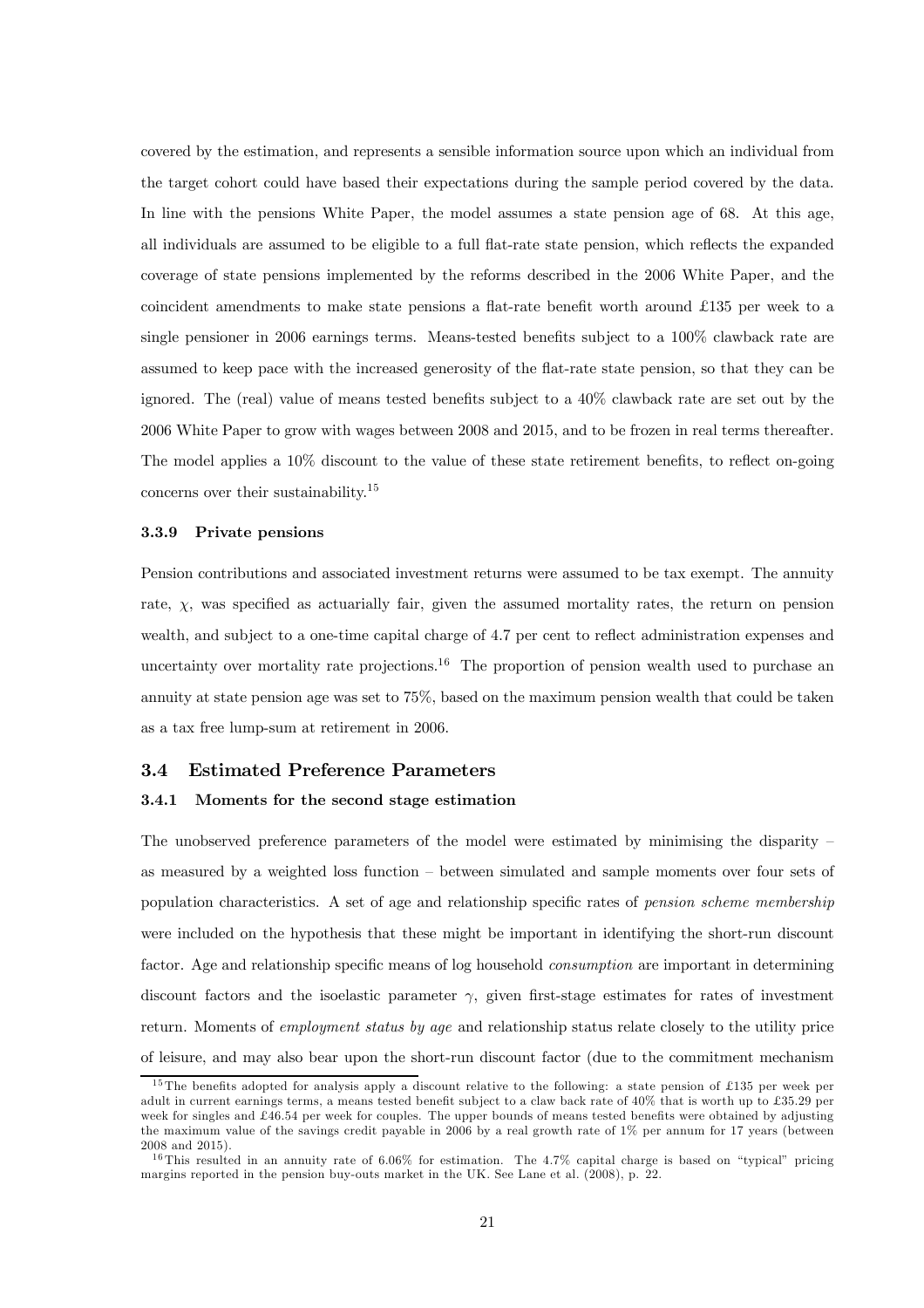covered by the estimation, and represents a sensible information source upon which an individual from the target cohort could have based their expectations during the sample period covered by the data. In line with the pensions White Paper, the model assumes a state pension age of 68. At this age, all individuals are assumed to be eligible to a full flat-rate state pension, which reflects the expanded coverage of state pensions implemented by the reforms described in the 2006 White Paper, and the coincident amendments to make state pensions a flat-rate benefit worth around £135 per week to a single pensioner in 2006 earnings terms. Means-tested benefits subject to a 100% clawback rate are assumed to keep pace with the increased generosity of the flat-rate state pension, so that they can be ignored. The (real) value of means tested benefits subject to a 40% clawback rate are set out by the 2006 White Paper to grow with wages between 2008 and 2015, and to be frozen in real terms thereafter. The model applies a 10% discount to the value of these state retirement benefits, to reflect on-going concerns over their sustainability.15

#### 3.3.9 Private pensions

Pension contributions and associated investment returns were assumed to be tax exempt. The annuity rate,  $\chi$ , was specified as actuarially fair, given the assumed mortality rates, the return on pension wealth, and subject to a one-time capital charge of 4.7 per cent to reflect administration expenses and uncertainty over mortality rate projections.<sup>16</sup> The proportion of pension wealth used to purchase an annuity at state pension age was set to 75%, based on the maximum pension wealth that could be taken as a tax free lump-sum at retirement in 2006.

#### 3.4 Estimated Preference Parameters

#### 3.4.1 Moments for the second stage estimation

The unobserved preference parameters of the model were estimated by minimising the disparity  $$ as measured by a weighted loss function — between simulated and sample moments over four sets of population characteristics. A set of age and relationship specific rates of pension scheme membership were included on the hypothesis that these might be important in identifying the short-run discount factor. Age and relationship specific means of log household *consumption* are important in determining discount factors and the isoelastic parameter  $\gamma$ , given first-stage estimates for rates of investment return. Moments of *employment status by age* and relationship status relate closely to the utility price of leisure, and may also bear upon the short-run discount factor (due to the commitment mechanism

<sup>&</sup>lt;sup>15</sup>The benefits adopted for analysis apply a discount relative to the following: a state pension of £135 per week per adult in current earnings terms, a means tested benefit subject to a claw back rate of 40% that is worth up to £35.29 per week for singles and £46.54 per week for couples. The upper bounds of means tested benefits were obtained by adjusting the maximum value of the savings credit payable in 2006 by a real growth rate of 1% per annum for 17 years (between 2008 and 2015).

<sup>&</sup>lt;sup>16</sup>This resulted in an annuity rate of 6.06% for estimation. The 4.7% capital charge is based on "typical" pricing margins reported in the pension buy-outs market in the UK. See Lane et al. (2008), p. 22.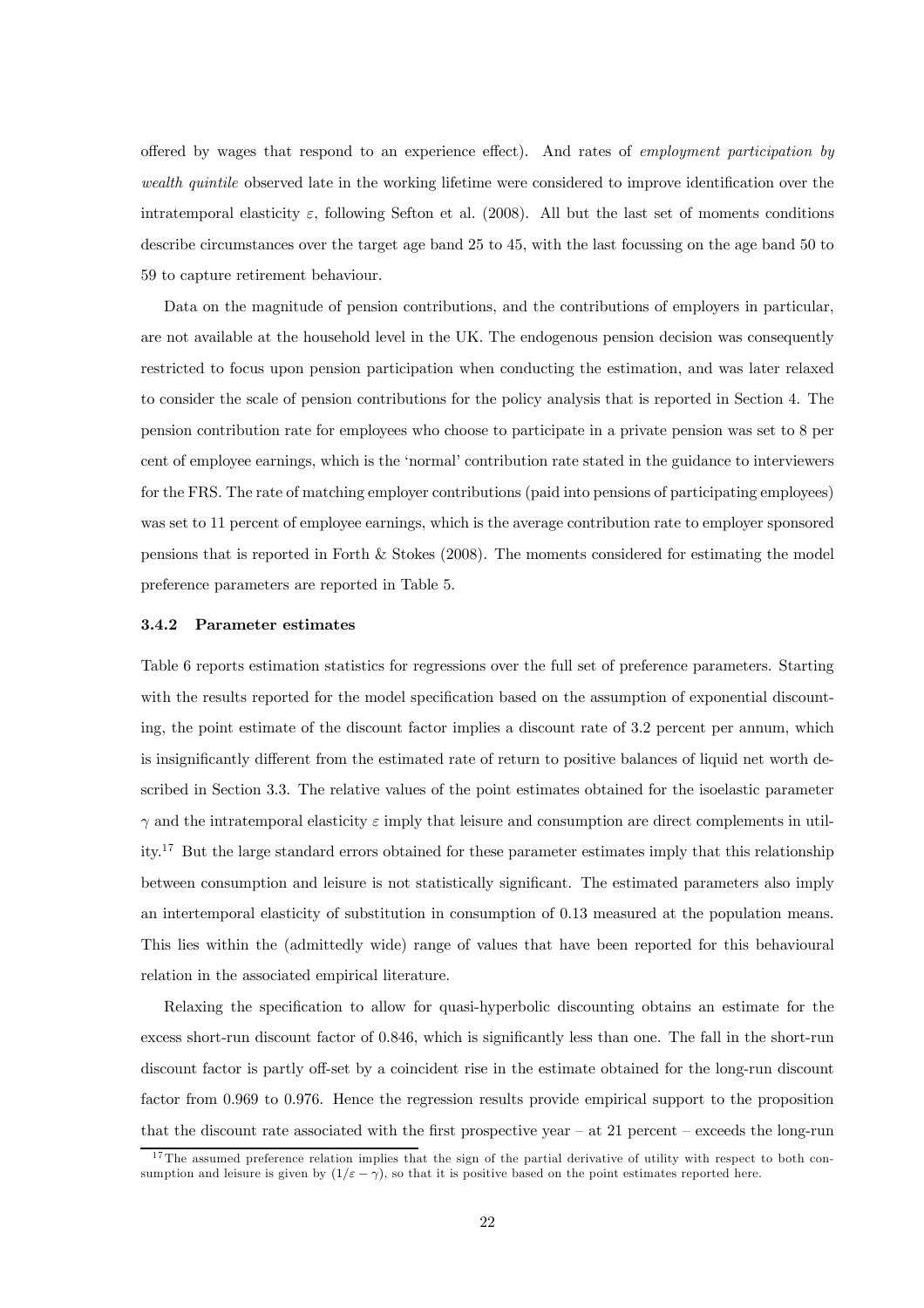offered by wages that respond to an experience effect). And rates of employment participation by wealth quintile observed late in the working lifetime were considered to improve identification over the intratemporal elasticity  $\varepsilon$ , following Sefton et al. (2008). All but the last set of moments conditions describe circumstances over the target age band 25 to 45, with the last focussing on the age band 50 to 59 to capture retirement behaviour.

Data on the magnitude of pension contributions, and the contributions of employers in particular. are not available at the household level in the UK. The endogenous pension decision was consequently restricted to focus upon pension participation when conducting the estimation, and was later relaxed to consider the scale of pension contributions for the policy analysis that is reported in Section 4. The pension contribution rate for employees who choose to participate in a private pension was set to 8 per cent of employee earnings, which is the 'normal' contribution rate stated in the guidance to interviewers for the FRS. The rate of matching employer contributions (paid into pensions of participating employees) was set to 11 percent of employee earnings, which is the average contribution rate to employer sponsored pensions that is reported in Forth & Stokes (2008). The moments considered for estimating the model preference parameters are reported in Table 5.

#### 3.4.2 Parameter estimates

Table 6 reports estimation statistics for regressions over the full set of preference parameters. Starting with the results reported for the model specification based on the assumption of exponential discounting, the point estimate of the discount factor implies a discount rate of 3.2 percent per annum, which is insignificantly different from the estimated rate of return to positive balances of liquid net worth described in Section 3.3. The relative values of the point estimates obtained for the isoelastic parameter  $\gamma$  and the intratemporal elasticity  $\varepsilon$  imply that leisure and consumption are direct complements in utility.17 But the large standard errors obtained for these parameter estimates imply that this relationship between consumption and leisure is not statistically significant. The estimated parameters also imply an intertemporal elasticity of substitution in consumption of 0.13 measured at the population means. This lies within the (admittedly wide) range of values that have been reported for this behavioural relation in the associated empirical literature.

Relaxing the specification to allow for quasi-hyperbolic discounting obtains an estimate for the excess short-run discount factor of 0.846, which is significantly less than one. The fall in the short-run discount factor is partly off-set by a coincident rise in the estimate obtained for the long-run discount factor from 0.969 to 0.976. Hence the regression results provide empirical support to the proposition that the discount rate associated with the first prospective year  $-$  at 21 percent  $-$  exceeds the long-run

<sup>&</sup>lt;sup>17</sup>The assumed preference relation implies that the sign of the partial derivative of utility with respect to both consumption and leisure is given by  $(1/\varepsilon - \gamma)$ , so that it is positive based on the point estimates reported here.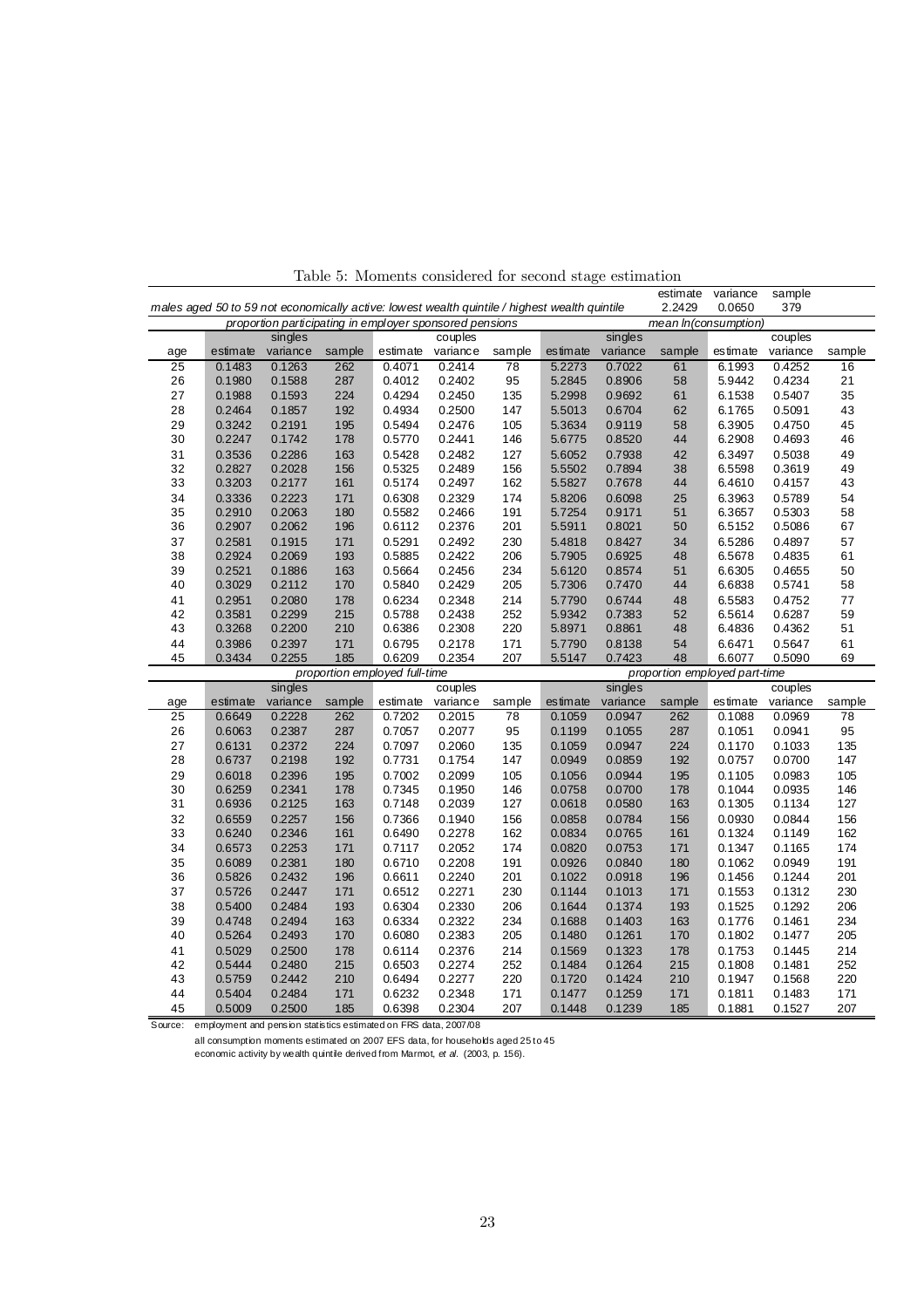|     |                                                                                               |                                                         |        |                               |          |        |          |          | estimate                      | variance | sample   |        |
|-----|-----------------------------------------------------------------------------------------------|---------------------------------------------------------|--------|-------------------------------|----------|--------|----------|----------|-------------------------------|----------|----------|--------|
|     | males aged 50 to 59 not economically active: lowest wealth quintile / highest wealth quintile |                                                         |        |                               |          |        |          |          | 2.2429                        | 0.0650   | 379      |        |
|     |                                                                                               | proportion participating in employer sponsored pensions |        |                               |          |        |          |          | mean In(consumption)          |          |          |        |
|     |                                                                                               | singles                                                 |        |                               | couples  |        |          | singles  |                               |          | couples  |        |
| age | estimate                                                                                      | variance                                                | sample | estimate                      | variance | sample | estimate | variance | sample                        | estimate | variance | sample |
| 25  | 0.1483                                                                                        | 0.1263                                                  | 262    | 0.4071                        | 0.2414   | 78     | 5.2273   | 0.7022   | 61                            | 6.1993   | 0.4252   | 16     |
| 26  | 0.1980                                                                                        | 0.1588                                                  | 287    | 0.4012                        | 0.2402   | 95     | 5.2845   | 0.8906   | 58                            | 5.9442   | 0.4234   | 21     |
| 27  | 0.1988                                                                                        | 0.1593                                                  | 224    | 0.4294                        | 0.2450   | 135    | 5.2998   | 0.9692   | 61                            | 6.1538   | 0.5407   | 35     |
| 28  | 0.2464                                                                                        | 0.1857                                                  | 192    | 0.4934                        | 0.2500   | 147    | 5.5013   | 0.6704   | 62                            | 6.1765   | 0.5091   | 43     |
| 29  | 0.3242                                                                                        | 0.2191                                                  | 195    | 0.5494                        | 0.2476   | 105    | 5.3634   | 0.9119   | 58                            | 6.3905   | 0.4750   | 45     |
| 30  | 0.2247                                                                                        | 0.1742                                                  | 178    | 0.5770                        | 0.2441   | 146    | 5.6775   | 0.8520   | 44                            | 6.2908   | 0.4693   | 46     |
| 31  | 0.3536                                                                                        | 0.2286                                                  | 163    | 0.5428                        | 0.2482   | 127    | 5.6052   | 0.7938   | 42                            | 6.3497   | 0.5038   | 49     |
| 32  | 0.2827                                                                                        | 0.2028                                                  | 156    | 0.5325                        | 0.2489   | 156    | 5.5502   | 0.7894   | 38                            | 6.5598   | 0.3619   | 49     |
| 33  | 0.3203                                                                                        | 0.2177                                                  | 161    | 0.5174                        | 0.2497   | 162    | 5.5827   | 0.7678   | 44                            | 6.4610   | 0.4157   | 43     |
| 34  | 0.3336                                                                                        | 0.2223                                                  | 171    | 0.6308                        | 0.2329   | 174    | 5.8206   | 0.6098   | 25                            | 6.3963   | 0.5789   | 54     |
| 35  | 0.2910                                                                                        | 0.2063                                                  | 180    | 0.5582                        | 0.2466   | 191    | 5.7254   | 0.9171   | 51                            | 6.3657   | 0.5303   | 58     |
| 36  | 0.2907                                                                                        | 0.2062                                                  | 196    | 0.6112                        | 0.2376   | 201    | 5.5911   | 0.8021   | 50                            | 6.5152   | 0.5086   | 67     |
| 37  | 0.2581                                                                                        | 0.1915                                                  | 171    | 0.5291                        | 0.2492   | 230    | 5.4818   | 0.8427   | 34                            | 6.5286   | 0.4897   | 57     |
| 38  | 0.2924                                                                                        | 0.2069                                                  | 193    | 0.5885                        | 0.2422   | 206    | 5.7905   | 0.6925   | 48                            | 6.5678   | 0.4835   | 61     |
| 39  | 0.2521                                                                                        | 0.1886                                                  | 163    | 0.5664                        | 0.2456   | 234    | 5.6120   | 0.8574   | 51                            | 6.6305   | 0.4655   | 50     |
| 40  | 0.3029                                                                                        | 0.2112                                                  | 170    | 0.5840                        | 0.2429   | 205    | 5.7306   | 0.7470   | 44                            | 6.6838   | 0.5741   | 58     |
| 41  | 0.2951                                                                                        | 0.2080                                                  | 178    | 0.6234                        | 0.2348   | 214    | 5.7790   | 0.6744   | 48                            | 6.5583   | 0.4752   | 77     |
| 42  | 0.3581                                                                                        | 0.2299                                                  | 215    | 0.5788                        | 0.2438   | 252    | 5.9342   | 0.7383   | 52                            | 6.5614   | 0.6287   | 59     |
| 43  | 0.3268                                                                                        | 0.2200                                                  | 210    | 0.6386                        | 0.2308   | 220    | 5.8971   | 0.8861   | 48                            | 6.4836   | 0.4362   | 51     |
| 44  | 0.3986                                                                                        | 0.2397                                                  | 171    | 0.6795                        | 0.2178   | 171    | 5.7790   | 0.8138   | 54                            | 6.6471   | 0.5647   | 61     |
| 45  | 0.3434                                                                                        | 0.2255                                                  | 185    | 0.6209                        | 0.2354   | 207    | 5.5147   | 0.7423   | 48                            | 6.6077   | 0.5090   | 69     |
|     |                                                                                               |                                                         |        | proportion employed full-time |          |        |          |          | proportion employed part-time |          |          |        |
|     |                                                                                               | singles                                                 |        |                               | couples  |        |          | singles  |                               |          | couples  |        |
| age | estimate                                                                                      | variance                                                | sample | estimate                      | variance | sample | estimate | variance | sample                        | estimate | variance | sample |
| 25  | 0.6649                                                                                        | 0.2228                                                  | 262    | 0.7202                        | 0.2015   | 78     | 0.1059   | 0.0947   | 262                           | 0.1088   | 0.0969   | 78     |
| 26  | 0.6063                                                                                        | 0.2387                                                  | 287    | 0.7057                        | 0.2077   | 95     | 0.1199   | 0.1055   | 287                           | 0.1051   | 0.0941   | 95     |
| 27  | 0.6131                                                                                        | 0.2372                                                  | 224    | 0.7097                        | 0.2060   | 135    | 0.1059   | 0.0947   | 224                           | 0.1170   | 0.1033   | 135    |
| 28  | 0.6737                                                                                        | 0.2198                                                  | 192    | 0.7731                        | 0.1754   | 147    | 0.0949   | 0.0859   | 192                           | 0.0757   | 0.0700   | 147    |
| 29  | 0.6018                                                                                        | 0.2396                                                  | 195    | 0.7002                        | 0.2099   | 105    | 0.1056   | 0.0944   | 195                           | 0.1105   | 0.0983   | 105    |
| 30  | 0.6259                                                                                        | 0.2341                                                  | 178    | 0.7345                        | 0.1950   | 146    | 0.0758   | 0.0700   | 178                           | 0.1044   | 0.0935   | 146    |
| 31  | 0.6936                                                                                        | 0.2125                                                  | 163    | 0.7148                        | 0.2039   | 127    | 0.0618   | 0.0580   | 163                           | 0.1305   | 0.1134   | 127    |
| 32  | 0.6559                                                                                        | 0.2257                                                  | 156    | 0.7366                        | 0.1940   | 156    | 0.0858   | 0.0784   | 156                           | 0.0930   | 0.0844   | 156    |
| 33  | 0.6240                                                                                        | 0.2346                                                  | 161    | 0.6490                        | 0.2278   | 162    | 0.0834   | 0.0765   | 161                           | 0.1324   | 0.1149   | 162    |
| 34  | 0.6573                                                                                        | 0.2253                                                  | 171    | 0.7117                        | 0.2052   | 174    | 0.0820   | 0.0753   | 171                           | 0.1347   | 0.1165   | 174    |
| 35  | 0.6089                                                                                        | 0.2381                                                  | 180    | 0.6710                        | 0.2208   | 191    | 0.0926   | 0.0840   | 180                           | 0.1062   | 0.0949   | 191    |
| 36  | 0.5826                                                                                        | 0.2432                                                  | 196    | 0.6611                        | 0.2240   | 201    | 0.1022   | 0.0918   | 196                           | 0.1456   | 0.1244   | 201    |
| 37  | 0.5726                                                                                        | 0.2447                                                  | 171    | 0.6512                        | 0.2271   | 230    | 0.1144   | 0.1013   | 171                           | 0.1553   | 0.1312   | 230    |
| 38  | 0.5400                                                                                        | 0.2484                                                  | 193    | 0.6304                        | 0.2330   | 206    | 0.1644   | 0.1374   | 193                           | 0.1525   | 0.1292   | 206    |
| 39  | 0.4748                                                                                        | 0.2494                                                  | 163    | 0.6334                        | 0.2322   | 234    | 0.1688   | 0.1403   | 163                           | 0.1776   | 0.1461   | 234    |
| 40  | 0.5264                                                                                        | 0.2493                                                  | 170    | 0.6080                        | 0.2383   | 205    | 0.1480   | 0.1261   | 170                           | 0.1802   | 0.1477   | 205    |
| 41  | 0.5029                                                                                        | 0.2500                                                  | 178    | 0.6114                        | 0.2376   | 214    | 0.1569   | 0.1323   | 178                           | 0.1753   | 0.1445   | 214    |
| 42  | 0.5444                                                                                        | 0.2480                                                  | 215    | 0.6503                        | 0.2274   | 252    | 0.1484   | 0.1264   | 215                           | 0.1808   | 0.1481   | 252    |
| 43  | 0.5759                                                                                        | 0.2442                                                  | 210    | 0.6494                        | 0.2277   | 220    | 0.1720   | 0.1424   | 210                           | 0.1947   | 0.1568   | 220    |
| 44  | 0.5404                                                                                        | 0.2484                                                  | 171    | 0.6232                        | 0.2348   | 171    | 0.1477   | 0.1259   | 171                           | 0.1811   | 0.1483   | 171    |
| 45  | 0.5009                                                                                        | 0.2500                                                  | 185    | 0.6398                        | 0.2304   | 207    | 0.1448   | 0.1239   | 185                           | 0.1881   | 0.1527   | 207    |

Table 5: Moments considered for second stage estimation

Source: employment and pension statistics estimated on FRS data, 2007/08

all consumption moments estimated on 2007 EFS data, for households aged 25 to 45

economic activity by wealth quintile derived from Marmot, *et al.* (2003, p. 156).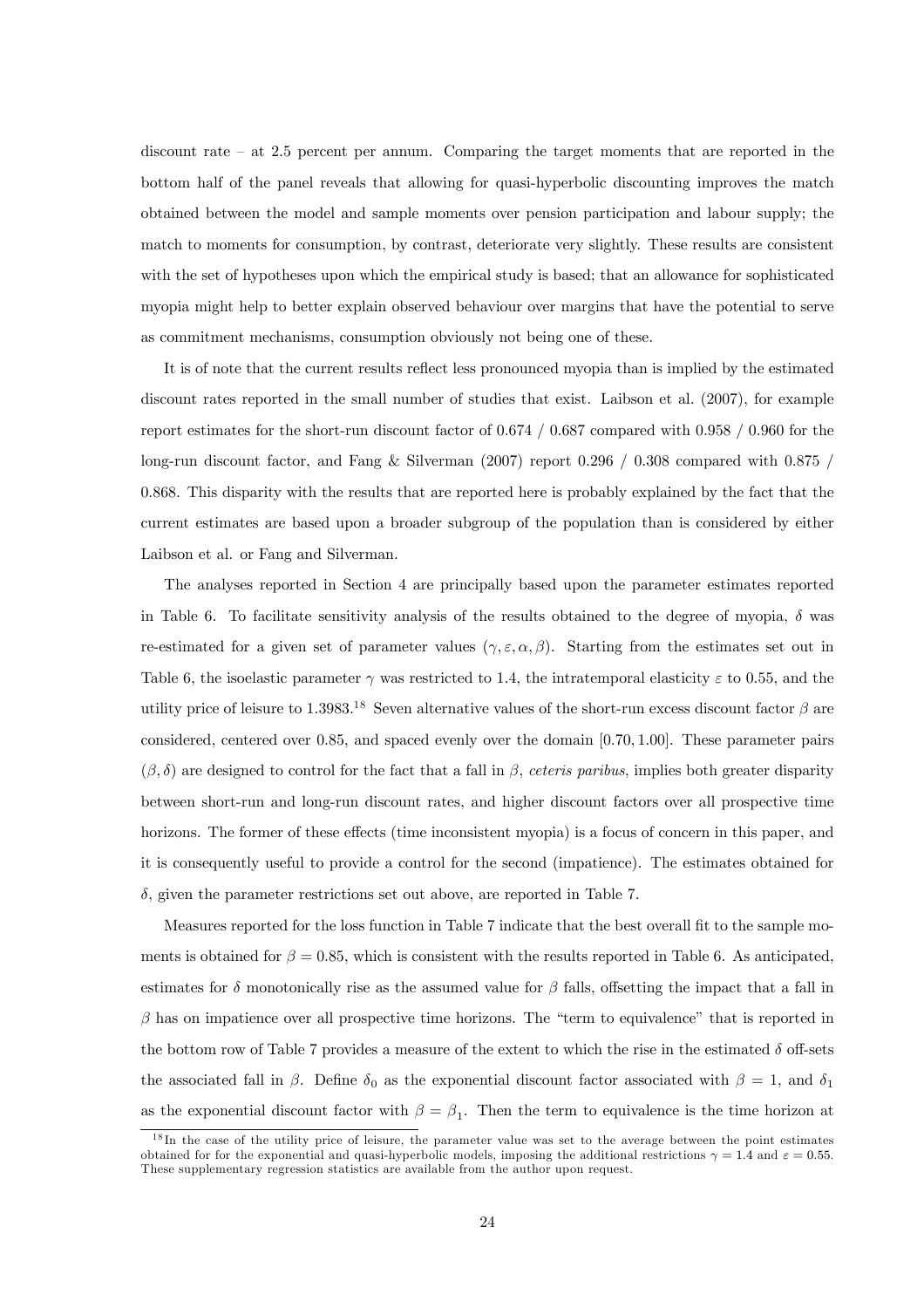discount rate — at 2.5 percent per annum. Comparing the target moments that are reported in the bottom half of the panel reveals that allowing for quasi-hyperbolic discounting improves the match obtained between the model and sample moments over pension participation and labour supply; the match to moments for consumption, by contrast, deteriorate very slightly. These results are consistent with the set of hypotheses upon which the empirical study is based; that an allowance for sophisticated myopia might help to better explain observed behaviour over margins that have the potential to serve as commitment mechanisms, consumption obviously not being one of these.

It is of note that the current results reflect less pronounced myopia than is implied by the estimated discount rates reported in the small number of studies that exist. Laibson et al. (2007), for example report estimates for the short-run discount factor of 0.674 / 0.687 compared with 0.958 / 0.960 for the long-run discount factor, and Fang & Silverman (2007) report 0.296 / 0.308 compared with 0.875 / 0.868. This disparity with the results that are reported here is probably explained by the fact that the current estimates are based upon a broader subgroup of the population than is considered by either Laibson et al. or Fang and Silverman.

The analyses reported in Section 4 are principally based upon the parameter estimates reported in Table 6. To facilitate sensitivity analysis of the results obtained to the degree of myopia,  $\delta$  was re-estimated for a given set of parameter values  $(\gamma, \varepsilon, \alpha, \beta)$ . Starting from the estimates set out in Table 6, the isoelastic parameter  $\gamma$  was restricted to 1.4, the intratemporal elasticity  $\varepsilon$  to 0.55, and the utility price of leisure to 1.3983.<sup>18</sup> Seven alternative values of the short-run excess discount factor  $\beta$  are considered, centered over 0.85, and spaced evenly over the domain [0.70, 1.00]. These parameter pairs  $(\beta, \delta)$  are designed to control for the fact that a fall in  $\beta$ , ceteris paribus, implies both greater disparity between short-run and long-run discount rates, and higher discount factors over all prospective time horizons. The former of these effects (time inconsistent myopia) is a focus of concern in this paper, and it is consequently useful to provide a control for the second (impatience). The estimates obtained for δ, given the parameter restrictions set out above, are reported in Table 7.

Measures reported for the loss function in Table 7 indicate that the best overall fit to the sample moments is obtained for  $\beta = 0.85$ , which is consistent with the results reported in Table 6. As anticipated, estimates for  $\delta$  monotonically rise as the assumed value for  $\beta$  falls, offsetting the impact that a fall in  $\beta$  has on impatience over all prospective time horizons. The "term to equivalence" that is reported in the bottom row of Table 7 provides a measure of the extent to which the rise in the estimated  $\delta$  off-sets the associated fall in  $\beta$ . Define  $\delta_0$  as the exponential discount factor associated with  $\beta = 1$ , and  $\delta_1$ as the exponential discount factor with  $\beta = \beta_1$ . Then the term to equivalence is the time horizon at

 $1<sup>8</sup>$  In the case of the utility price of leisure, the parameter value was set to the average between the point estimates obtained for for the exponential and quasi-hyperbolic models, imposing the additional restrictions  $\gamma = 1.4$  and  $\varepsilon = 0.55$ . These supplementary regression statistics are available from the author upon request.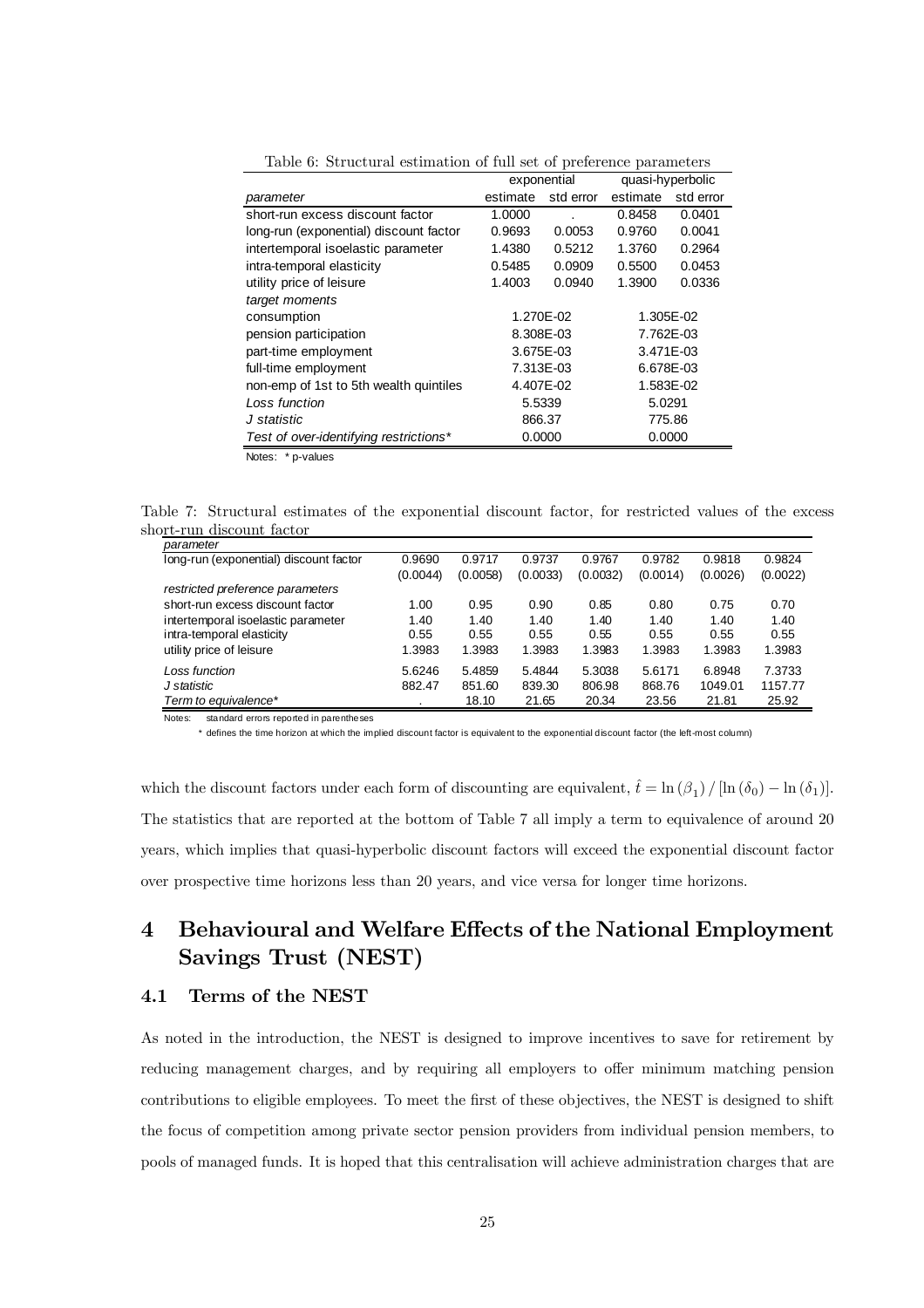|                                        |          | exponential | quasi-hyperbolic |           |  |
|----------------------------------------|----------|-------------|------------------|-----------|--|
| parameter                              | estimate | std error   | estimate         | std error |  |
| short-run excess discount factor       | 1.0000   |             | 0.8458           | 0.0401    |  |
| long-run (exponential) discount factor | 0.9693   | 0.0053      | 0.9760           | 0.0041    |  |
| intertemporal isoelastic parameter     | 1.4380   | 0.5212      | 1.3760           | 0.2964    |  |
| intra-temporal elasticity              | 0.5485   | 0.0909      | 0.5500           | 0.0453    |  |
| utility price of leisure               | 1.4003   | 0.0940      | 1.3900           | 0.0336    |  |
| target moments                         |          |             |                  |           |  |
| consumption                            |          | 1.270E-02   |                  | 1.305E-02 |  |
| pension participation                  |          | 8.308E-03   | 7.762E-03        |           |  |
| part-time employment                   |          | 3.675E-03   | 3.471E-03        |           |  |
| full-time employment                   |          | 7.313E-03   | 6.678E-03        |           |  |
| non-emp of 1st to 5th wealth quintiles |          | 4.407E-02   |                  | 1.583E-02 |  |
| Loss function                          | 5.5339   |             | 5.0291           |           |  |
| J statistic                            | 866.37   |             |                  | 775.86    |  |
| Test of over-identifying restrictions* | 0.0000   |             | 0.0000           |           |  |
|                                        |          |             |                  |           |  |

Table 6: Structural estimation of full set of preference parameters

Notes: \* p-values

Table 7: Structural estimates of the exponential discount factor, for restricted values of the excess short-run discount factor

| parameter                              |          |          |          |          |          |          |          |
|----------------------------------------|----------|----------|----------|----------|----------|----------|----------|
| long-run (exponential) discount factor | 0.9690   | 0.9717   | 0.9737   | 0.9767   | 0.9782   | 0.9818   | 0.9824   |
|                                        | (0.0044) | (0.0058) | (0.0033) | (0.0032) | (0.0014) | (0.0026) | (0.0022) |
| restricted preference parameters       |          |          |          |          |          |          |          |
| short-run excess discount factor       | 1.00     | 0.95     | 0.90     | 0.85     | 0.80     | 0.75     | 0.70     |
| intertemporal isoelastic parameter     | 1.40     | 1.40     | 1.40     | 1.40     | 1.40     | 1.40     | 1.40     |
| intra-temporal elasticity              | 0.55     | 0.55     | 0.55     | 0.55     | 0.55     | 0.55     | 0.55     |
| utility price of leisure               | 1.3983   | 1.3983   | 1.3983   | 1.3983   | 1.3983   | 1.3983   | 1.3983   |
| Loss function                          | 5.6246   | 5.4859   | 5.4844   | 5.3038   | 5.6171   | 6.8948   | 7.3733   |
| J statistic                            | 882.47   | 851.60   | 839.30   | 806.98   | 868.76   | 1049.01  | 1157.77  |
| Term to equivalence*                   |          | 18.10    | 21.65    | 20.34    | 23.56    | 21.81    | 25.92    |

Notes: standard errors reported in parentheses

defines the time horizon at which the implied discount factor is equivalent to the exponential discount factor (the left-most column)

which the discount factors under each form of discounting are equivalent,  $\hat{t} = \ln(\beta_1) / [\ln(\delta_0) - \ln(\delta_1)].$ The statistics that are reported at the bottom of Table 7 all imply a term to equivalence of around 20 years, which implies that quasi-hyperbolic discount factors will exceed the exponential discount factor over prospective time horizons less than 20 years, and vice versa for longer time horizons.

# 4 Behavioural and Welfare Effects of the National Employment Savings Trust (NEST)

## 4.1 Terms of the NEST

As noted in the introduction, the NEST is designed to improve incentives to save for retirement by reducing management charges, and by requiring all employers to offer minimum matching pension contributions to eligible employees. To meet the first of these objectives, the NEST is designed to shift the focus of competition among private sector pension providers from individual pension members, to pools of managed funds. It is hoped that this centralisation will achieve administration charges that are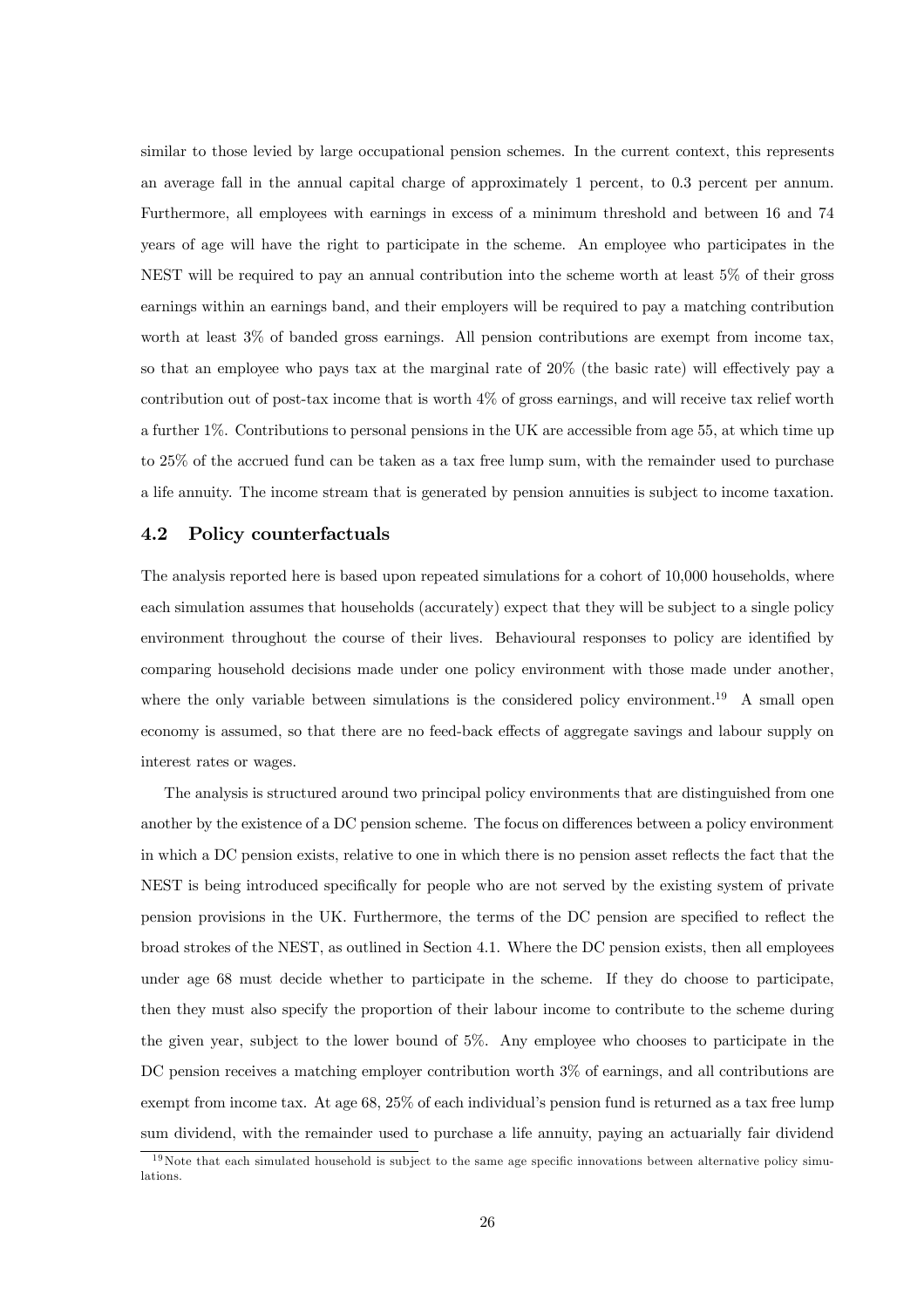similar to those levied by large occupational pension schemes. In the current context, this represents an average fall in the annual capital charge of approximately 1 percent, to 0.3 percent per annum. Furthermore, all employees with earnings in excess of a minimum threshold and between 16 and 74 years of age will have the right to participate in the scheme. An employee who participates in the NEST will be required to pay an annual contribution into the scheme worth at least 5% of their gross earnings within an earnings band, and their employers will be required to pay a matching contribution worth at least 3% of banded gross earnings. All pension contributions are exempt from income tax, so that an employee who pays tax at the marginal rate of 20% (the basic rate) will effectively pay a contribution out of post-tax income that is worth 4% of gross earnings, and will receive tax relief worth a further 1%. Contributions to personal pensions in the UK are accessible from age 55, at which time up to 25% of the accrued fund can be taken as a tax free lump sum, with the remainder used to purchase a life annuity. The income stream that is generated by pension annuities is subject to income taxation.

## 4.2 Policy counterfactuals

The analysis reported here is based upon repeated simulations for a cohort of 10,000 households, where each simulation assumes that households (accurately) expect that they will be subject to a single policy environment throughout the course of their lives. Behavioural responses to policy are identified by comparing household decisions made under one policy environment with those made under another, where the only variable between simulations is the considered policy environment.<sup>19</sup> A small open economy is assumed, so that there are no feed-back effects of aggregate savings and labour supply on interest rates or wages.

The analysis is structured around two principal policy environments that are distinguished from one another by the existence of a DC pension scheme. The focus on differences between a policy environment in which a DC pension exists, relative to one in which there is no pension asset reflects the fact that the NEST is being introduced specifically for people who are not served by the existing system of private pension provisions in the UK. Furthermore, the terms of the DC pension are specified to reflect the broad strokes of the NEST, as outlined in Section 4.1. Where the DC pension exists, then all employees under age 68 must decide whether to participate in the scheme. If they do choose to participate, then they must also specify the proportion of their labour income to contribute to the scheme during the given year, subject to the lower bound of 5%. Any employee who chooses to participate in the DC pension receives a matching employer contribution worth 3% of earnings, and all contributions are exempt from income tax. At age 68, 25% of each individual's pension fund is returned as a tax free lump sum dividend, with the remainder used to purchase a life annuity, paying an actuarially fair dividend

 $19$ Note that each simulated household is subject to the same age specific innovations between alternative policy simulations.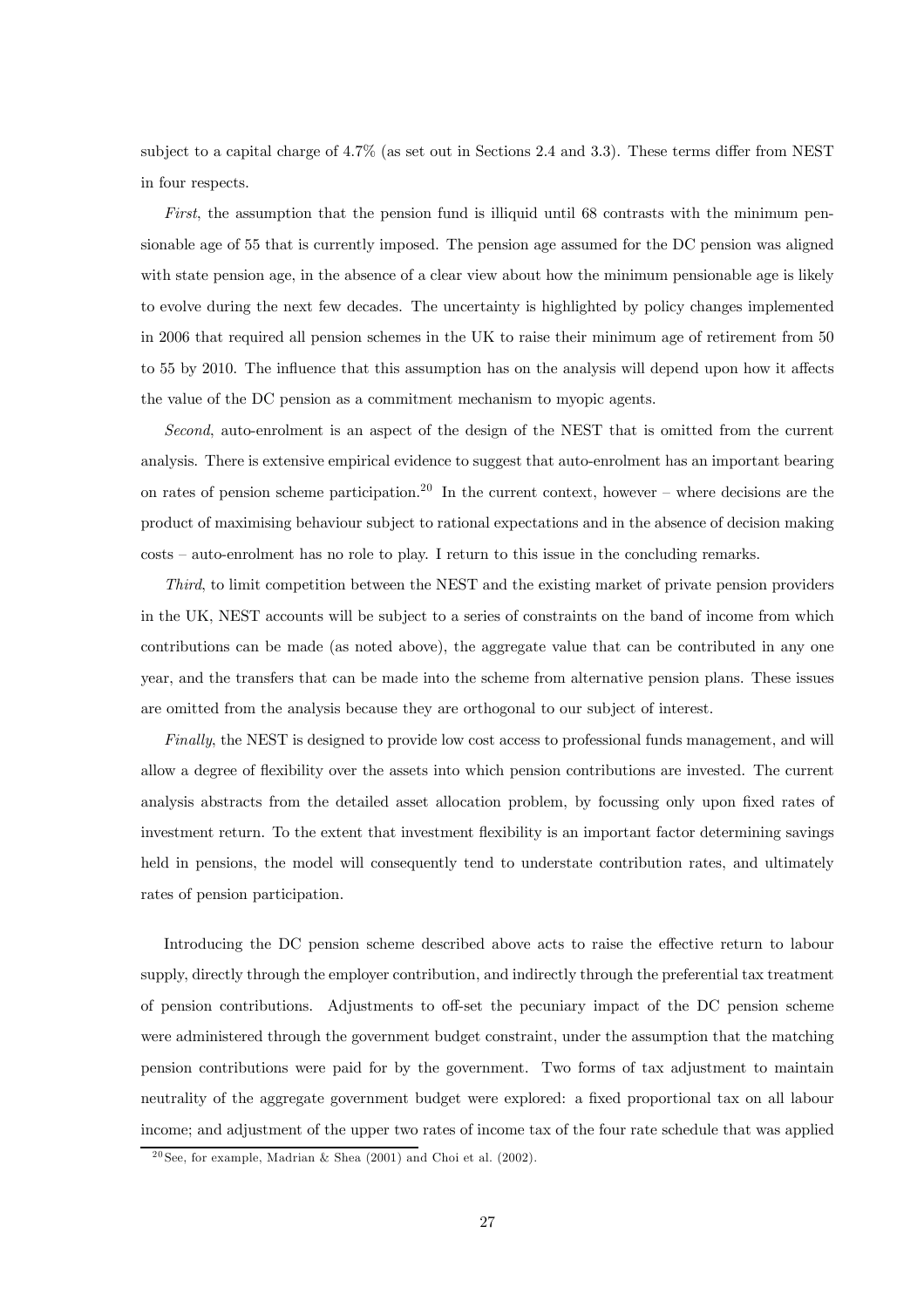subject to a capital charge of 4.7% (as set out in Sections 2.4 and 3.3). These terms differ from NEST in four respects.

First, the assumption that the pension fund is illiquid until 68 contrasts with the minimum pensionable age of 55 that is currently imposed. The pension age assumed for the DC pension was aligned with state pension age, in the absence of a clear view about how the minimum pensionable age is likely to evolve during the next few decades. The uncertainty is highlighted by policy changes implemented in 2006 that required all pension schemes in the UK to raise their minimum age of retirement from 50 to 55 by 2010. The influence that this assumption has on the analysis will depend upon how it affects the value of the DC pension as a commitment mechanism to myopic agents.

Second, auto-enrolment is an aspect of the design of the NEST that is omitted from the current analysis. There is extensive empirical evidence to suggest that auto-enrolment has an important bearing on rates of pension scheme participation.<sup>20</sup> In the current context, however – where decisions are the product of maximising behaviour subject to rational expectations and in the absence of decision making costs — auto-enrolment has no role to play. I return to this issue in the concluding remarks.

Third, to limit competition between the NEST and the existing market of private pension providers in the UK, NEST accounts will be subject to a series of constraints on the band of income from which contributions can be made (as noted above), the aggregate value that can be contributed in any one year, and the transfers that can be made into the scheme from alternative pension plans. These issues are omitted from the analysis because they are orthogonal to our subject of interest.

Finally, the NEST is designed to provide low cost access to professional funds management, and will allow a degree of flexibility over the assets into which pension contributions are invested. The current analysis abstracts from the detailed asset allocation problem, by focussing only upon fixed rates of investment return. To the extent that investment flexibility is an important factor determining savings held in pensions, the model will consequently tend to understate contribution rates, and ultimately rates of pension participation.

Introducing the DC pension scheme described above acts to raise the effective return to labour supply, directly through the employer contribution, and indirectly through the preferential tax treatment of pension contributions. Adjustments to off-set the pecuniary impact of the DC pension scheme were administered through the government budget constraint, under the assumption that the matching pension contributions were paid for by the government. Two forms of tax adjustment to maintain neutrality of the aggregate government budget were explored: a fixed proportional tax on all labour income; and adjustment of the upper two rates of income tax of the four rate schedule that was applied

<sup>&</sup>lt;sup>20</sup> See, for example, Madrian & Shea (2001) and Choi et al. (2002).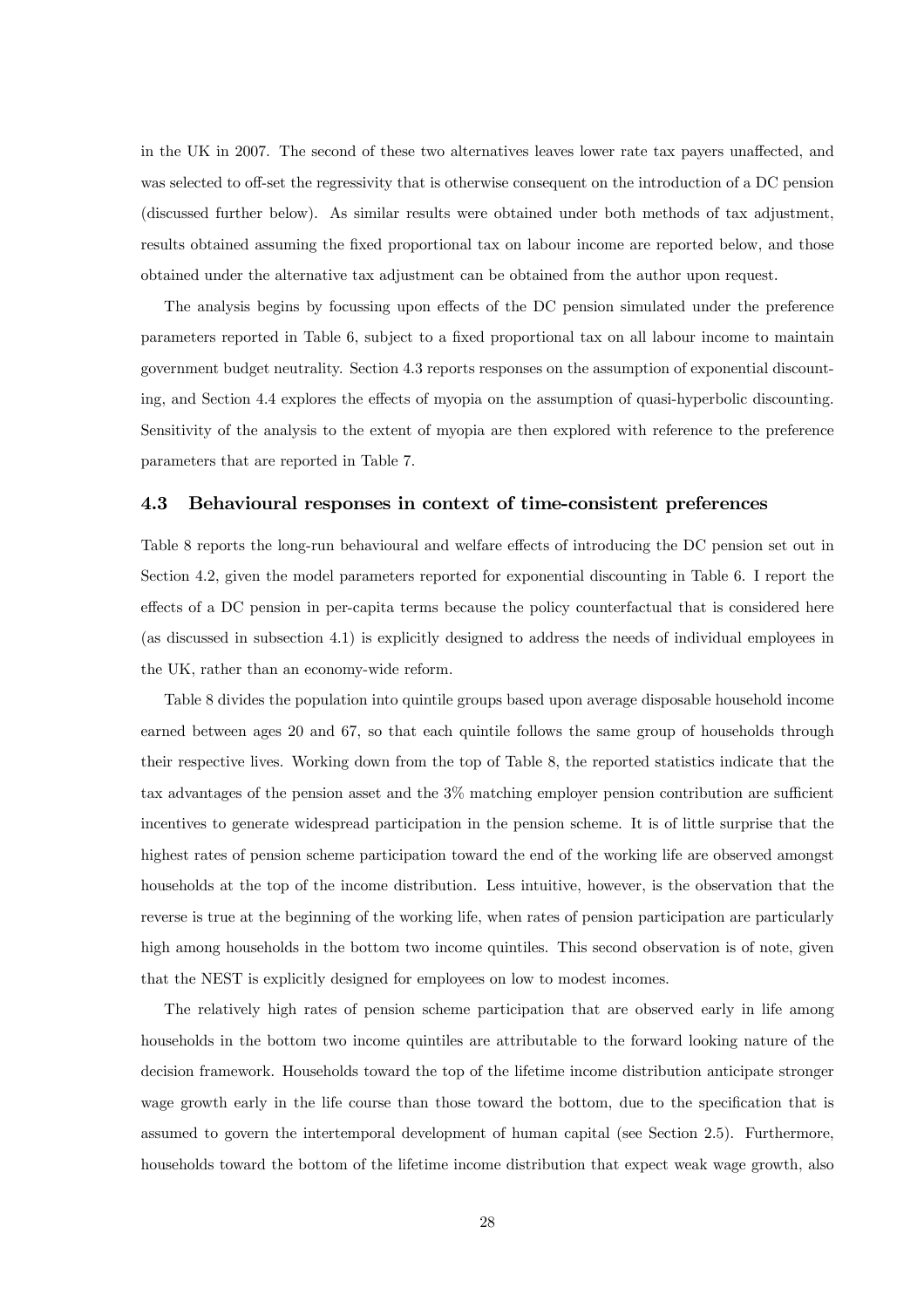in the UK in 2007. The second of these two alternatives leaves lower rate tax payers unaffected, and was selected to off-set the regressivity that is otherwise consequent on the introduction of a DC pension (discussed further below). As similar results were obtained under both methods of tax adjustment, results obtained assuming the fixed proportional tax on labour income are reported below, and those obtained under the alternative tax adjustment can be obtained from the author upon request.

The analysis begins by focussing upon effects of the DC pension simulated under the preference parameters reported in Table 6, subject to a fixed proportional tax on all labour income to maintain government budget neutrality. Section 4.3 reports responses on the assumption of exponential discounting, and Section 4.4 explores the effects of myopia on the assumption of quasi-hyperbolic discounting. Sensitivity of the analysis to the extent of myopia are then explored with reference to the preference parameters that are reported in Table 7.

## 4.3 Behavioural responses in context of time-consistent preferences

Table 8 reports the long-run behavioural and welfare effects of introducing the DC pension set out in Section 4.2, given the model parameters reported for exponential discounting in Table 6. I report the effects of a DC pension in per-capita terms because the policy counterfactual that is considered here (as discussed in subsection 4.1) is explicitly designed to address the needs of individual employees in the UK, rather than an economy-wide reform.

Table 8 divides the population into quintile groups based upon average disposable household income earned between ages 20 and 67, so that each quintile follows the same group of households through their respective lives. Working down from the top of Table 8, the reported statistics indicate that the tax advantages of the pension asset and the  $3\%$  matching employer pension contribution are sufficient incentives to generate widespread participation in the pension scheme. It is of little surprise that the highest rates of pension scheme participation toward the end of the working life are observed amongst households at the top of the income distribution. Less intuitive, however, is the observation that the reverse is true at the beginning of the working life, when rates of pension participation are particularly high among households in the bottom two income quintiles. This second observation is of note, given that the NEST is explicitly designed for employees on low to modest incomes.

The relatively high rates of pension scheme participation that are observed early in life among households in the bottom two income quintiles are attributable to the forward looking nature of the decision framework. Households toward the top of the lifetime income distribution anticipate stronger wage growth early in the life course than those toward the bottom, due to the specification that is assumed to govern the intertemporal development of human capital (see Section 2.5). Furthermore, households toward the bottom of the lifetime income distribution that expect weak wage growth, also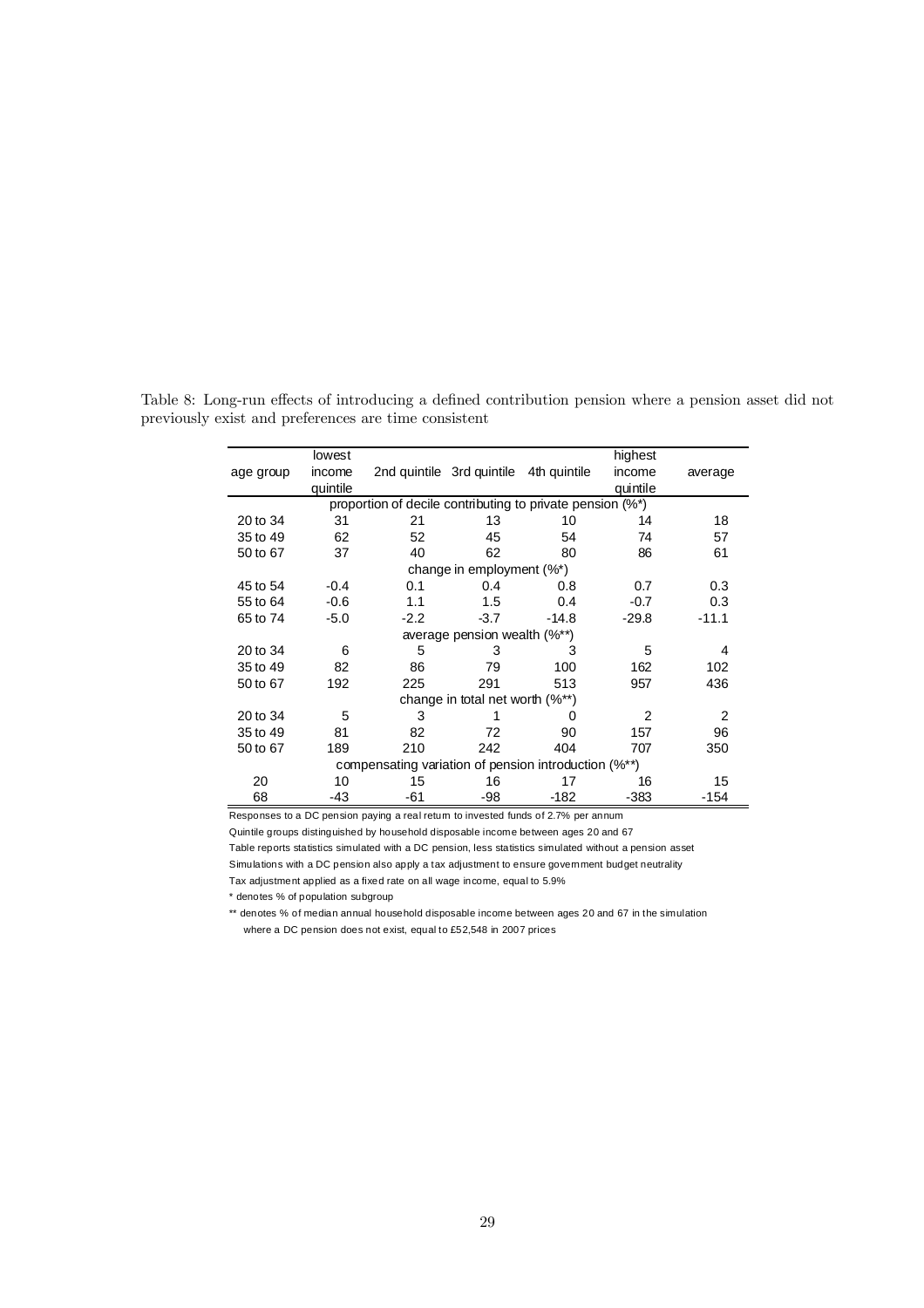|                                                           | lowest   |                                                      |                                        |         | highest        |         |  |  |
|-----------------------------------------------------------|----------|------------------------------------------------------|----------------------------------------|---------|----------------|---------|--|--|
| age group                                                 | income   |                                                      | 2nd quintile 3rd quintile 4th quintile |         | income         | average |  |  |
|                                                           | quintile |                                                      |                                        |         | quintile       |         |  |  |
| proportion of decile contributing to private pension (%*) |          |                                                      |                                        |         |                |         |  |  |
| 20 to 34                                                  | 31       | 21                                                   | 13                                     | 10      | 14             | 18      |  |  |
| 35 to 49                                                  | 62       | 52                                                   | 45                                     | 54      | 74             | 57      |  |  |
| 50 to 67                                                  | 37       | 40                                                   | 62                                     | 80      | 86             | 61      |  |  |
|                                                           |          |                                                      | change in employment $(\%^*)$          |         |                |         |  |  |
| 45 to 54                                                  | $-0.4$   | 0.1                                                  | 0.4                                    | 0.8     | 0.7            | 0.3     |  |  |
| 55 to 64                                                  | $-0.6$   | 1.1                                                  | 1.5                                    | 0.4     | $-0.7$         | 0.3     |  |  |
| 65 to 74                                                  | $-5.0$   | $-2.2$                                               | $-3.7$                                 | $-14.8$ | $-29.8$        | $-11.1$ |  |  |
|                                                           |          |                                                      | average pension wealth (%**)           |         |                |         |  |  |
| 20 to 34                                                  | 6        | 5                                                    | 3                                      | 3       | 5              | 4       |  |  |
| 35 to 49                                                  | 82       | 86                                                   | 79                                     | 100     | 162            | 102     |  |  |
| 50 to 67                                                  | 192      | 225                                                  | 291                                    | 513     | 957            | 436     |  |  |
|                                                           |          |                                                      | change in total net worth (%**)        |         |                |         |  |  |
| 20 to 34                                                  | 5        | 3                                                    |                                        | 0       | $\overline{2}$ | 2       |  |  |
| 35 to 49                                                  | 81       | 82                                                   | 72                                     | 90      | 157            | 96      |  |  |
| 50 to 67                                                  | 189      | 210                                                  | 242                                    | 404     | 707            | 350     |  |  |
|                                                           |          | compensating variation of pension introduction (%**) |                                        |         |                |         |  |  |
| 20                                                        | 10       | 15                                                   | 16                                     | 17      | 16             | 15      |  |  |
| 68                                                        | -43      | -61                                                  | -98                                    | -182    | -383           | -154    |  |  |

Table 8: Long-run effects of introducing a defined contribution pension where a pension asset did not previously exist and preferences are time consistent

Responses to a DC pension paying a real return to invested funds of 2.7% per annum

Quintile groups distinguished by household disposable income between ages 20 and 67 Table reports statistics simulated with a DC pension, less statistics simulated without a pension asset Simulations with a DC pension also apply a tax adjustment to ensure gove mment budget neutrality

Tax adjustment applied as a fixed rate on all wage income, equal to 5.9%

\* denotes % of population subgroup

\*\* denotes % of median annual household disposable income between ages 20 and 67 in the simulation where a DC pension does not exist, equal to £52,548 in 2007 prices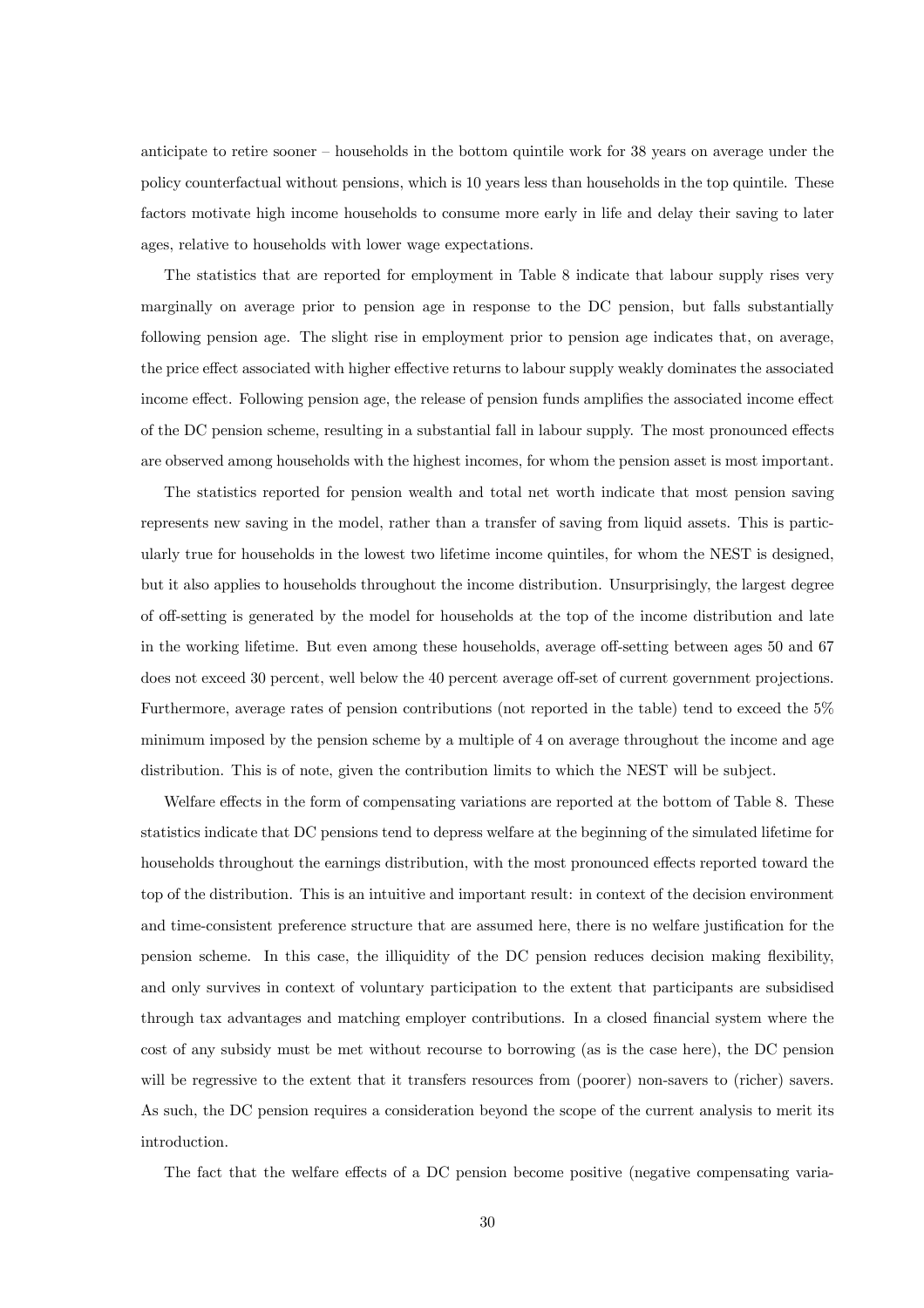anticipate to retire sooner — households in the bottom quintile work for 38 years on average under the policy counterfactual without pensions, which is 10 years less than households in the top quintile. These factors motivate high income households to consume more early in life and delay their saving to later ages, relative to households with lower wage expectations.

The statistics that are reported for employment in Table 8 indicate that labour supply rises very marginally on average prior to pension age in response to the DC pension, but falls substantially following pension age. The slight rise in employment prior to pension age indicates that, on average, the price effect associated with higher effective returns to labour supply weakly dominates the associated income effect. Following pension age, the release of pension funds amplifies the associated income effect of the DC pension scheme, resulting in a substantial fall in labour supply. The most pronounced effects are observed among households with the highest incomes, for whom the pension asset is most important.

The statistics reported for pension wealth and total net worth indicate that most pension saving represents new saving in the model, rather than a transfer of saving from liquid assets. This is particularly true for households in the lowest two lifetime income quintiles, for whom the NEST is designed, but it also applies to households throughout the income distribution. Unsurprisingly, the largest degree of off-setting is generated by the model for households at the top of the income distribution and late in the working lifetime. But even among these households, average off-setting between ages 50 and 67 does not exceed 30 percent, well below the 40 percent average off-set of current government projections. Furthermore, average rates of pension contributions (not reported in the table) tend to exceed the 5% minimum imposed by the pension scheme by a multiple of 4 on average throughout the income and age distribution. This is of note, given the contribution limits to which the NEST will be subject.

Welfare effects in the form of compensating variations are reported at the bottom of Table 8. These statistics indicate that DC pensions tend to depress welfare at the beginning of the simulated lifetime for households throughout the earnings distribution, with the most pronounced effects reported toward the top of the distribution. This is an intuitive and important result: in context of the decision environment and time-consistent preference structure that are assumed here, there is no welfare justification for the pension scheme. In this case, the illiquidity of the DC pension reduces decision making flexibility, and only survives in context of voluntary participation to the extent that participants are subsidised through tax advantages and matching employer contributions. In a closed financial system where the cost of any subsidy must be met without recourse to borrowing (as is the case here), the DC pension will be regressive to the extent that it transfers resources from (poorer) non-savers to (richer) savers. As such, the DC pension requires a consideration beyond the scope of the current analysis to merit its introduction.

The fact that the welfare effects of a DC pension become positive (negative compensating varia-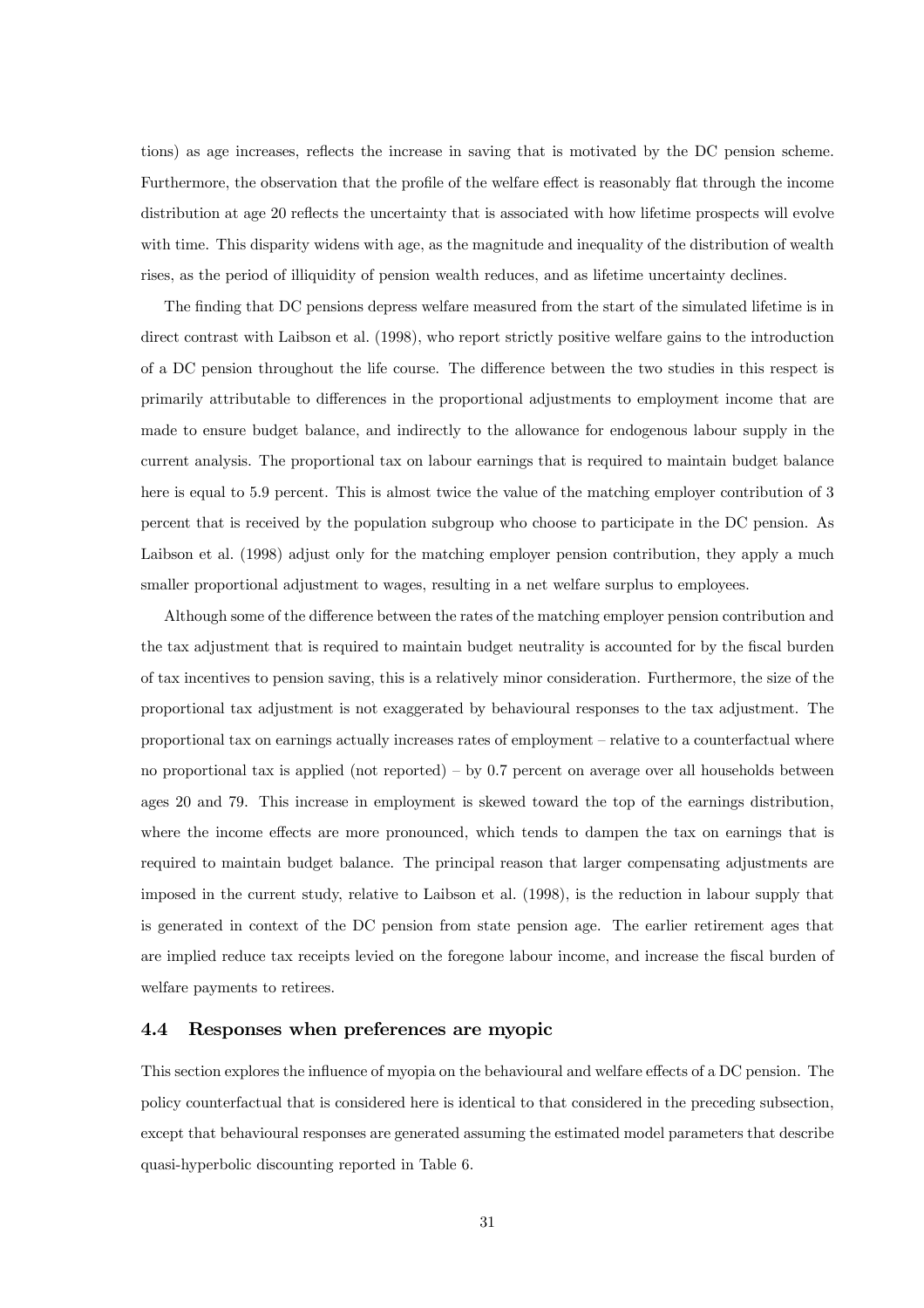tions) as age increases, reflects the increase in saving that is motivated by the DC pension scheme. Furthermore, the observation that the profile of the welfare effect is reasonably flat through the income distribution at age 20 reflects the uncertainty that is associated with how lifetime prospects will evolve with time. This disparity widens with age, as the magnitude and inequality of the distribution of wealth rises, as the period of illiquidity of pension wealth reduces, and as lifetime uncertainty declines.

The finding that DC pensions depress welfare measured from the start of the simulated lifetime is in direct contrast with Laibson et al. (1998), who report strictly positive welfare gains to the introduction of a DC pension throughout the life course. The difference between the two studies in this respect is primarily attributable to differences in the proportional adjustments to employment income that are made to ensure budget balance, and indirectly to the allowance for endogenous labour supply in the current analysis. The proportional tax on labour earnings that is required to maintain budget balance here is equal to 5.9 percent. This is almost twice the value of the matching employer contribution of 3 percent that is received by the population subgroup who choose to participate in the DC pension. As Laibson et al. (1998) adjust only for the matching employer pension contribution, they apply a much smaller proportional adjustment to wages, resulting in a net welfare surplus to employees.

Although some of the difference between the rates of the matching employer pension contribution and the tax adjustment that is required to maintain budget neutrality is accounted for by the fiscal burden of tax incentives to pension saving, this is a relatively minor consideration. Furthermore, the size of the proportional tax adjustment is not exaggerated by behavioural responses to the tax adjustment. The proportional tax on earnings actually increases rates of employment — relative to a counterfactual where no proportional tax is applied (not reported) – by  $0.7$  percent on average over all households between ages 20 and 79. This increase in employment is skewed toward the top of the earnings distribution, where the income effects are more pronounced, which tends to dampen the tax on earnings that is required to maintain budget balance. The principal reason that larger compensating adjustments are imposed in the current study, relative to Laibson et al. (1998), is the reduction in labour supply that is generated in context of the DC pension from state pension age. The earlier retirement ages that are implied reduce tax receipts levied on the foregone labour income, and increase the fiscal burden of welfare payments to retirees.

## 4.4 Responses when preferences are myopic

This section explores the influence of myopia on the behavioural and welfare effects of a DC pension. The policy counterfactual that is considered here is identical to that considered in the preceding subsection, except that behavioural responses are generated assuming the estimated model parameters that describe quasi-hyperbolic discounting reported in Table 6.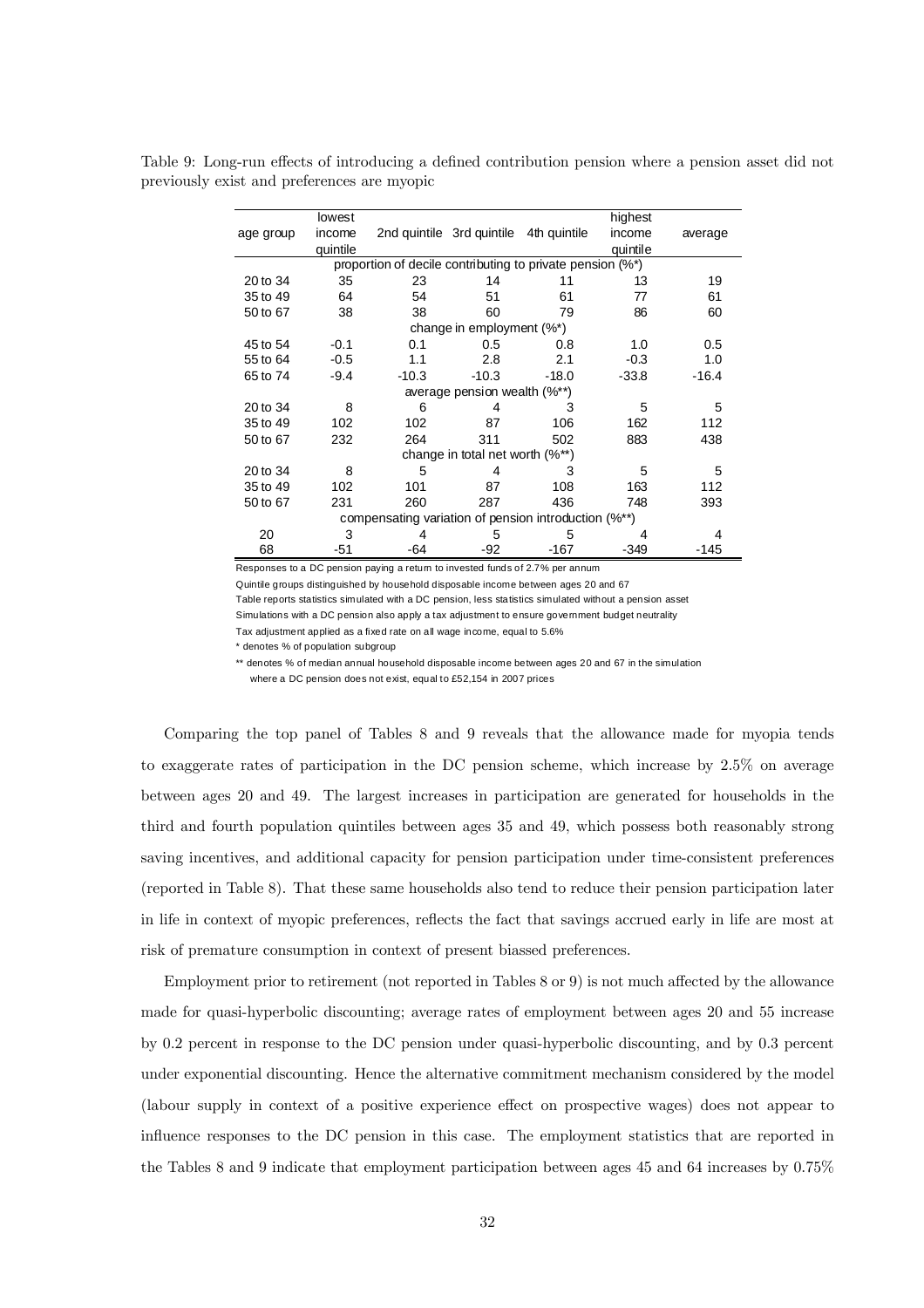Table 9: Long-run effects of introducing a defined contribution pension where a pension asset did not previously exist and preferences are myopic

|           | lowest   |                                                           |                                        |         | highest  |         |
|-----------|----------|-----------------------------------------------------------|----------------------------------------|---------|----------|---------|
| age group | income   |                                                           | 2nd quintile 3rd quintile 4th quintile |         | income   | average |
|           | quintile |                                                           |                                        |         | quintile |         |
|           |          | proportion of decile contributing to private pension (%*) |                                        |         |          |         |
| 20 to 34  | 35       | 23                                                        | 14                                     | 11      | 13       | 19      |
| 35 to 49  | 64       | 54                                                        | 51                                     | 61      | 77       | 61      |
| 50 to 67  | 38       | 38                                                        | 60                                     | 79      | 86       | 60      |
|           |          |                                                           | change in employment (%*)              |         |          |         |
| 45 to 54  | $-0.1$   | 0.1                                                       | 0.5                                    | 0.8     | 1.0      | 0.5     |
| 55 to 64  | $-0.5$   | 1.1                                                       | 2.8                                    | 2.1     | $-0.3$   | 1.0     |
| 65 to 74  | $-9.4$   | $-10.3$                                                   | $-10.3$                                | $-18.0$ | $-33.8$  | $-16.4$ |
|           |          |                                                           | average pension wealth (%**)           |         |          |         |
| 20 to 34  | 8        | 6                                                         | 4                                      | 3       | 5        | 5       |
| 35 to 49  | 102      | 102                                                       | 87                                     | 106     | 162      | 112     |
| 50 to 67  | 232      | 264                                                       | 311                                    | 502     | 883      | 438     |
|           |          |                                                           | change in total net worth $(\%^{**})$  |         |          |         |
| 20 to 34  | 8        | 5                                                         | 4                                      | 3       | 5        | 5       |
| 35 to 49  | 102      | 101                                                       | 87                                     | 108     | 163      | 112     |
| 50 to 67  | 231      | 260                                                       | 287                                    | 436     | 748      | 393     |
|           |          | compensating variation of pension introduction (%**)      |                                        |         |          |         |
| 20        | 3        |                                                           | 5                                      | 5       |          | 4       |
| 68        | -51      | -64                                                       | -92                                    | $-167$  | -349     | $-145$  |

Responses to a DC pension paying a return to invested funds of 2.7% per annum

Quintile groups distinguished by household disposable income between ages 20 and 67

Table reports statistics simulated with a DC pension, less statistics simulated without a pension asset Simulations with a DC pension also apply a tax adjustment to ensure government budget neutrality

Tax adjustment applied as a fixed rate on all wage income, equal to 5.6%

\* denotes % of population subgroup

\*\* denotes % of median annual household disposable income between ages 20 and 67 in the simulation where a DC pension does not exist, equal to £52,154 in 2007 prices

Comparing the top panel of Tables 8 and 9 reveals that the allowance made for myopia tends to exaggerate rates of participation in the DC pension scheme, which increase by 2.5% on average between ages 20 and 49. The largest increases in participation are generated for households in the third and fourth population quintiles between ages 35 and 49, which possess both reasonably strong saving incentives, and additional capacity for pension participation under time-consistent preferences (reported in Table 8). That these same households also tend to reduce their pension participation later in life in context of myopic preferences, reflects the fact that savings accrued early in life are most at risk of premature consumption in context of present biassed preferences.

Employment prior to retirement (not reported in Tables 8 or 9) is not much affected by the allowance made for quasi-hyperbolic discounting; average rates of employment between ages 20 and 55 increase by 0.2 percent in response to the DC pension under quasi-hyperbolic discounting, and by 0.3 percent under exponential discounting. Hence the alternative commitment mechanism considered by the model (labour supply in context of a positive experience effect on prospective wages) does not appear to influence responses to the DC pension in this case. The employment statistics that are reported in the Tables 8 and 9 indicate that employment participation between ages 45 and 64 increases by 0.75%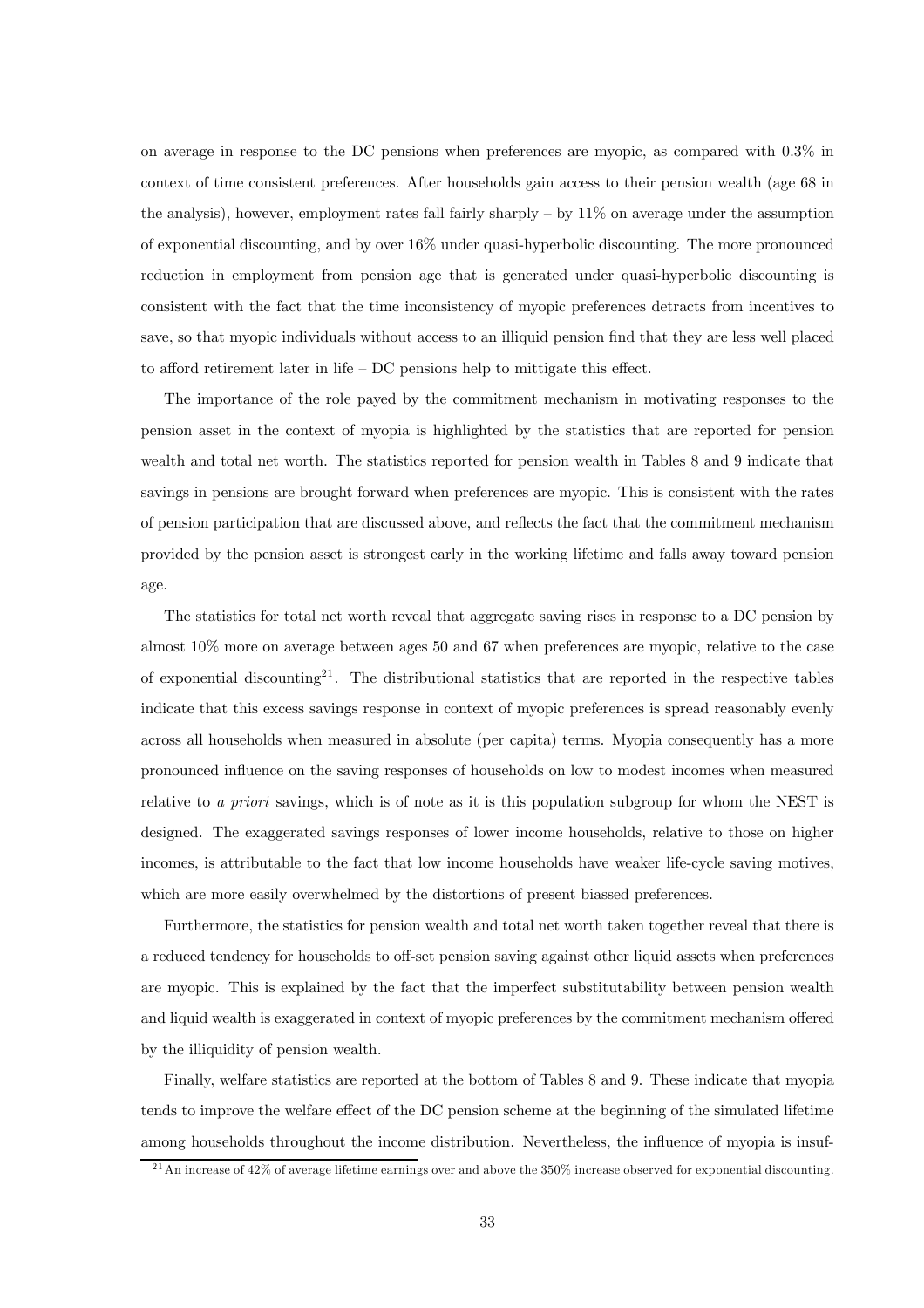on average in response to the DC pensions when preferences are myopic, as compared with 0.3% in context of time consistent preferences. After households gain access to their pension wealth (age 68 in the analysis), however, employment rates fall fairly sharply  $-$  by  $11\%$  on average under the assumption of exponential discounting, and by over 16% under quasi-hyperbolic discounting. The more pronounced reduction in employment from pension age that is generated under quasi-hyperbolic discounting is consistent with the fact that the time inconsistency of myopic preferences detracts from incentives to save, so that myopic individuals without access to an illiquid pension find that they are less well placed to afford retirement later in life — DC pensions help to mittigate this effect.

The importance of the role payed by the commitment mechanism in motivating responses to the pension asset in the context of myopia is highlighted by the statistics that are reported for pension wealth and total net worth. The statistics reported for pension wealth in Tables 8 and 9 indicate that savings in pensions are brought forward when preferences are myopic. This is consistent with the rates of pension participation that are discussed above, and reflects the fact that the commitment mechanism provided by the pension asset is strongest early in the working lifetime and falls away toward pension age.

The statistics for total net worth reveal that aggregate saving rises in response to a DC pension by almost 10% more on average between ages 50 and 67 when preferences are myopic, relative to the case of exponential discounting<sup>21</sup>. The distributional statistics that are reported in the respective tables indicate that this excess savings response in context of myopic preferences is spread reasonably evenly across all households when measured in absolute (per capita) terms. Myopia consequently has a more pronounced influence on the saving responses of households on low to modest incomes when measured relative to a priori savings, which is of note as it is this population subgroup for whom the NEST is designed. The exaggerated savings responses of lower income households, relative to those on higher incomes, is attributable to the fact that low income households have weaker life-cycle saving motives, which are more easily overwhelmed by the distortions of present biassed preferences.

Furthermore, the statistics for pension wealth and total net worth taken together reveal that there is a reduced tendency for households to off-set pension saving against other liquid assets when preferences are myopic. This is explained by the fact that the imperfect substitutability between pension wealth and liquid wealth is exaggerated in context of myopic preferences by the commitment mechanism offered by the illiquidity of pension wealth.

Finally, welfare statistics are reported at the bottom of Tables 8 and 9. These indicate that myopia tends to improve the welfare effect of the DC pension scheme at the beginning of the simulated lifetime among households throughout the income distribution. Nevertheless, the influence of myopia is insuf-

 $^{21}$ An increase of 42% of average lifetime earnings over and above the 350% increase observed for exponential discounting.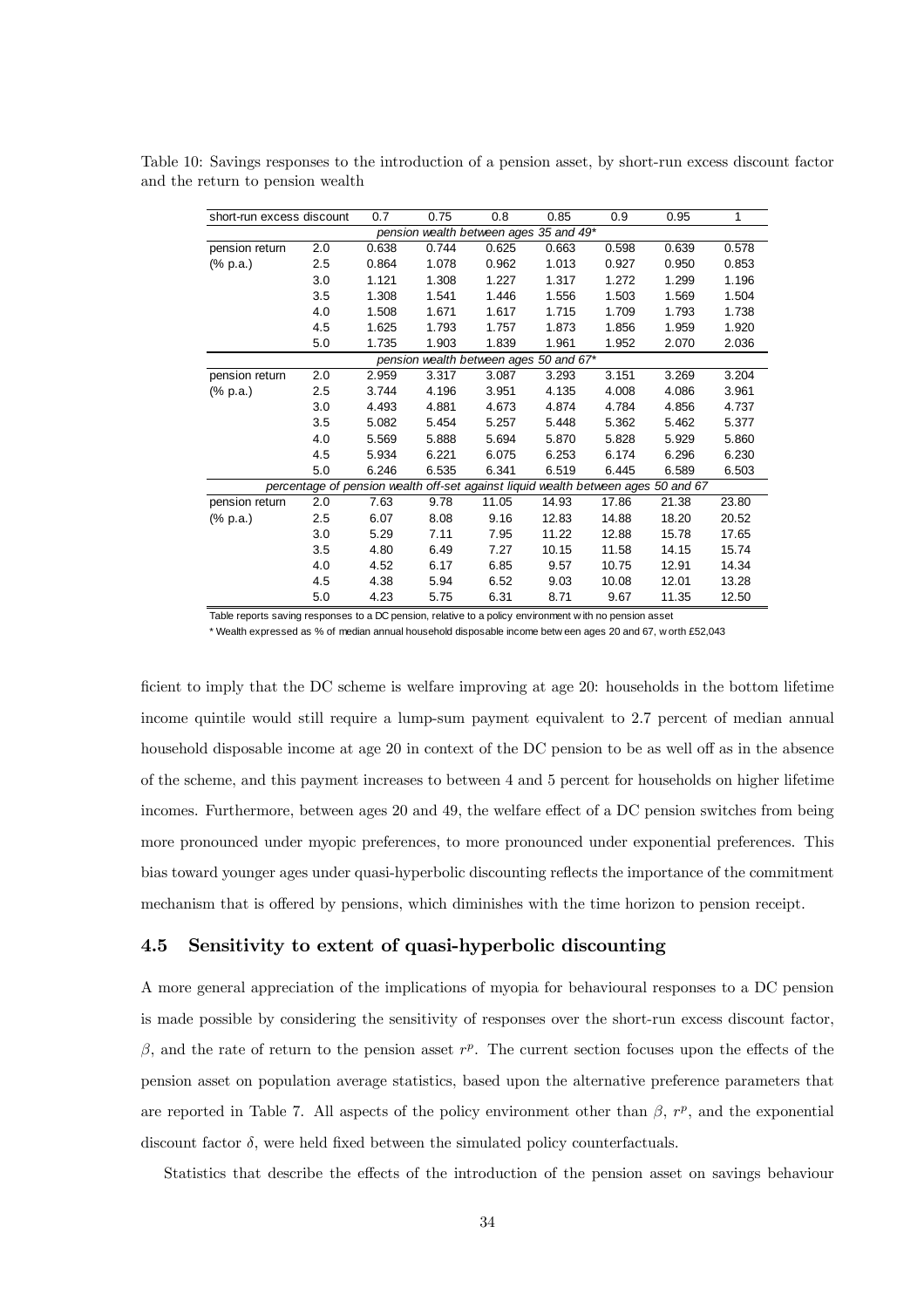| short-run excess discount |         | 0.7   | 0.75  | 0.8   | 0.85                                                                              | 0.9   | 0.95  | 1     |
|---------------------------|---------|-------|-------|-------|-----------------------------------------------------------------------------------|-------|-------|-------|
|                           |         |       |       |       | pension wealth between ages 35 and 49*                                            |       |       |       |
| pension return            | 2.0     | 0.638 | 0.744 | 0.625 | 0.663                                                                             | 0.598 | 0.639 | 0.578 |
| (% p.a.)                  | $2.5\,$ | 0.864 | 1.078 | 0.962 | 1.013                                                                             | 0.927 | 0.950 | 0.853 |
|                           | 3.0     | 1.121 | 1.308 | 1.227 | 1.317                                                                             | 1.272 | 1.299 | 1.196 |
|                           | 3.5     | 1.308 | 1.541 | 1.446 | 1.556                                                                             | 1.503 | 1.569 | 1.504 |
|                           | 4.0     | 1.508 | 1.671 | 1.617 | 1.715                                                                             | 1.709 | 1.793 | 1.738 |
|                           | 4.5     | 1.625 | 1.793 | 1.757 | 1.873                                                                             | 1.856 | 1.959 | 1.920 |
|                           | 5.0     | 1.735 | 1.903 | 1.839 | 1.961                                                                             | 1.952 | 2.070 | 2.036 |
|                           |         |       |       |       | pension wealth between ages 50 and 67*                                            |       |       |       |
| pension return            | 2.0     | 2.959 | 3.317 | 3.087 | 3.293                                                                             | 3.151 | 3.269 | 3.204 |
| (% p.a.)                  | 2.5     | 3.744 | 4.196 | 3.951 | 4.135                                                                             | 4.008 | 4.086 | 3.961 |
|                           | 3.0     | 4.493 | 4.881 | 4.673 | 4.874                                                                             | 4.784 | 4.856 | 4.737 |
|                           | 3.5     | 5.082 | 5.454 | 5.257 | 5.448                                                                             | 5.362 | 5.462 | 5.377 |
|                           | 4.0     | 5.569 | 5.888 | 5.694 | 5.870                                                                             | 5.828 | 5.929 | 5.860 |
|                           | 4.5     | 5.934 | 6.221 | 6.075 | 6.253                                                                             | 6.174 | 6.296 | 6.230 |
|                           | 5.0     | 6.246 | 6.535 | 6.341 | 6.519                                                                             | 6.445 | 6.589 | 6.503 |
|                           |         |       |       |       | percentage of pension wealth off-set against liquid wealth between ages 50 and 67 |       |       |       |
| pension return            | 2.0     | 7.63  | 9.78  | 11.05 | 14.93                                                                             | 17.86 | 21.38 | 23.80 |
| (% p.a.)                  | 2.5     | 6.07  | 8.08  | 9.16  | 12.83                                                                             | 14.88 | 18.20 | 20.52 |
|                           | 3.0     | 5.29  | 7.11  | 7.95  | 11.22                                                                             | 12.88 | 15.78 | 17.65 |
|                           | 3.5     | 4.80  | 6.49  | 7.27  | 10.15                                                                             | 11.58 | 14.15 | 15.74 |
|                           | 4.0     | 4.52  | 6.17  | 6.85  | 9.57                                                                              | 10.75 | 12.91 | 14.34 |
|                           | 4.5     | 4.38  | 5.94  | 6.52  | 9.03                                                                              | 10.08 | 12.01 | 13.28 |
|                           | 5.0     | 4.23  | 5.75  | 6.31  | 8.71                                                                              | 9.67  | 11.35 | 12.50 |

Table 10: Savings responses to the introduction of a pension asset, by short-run excess discount factor and the return to pension wealth

Table reports saving responses to a DC pension, relative to a policy environment w ith no pension asset

\* Wealth expressed as % of median annual household disposable income betw een ages 20 and 67, w orth £52,043

ficient to imply that the DC scheme is welfare improving at age 20: households in the bottom lifetime income quintile would still require a lump-sum payment equivalent to 2.7 percent of median annual household disposable income at age 20 in context of the DC pension to be as well off as in the absence of the scheme, and this payment increases to between 4 and 5 percent for households on higher lifetime incomes. Furthermore, between ages 20 and 49, the welfare effect of a DC pension switches from being more pronounced under myopic preferences, to more pronounced under exponential preferences. This bias toward younger ages under quasi-hyperbolic discounting reflects the importance of the commitment mechanism that is offered by pensions, which diminishes with the time horizon to pension receipt.

## 4.5 Sensitivity to extent of quasi-hyperbolic discounting

A more general appreciation of the implications of myopia for behavioural responses to a DC pension is made possible by considering the sensitivity of responses over the short-run excess discount factor,  $β$ , and the rate of return to the pension asset  $r<sup>p</sup>$ . The current section focuses upon the effects of the pension asset on population average statistics, based upon the alternative preference parameters that are reported in Table 7. All aspects of the policy environment other than  $\beta$ ,  $r^p$ , and the exponential discount factor  $\delta$ , were held fixed between the simulated policy counterfactuals.

Statistics that describe the effects of the introduction of the pension asset on savings behaviour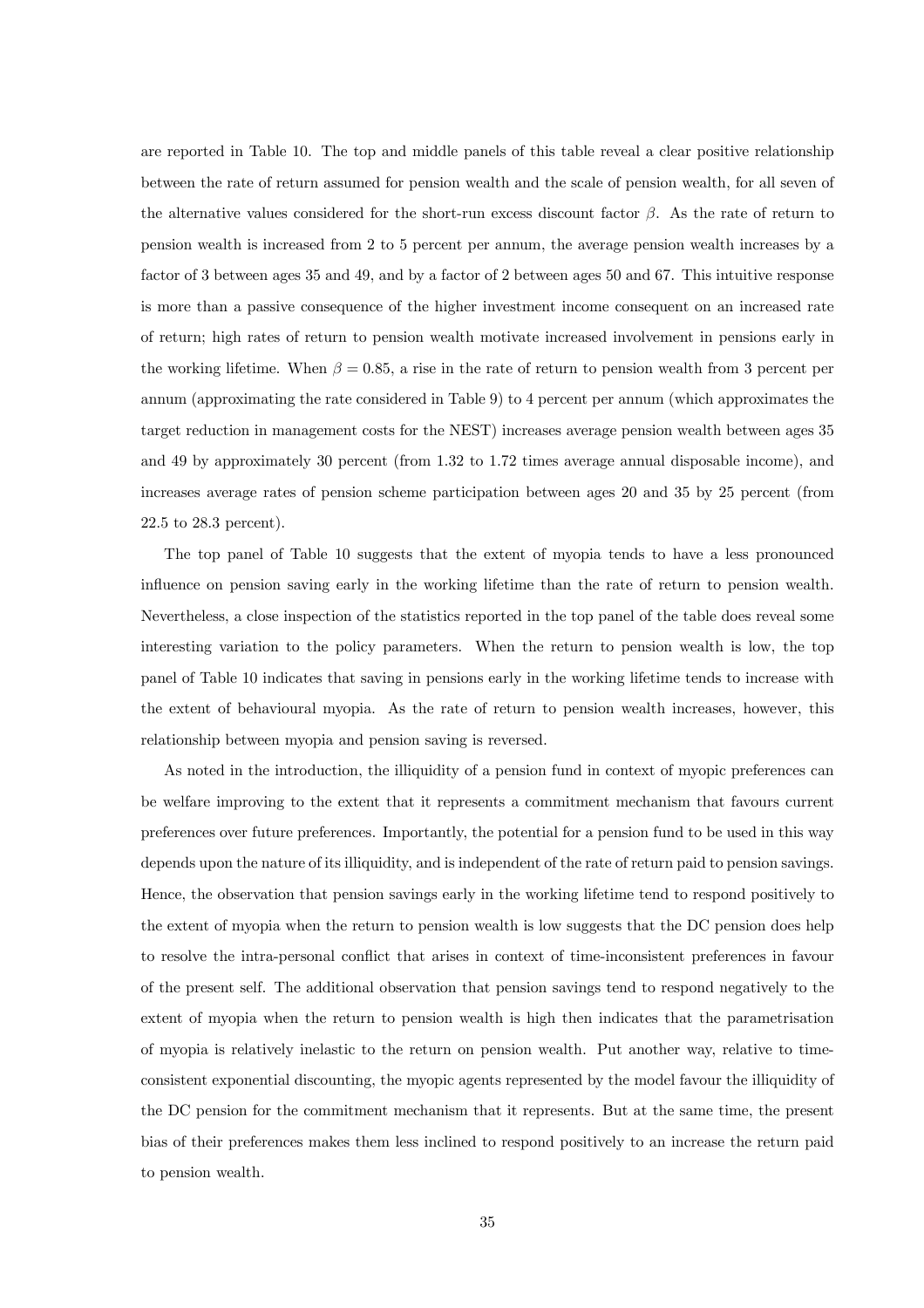are reported in Table 10. The top and middle panels of this table reveal a clear positive relationship between the rate of return assumed for pension wealth and the scale of pension wealth, for all seven of the alternative values considered for the short-run excess discount factor  $\beta$ . As the rate of return to pension wealth is increased from 2 to 5 percent per annum, the average pension wealth increases by a factor of 3 between ages 35 and 49, and by a factor of 2 between ages 50 and 67. This intuitive response is more than a passive consequence of the higher investment income consequent on an increased rate of return; high rates of return to pension wealth motivate increased involvement in pensions early in the working lifetime. When  $\beta = 0.85$ , a rise in the rate of return to pension wealth from 3 percent per annum (approximating the rate considered in Table 9) to 4 percent per annum (which approximates the target reduction in management costs for the NEST) increases average pension wealth between ages 35 and 49 by approximately 30 percent (from 1.32 to 1.72 times average annual disposable income), and increases average rates of pension scheme participation between ages 20 and 35 by 25 percent (from 22.5 to 28.3 percent).

The top panel of Table 10 suggests that the extent of myopia tends to have a less pronounced influence on pension saving early in the working lifetime than the rate of return to pension wealth. Nevertheless, a close inspection of the statistics reported in the top panel of the table does reveal some interesting variation to the policy parameters. When the return to pension wealth is low, the top panel of Table 10 indicates that saving in pensions early in the working lifetime tends to increase with the extent of behavioural myopia. As the rate of return to pension wealth increases, however, this relationship between myopia and pension saving is reversed.

As noted in the introduction, the illiquidity of a pension fund in context of myopic preferences can be welfare improving to the extent that it represents a commitment mechanism that favours current preferences over future preferences. Importantly, the potential for a pension fund to be used in this way depends upon the nature of its illiquidity, and is independent of the rate of return paid to pension savings. Hence, the observation that pension savings early in the working lifetime tend to respond positively to the extent of myopia when the return to pension wealth is low suggests that the DC pension does help to resolve the intra-personal conflict that arises in context of time-inconsistent preferences in favour of the present self. The additional observation that pension savings tend to respond negatively to the extent of myopia when the return to pension wealth is high then indicates that the parametrisation of myopia is relatively inelastic to the return on pension wealth. Put another way, relative to timeconsistent exponential discounting, the myopic agents represented by the model favour the illiquidity of the DC pension for the commitment mechanism that it represents. But at the same time, the present bias of their preferences makes them less inclined to respond positively to an increase the return paid to pension wealth.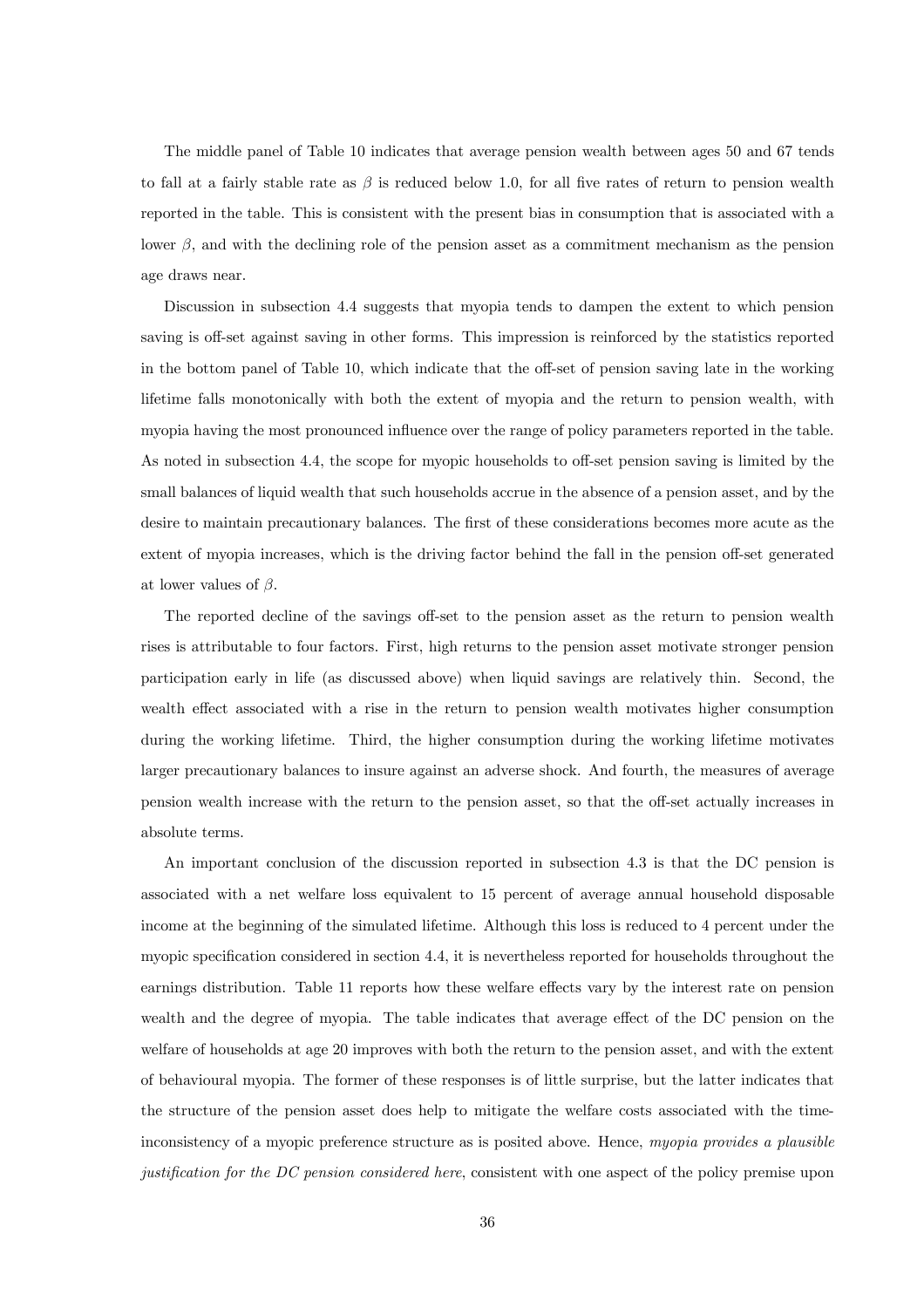The middle panel of Table 10 indicates that average pension wealth between ages 50 and 67 tends to fall at a fairly stable rate as  $\beta$  is reduced below 1.0, for all five rates of return to pension wealth reported in the table. This is consistent with the present bias in consumption that is associated with a lower  $\beta$ , and with the declining role of the pension asset as a commitment mechanism as the pension age draws near.

Discussion in subsection 4.4 suggests that myopia tends to dampen the extent to which pension saving is off-set against saving in other forms. This impression is reinforced by the statistics reported in the bottom panel of Table 10, which indicate that the off-set of pension saving late in the working lifetime falls monotonically with both the extent of myopia and the return to pension wealth, with myopia having the most pronounced influence over the range of policy parameters reported in the table. As noted in subsection 4.4, the scope for myopic households to off-set pension saving is limited by the small balances of liquid wealth that such households accrue in the absence of a pension asset, and by the desire to maintain precautionary balances. The first of these considerations becomes more acute as the extent of myopia increases, which is the driving factor behind the fall in the pension off-set generated at lower values of  $\beta$ .

The reported decline of the savings off-set to the pension asset as the return to pension wealth rises is attributable to four factors. First, high returns to the pension asset motivate stronger pension participation early in life (as discussed above) when liquid savings are relatively thin. Second, the wealth effect associated with a rise in the return to pension wealth motivates higher consumption during the working lifetime. Third, the higher consumption during the working lifetime motivates larger precautionary balances to insure against an adverse shock. And fourth, the measures of average pension wealth increase with the return to the pension asset, so that the off-set actually increases in absolute terms.

An important conclusion of the discussion reported in subsection 4.3 is that the DC pension is associated with a net welfare loss equivalent to 15 percent of average annual household disposable income at the beginning of the simulated lifetime. Although this loss is reduced to 4 percent under the myopic specification considered in section 4.4, it is nevertheless reported for households throughout the earnings distribution. Table 11 reports how these welfare effects vary by the interest rate on pension wealth and the degree of myopia. The table indicates that average effect of the DC pension on the welfare of households at age 20 improves with both the return to the pension asset, and with the extent of behavioural myopia. The former of these responses is of little surprise, but the latter indicates that the structure of the pension asset does help to mitigate the welfare costs associated with the timeinconsistency of a myopic preference structure as is posited above. Hence, myopia provides a plausible justification for the DC pension considered here, consistent with one aspect of the policy premise upon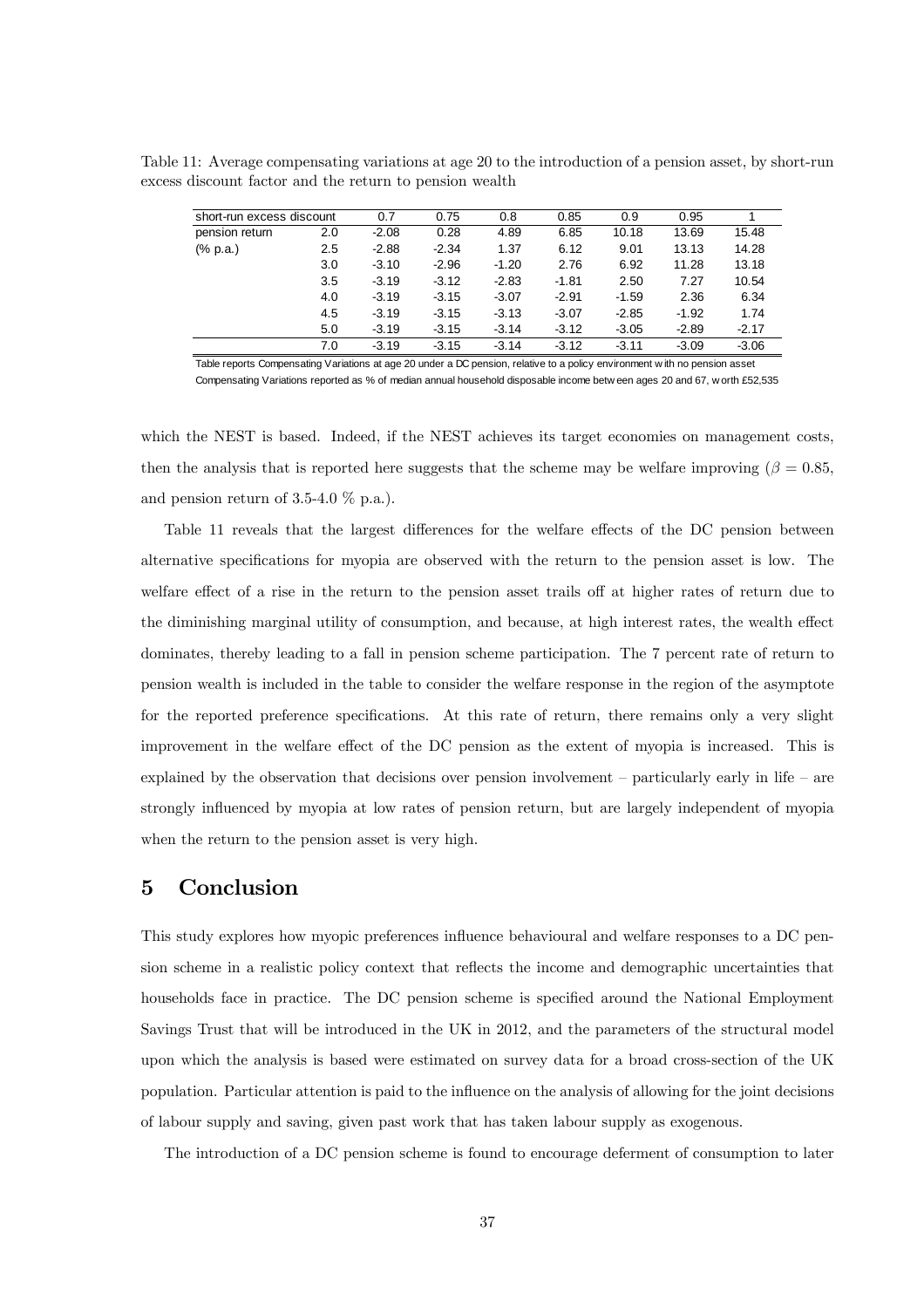Table 11: Average compensating variations at age 20 to the introduction of a pension asset, by short-run excess discount factor and the return to pension wealth

| short-run excess discount   |     | 0.7     | 0.75    | 0.8     | 0.85    | 0.9     | 0.95    |         |
|-----------------------------|-----|---------|---------|---------|---------|---------|---------|---------|
| pension return              | 2.0 | $-2.08$ | 0.28    | 4.89    | 6.85    | 10.18   | 13.69   | 15.48   |
| $(% \mathbb{R}^2)$ (% p.a.) | 2.5 | $-2.88$ | $-2.34$ | 1.37    | 6.12    | 9.01    | 13.13   | 14.28   |
|                             | 3.0 | $-3.10$ | $-2.96$ | $-1.20$ | 2.76    | 6.92    | 11.28   | 13.18   |
|                             | 3.5 | $-3.19$ | $-3.12$ | $-2.83$ | $-1.81$ | 2.50    | 7.27    | 10.54   |
|                             | 4.0 | $-3.19$ | $-3.15$ | $-3.07$ | $-2.91$ | $-1.59$ | 2.36    | 6.34    |
|                             | 4.5 | $-3.19$ | $-3.15$ | $-3.13$ | $-3.07$ | $-2.85$ | $-1.92$ | 1.74    |
|                             | 5.0 | $-3.19$ | $-3.15$ | $-3.14$ | $-3.12$ | $-3.05$ | $-2.89$ | $-2.17$ |
|                             | 7.0 | $-3.19$ | $-3.15$ | $-3.14$ | $-3.12$ | $-3.11$ | $-3.09$ | $-3.06$ |

Table reports Compensating Variations at age 20 under a DC pension, relative to a policy environment w ith no pension asset Compensating Variations reported as % of median annual household disposable income betw een ages 20 and 67, w orth £52,535

which the NEST is based. Indeed, if the NEST achieves its target economies on management costs, then the analysis that is reported here suggests that the scheme may be welfare improving ( $\beta = 0.85$ , and pension return of 3.5-4.0  $\%$  p.a.).

Table 11 reveals that the largest differences for the welfare effects of the DC pension between alternative specifications for myopia are observed with the return to the pension asset is low. The welfare effect of a rise in the return to the pension asset trails off at higher rates of return due to the diminishing marginal utility of consumption, and because, at high interest rates, the wealth effect dominates, thereby leading to a fall in pension scheme participation. The 7 percent rate of return to pension wealth is included in the table to consider the welfare response in the region of the asymptote for the reported preference specifications. At this rate of return, there remains only a very slight improvement in the welfare effect of the DC pension as the extent of myopia is increased. This is explained by the observation that decisions over pension involvement  $-$  particularly early in life  $-$  are strongly influenced by myopia at low rates of pension return, but are largely independent of myopia when the return to the pension asset is very high.

# 5 Conclusion

This study explores how myopic preferences influence behavioural and welfare responses to a DC pension scheme in a realistic policy context that reflects the income and demographic uncertainties that households face in practice. The DC pension scheme is specified around the National Employment Savings Trust that will be introduced in the UK in 2012, and the parameters of the structural model upon which the analysis is based were estimated on survey data for a broad cross-section of the UK population. Particular attention is paid to the influence on the analysis of allowing for the joint decisions of labour supply and saving, given past work that has taken labour supply as exogenous.

The introduction of a DC pension scheme is found to encourage deferment of consumption to later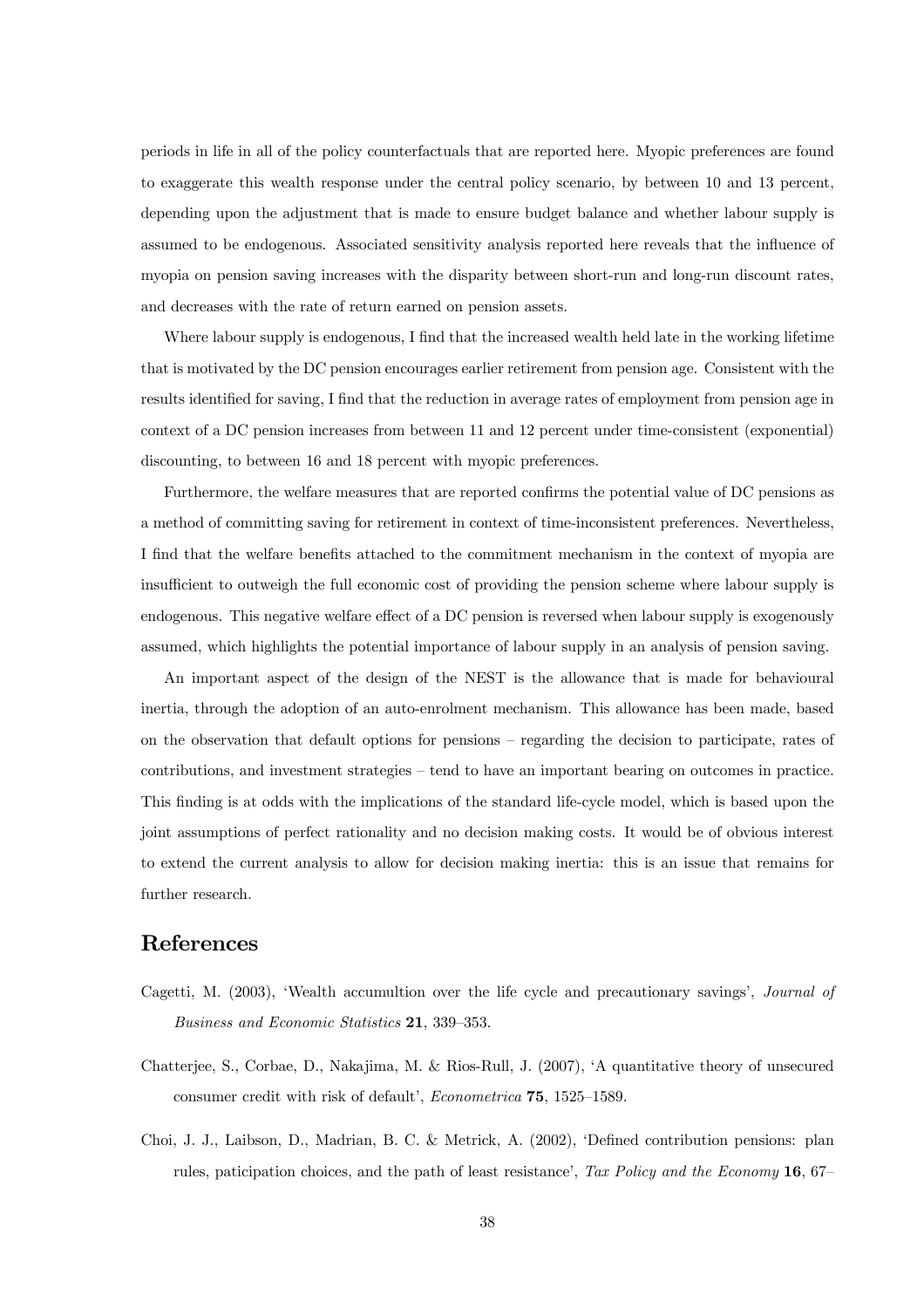periods in life in all of the policy counterfactuals that are reported here. Myopic preferences are found to exaggerate this wealth response under the central policy scenario, by between 10 and 13 percent, depending upon the adjustment that is made to ensure budget balance and whether labour supply is assumed to be endogenous. Associated sensitivity analysis reported here reveals that the influence of myopia on pension saving increases with the disparity between short-run and long-run discount rates, and decreases with the rate of return earned on pension assets.

Where labour supply is endogenous, I find that the increased wealth held late in the working lifetime that is motivated by the DC pension encourages earlier retirement from pension age. Consistent with the results identified for saving, I find that the reduction in average rates of employment from pension age in context of a DC pension increases from between 11 and 12 percent under time-consistent (exponential) discounting, to between 16 and 18 percent with myopic preferences.

Furthermore, the welfare measures that are reported confirms the potential value of DC pensions as a method of committing saving for retirement in context of time-inconsistent preferences. Nevertheless, I find that the welfare benefits attached to the commitment mechanism in the context of myopia are insufficient to outweigh the full economic cost of providing the pension scheme where labour supply is endogenous. This negative welfare effect of a DC pension is reversed when labour supply is exogenously assumed, which highlights the potential importance of labour supply in an analysis of pension saving.

An important aspect of the design of the NEST is the allowance that is made for behavioural inertia, through the adoption of an auto-enrolment mechanism. This allowance has been made, based on the observation that default options for pensions — regarding the decision to participate, rates of contributions, and investment strategies — tend to have an important bearing on outcomes in practice. This finding is at odds with the implications of the standard life-cycle model, which is based upon the joint assumptions of perfect rationality and no decision making costs. It would be of obvious interest to extend the current analysis to allow for decision making inertia: this is an issue that remains for further research.

## References

- Cagetti, M. (2003), 'Wealth accumultion over the life cycle and precautionary savings', Journal of Business and Economic Statistics 21, 339—353.
- Chatterjee, S., Corbae, D., Nakajima, M. & Rios-Rull, J. (2007), 'A quantitative theory of unsecured consumer credit with risk of default', Econometrica 75, 1525—1589.
- Choi, J. J., Laibson, D., Madrian, B. C. & Metrick, A. (2002), 'Defined contribution pensions: plan rules, paticipation choices, and the path of least resistance', Tax Policy and the Economy 16, 67–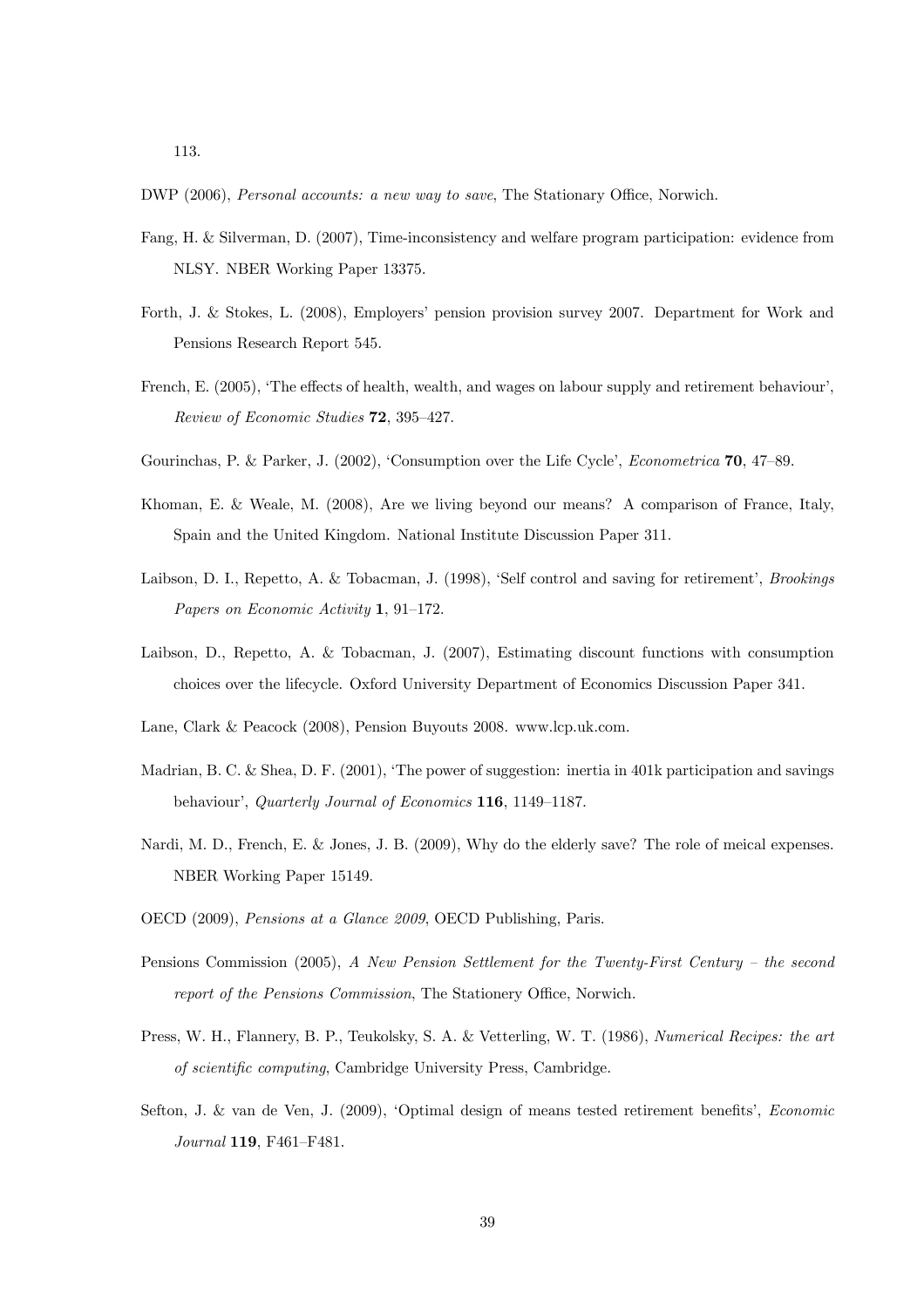- DWP (2006), Personal accounts: a new way to save, The Stationary Office, Norwich.
- Fang, H. & Silverman, D. (2007), Time-inconsistency and welfare program participation: evidence from NLSY. NBER Working Paper 13375.
- Forth, J. & Stokes, L. (2008), Employers' pension provision survey 2007. Department for Work and Pensions Research Report 545.
- French, E. (2005), 'The effects of health, wealth, and wages on labour supply and retirement behaviour', Review of Economic Studies 72, 395—427.
- Gourinchas, P. & Parker, J. (2002), 'Consumption over the Life Cycle', Econometrica 70, 47—89.
- Khoman, E. & Weale, M. (2008), Are we living beyond our means? A comparison of France, Italy, Spain and the United Kingdom. National Institute Discussion Paper 311.
- Laibson, D. I., Repetto, A. & Tobacman, J. (1998), 'Self control and saving for retirement', Brookings Papers on Economic Activity 1, 91—172.
- Laibson, D., Repetto, A. & Tobacman, J. (2007), Estimating discount functions with consumption choices over the lifecycle. Oxford University Department of Economics Discussion Paper 341.
- Lane, Clark & Peacock (2008), Pension Buyouts 2008. www.lcp.uk.com.
- Madrian, B. C. & Shea, D. F. (2001), 'The power of suggestion: inertia in 401k participation and savings behaviour', Quarterly Journal of Economics 116, 1149—1187.
- Nardi, M. D., French, E. & Jones, J. B. (2009), Why do the elderly save? The role of meical expenses. NBER Working Paper 15149.
- OECD (2009), Pensions at a Glance 2009, OECD Publishing, Paris.
- Pensions Commission (2005), A New Pension Settlement for the Twenty-First Century the second report of the Pensions Commission, The Stationery Office, Norwich.
- Press, W. H., Flannery, B. P., Teukolsky, S. A. & Vetterling, W. T. (1986), Numerical Recipes: the art of scientific computing, Cambridge University Press, Cambridge.
- Sefton, J. & van de Ven, J. (2009), 'Optimal design of means tested retirement benefits', Economic Journal 119, F461—F481.